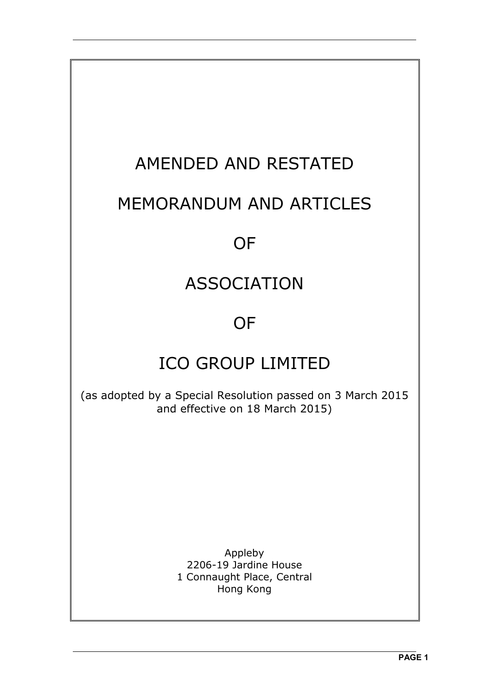# AMENDED AND RESTATED

## MEMORANDUM AND ARTICLES

## **OF**

## ASSOCIATION

## **OF**

## ICO GROUP LIMITED

(as adopted by a Special Resolution passed on 3 March 2015 and effective on 18 March 2015)

> Appleby 2206-19 Jardine House 1 Connaught Place, Central Hong Kong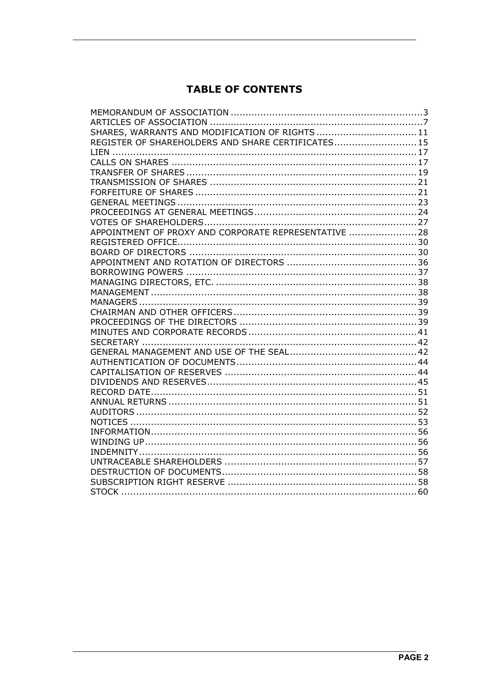## **TABLE OF CONTENTS**

| SHARES, WARRANTS AND MODIFICATION OF RIGHTS  11       |  |
|-------------------------------------------------------|--|
| REGISTER OF SHAREHOLDERS AND SHARE CERTIFICATES 15    |  |
|                                                       |  |
|                                                       |  |
|                                                       |  |
|                                                       |  |
|                                                       |  |
|                                                       |  |
|                                                       |  |
|                                                       |  |
| APPOINTMENT OF PROXY AND CORPORATE REPRESENTATIVE  28 |  |
|                                                       |  |
|                                                       |  |
|                                                       |  |
|                                                       |  |
|                                                       |  |
|                                                       |  |
|                                                       |  |
|                                                       |  |
|                                                       |  |
|                                                       |  |
|                                                       |  |
|                                                       |  |
|                                                       |  |
|                                                       |  |
|                                                       |  |
|                                                       |  |
|                                                       |  |
|                                                       |  |
|                                                       |  |
|                                                       |  |
|                                                       |  |
|                                                       |  |
|                                                       |  |
|                                                       |  |
|                                                       |  |
|                                                       |  |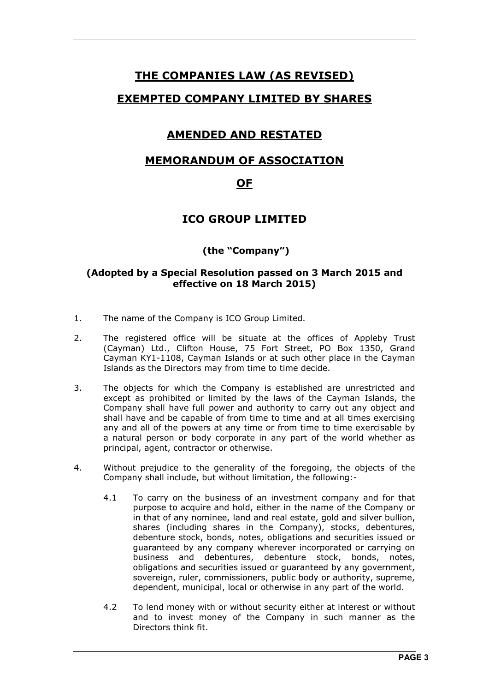## **THE COMPANIES LAW (AS REVISED)**

### **EXEMPTED COMPANY LIMITED BY SHARES**

## **AMENDED AND RESTATED**

### **MEMORANDUM OF ASSOCIATION**

## **OF**

## **ICO GROUP LIMITED**

### **(the "Company")**

#### **(Adopted by a Special Resolution passed on 3 March 2015 and effective on 18 March 2015)**

- 1. The name of the Company is ICO Group Limited.
- 2. The registered office will be situate at the offices of Appleby Trust (Cayman) Ltd., Clifton House, 75 Fort Street, PO Box 1350, Grand Cayman KY1-1108, Cayman Islands or at such other place in the Cayman Islands as the Directors may from time to time decide.
- 3. The objects for which the Company is established are unrestricted and except as prohibited or limited by the laws of the Cayman Islands, the Company shall have full power and authority to carry out any object and shall have and be capable of from time to time and at all times exercising any and all of the powers at any time or from time to time exercisable by a natural person or body corporate in any part of the world whether as principal, agent, contractor or otherwise.
- 4. Without prejudice to the generality of the foregoing, the objects of the Company shall include, but without limitation, the following:-
	- 4.1 To carry on the business of an investment company and for that purpose to acquire and hold, either in the name of the Company or in that of any nominee, land and real estate, gold and silver bullion, shares (including shares in the Company), stocks, debentures, debenture stock, bonds, notes, obligations and securities issued or guaranteed by any company wherever incorporated or carrying on business and debentures, debenture stock, bonds, notes, obligations and securities issued or guaranteed by any government, sovereign, ruler, commissioners, public body or authority, supreme, dependent, municipal, local or otherwise in any part of the world.
	- 4.2 To lend money with or without security either at interest or without and to invest money of the Company in such manner as the Directors think fit.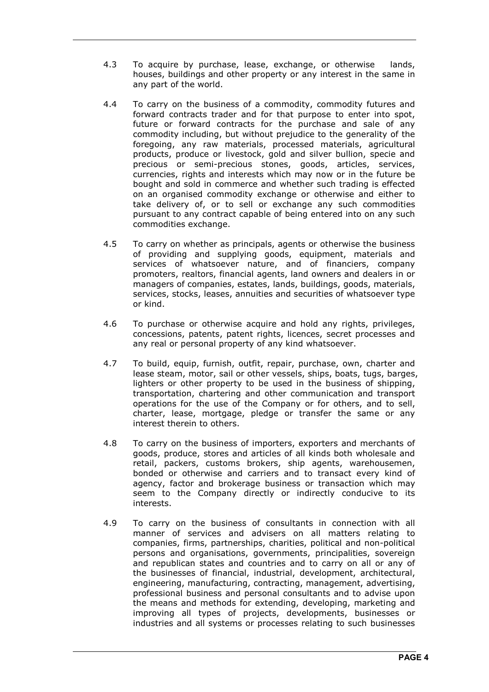- 4.3 To acquire by purchase, lease, exchange, or otherwise lands, houses, buildings and other property or any interest in the same in any part of the world.
- 4.4 To carry on the business of a commodity, commodity futures and forward contracts trader and for that purpose to enter into spot, future or forward contracts for the purchase and sale of any commodity including, but without prejudice to the generality of the foregoing, any raw materials, processed materials, agricultural products, produce or livestock, gold and silver bullion, specie and precious or semi-precious stones, goods, articles, services, currencies, rights and interests which may now or in the future be bought and sold in commerce and whether such trading is effected on an organised commodity exchange or otherwise and either to take delivery of, or to sell or exchange any such commodities pursuant to any contract capable of being entered into on any such commodities exchange.
- 4.5 To carry on whether as principals, agents or otherwise the business of providing and supplying goods, equipment, materials and services of whatsoever nature, and of financiers, company promoters, realtors, financial agents, land owners and dealers in or managers of companies, estates, lands, buildings, goods, materials, services, stocks, leases, annuities and securities of whatsoever type or kind.
- 4.6 To purchase or otherwise acquire and hold any rights, privileges, concessions, patents, patent rights, licences, secret processes and any real or personal property of any kind whatsoever.
- 4.7 To build, equip, furnish, outfit, repair, purchase, own, charter and lease steam, motor, sail or other vessels, ships, boats, tugs, barges, lighters or other property to be used in the business of shipping, transportation, chartering and other communication and transport operations for the use of the Company or for others, and to sell, charter, lease, mortgage, pledge or transfer the same or any interest therein to others.
- 4.8 To carry on the business of importers, exporters and merchants of goods, produce, stores and articles of all kinds both wholesale and retail, packers, customs brokers, ship agents, warehousemen, bonded or otherwise and carriers and to transact every kind of agency, factor and brokerage business or transaction which may seem to the Company directly or indirectly conducive to its interests.
- 4.9 To carry on the business of consultants in connection with all manner of services and advisers on all matters relating to companies, firms, partnerships, charities, political and non-political persons and organisations, governments, principalities, sovereign and republican states and countries and to carry on all or any of the businesses of financial, industrial, development, architectural, engineering, manufacturing, contracting, management, advertising, professional business and personal consultants and to advise upon the means and methods for extending, developing, marketing and improving all types of projects, developments, businesses or industries and all systems or processes relating to such businesses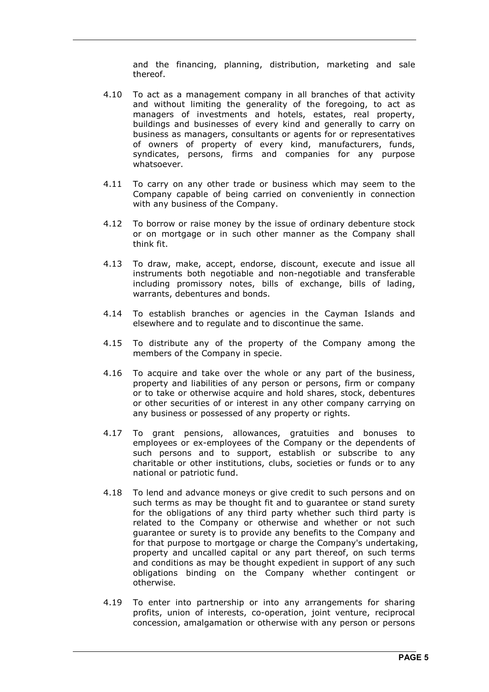and the financing, planning, distribution, marketing and sale thereof.

- 4.10 To act as a management company in all branches of that activity and without limiting the generality of the foregoing, to act as managers of investments and hotels, estates, real property, buildings and businesses of every kind and generally to carry on business as managers, consultants or agents for or representatives of owners of property of every kind, manufacturers, funds, syndicates, persons, firms and companies for any purpose whatsoever.
- 4.11 To carry on any other trade or business which may seem to the Company capable of being carried on conveniently in connection with any business of the Company.
- 4.12 To borrow or raise money by the issue of ordinary debenture stock or on mortgage or in such other manner as the Company shall think fit.
- 4.13 To draw, make, accept, endorse, discount, execute and issue all instruments both negotiable and non-negotiable and transferable including promissory notes, bills of exchange, bills of lading, warrants, debentures and bonds.
- 4.14 To establish branches or agencies in the Cayman Islands and elsewhere and to regulate and to discontinue the same.
- 4.15 To distribute any of the property of the Company among the members of the Company in specie.
- 4.16 To acquire and take over the whole or any part of the business, property and liabilities of any person or persons, firm or company or to take or otherwise acquire and hold shares, stock, debentures or other securities of or interest in any other company carrying on any business or possessed of any property or rights.
- 4.17 To grant pensions, allowances, gratuities and bonuses to employees or ex-employees of the Company or the dependents of such persons and to support, establish or subscribe to any charitable or other institutions, clubs, societies or funds or to any national or patriotic fund.
- 4.18 To lend and advance moneys or give credit to such persons and on such terms as may be thought fit and to guarantee or stand surety for the obligations of any third party whether such third party is related to the Company or otherwise and whether or not such guarantee or surety is to provide any benefits to the Company and for that purpose to mortgage or charge the Company's undertaking, property and uncalled capital or any part thereof, on such terms and conditions as may be thought expedient in support of any such obligations binding on the Company whether contingent or otherwise.
- 4.19 To enter into partnership or into any arrangements for sharing profits, union of interests, co-operation, joint venture, reciprocal concession, amalgamation or otherwise with any person or persons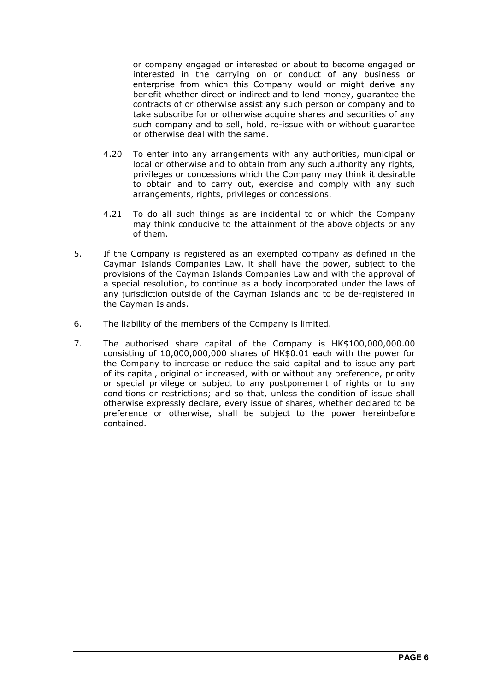or company engaged or interested or about to become engaged or interested in the carrying on or conduct of any business or enterprise from which this Company would or might derive any benefit whether direct or indirect and to lend money, guarantee the contracts of or otherwise assist any such person or company and to take subscribe for or otherwise acquire shares and securities of any such company and to sell, hold, re-issue with or without guarantee or otherwise deal with the same.

- 4.20 To enter into any arrangements with any authorities, municipal or local or otherwise and to obtain from any such authority any rights, privileges or concessions which the Company may think it desirable to obtain and to carry out, exercise and comply with any such arrangements, rights, privileges or concessions.
- 4.21 To do all such things as are incidental to or which the Company may think conducive to the attainment of the above objects or any of them.
- 5. If the Company is registered as an exempted company as defined in the Cayman Islands Companies Law, it shall have the power, subject to the provisions of the Cayman Islands Companies Law and with the approval of a special resolution, to continue as a body incorporated under the laws of any jurisdiction outside of the Cayman Islands and to be de-registered in the Cayman Islands.
- 6. The liability of the members of the Company is limited.
- 7. The authorised share capital of the Company is HK\$100,000,000.00 consisting of 10,000,000,000 shares of HK\$0.01 each with the power for the Company to increase or reduce the said capital and to issue any part of its capital, original or increased, with or without any preference, priority or special privilege or subject to any postponement of rights or to any conditions or restrictions; and so that, unless the condition of issue shall otherwise expressly declare, every issue of shares, whether declared to be preference or otherwise, shall be subject to the power hereinbefore contained.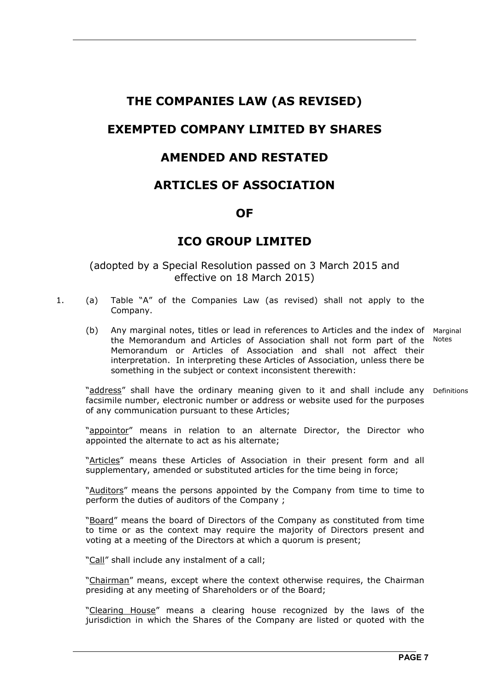## **THE COMPANIES LAW (AS REVISED)**

## **EXEMPTED COMPANY LIMITED BY SHARES**

## **AMENDED AND RESTATED**

## **ARTICLES OF ASSOCIATION**

### **OF**

## **ICO GROUP LIMITED**

### (adopted by a Special Resolution passed on 3 March 2015 and effective on 18 March 2015)

- 1. (a) Table "A" of the Companies Law (as revised) shall not apply to the Company.
- (b) Any marginal notes, titles or lead in references to Articles and the index of Marginal the Memorandum and Articles of Association shall not form part of the Notes Memorandum or Articles of Association and shall not affect their interpretation. In interpreting these Articles of Association, unless there be something in the subject or context inconsistent therewith:

"**address**" shall have the ordinary meaning given to it and shall include any Definitions facsimile number, electronic number or address or website used for the purposes of any communication pursuant to these Articles;

> "appointor" means in relation to an alternate Director, the Director who appointed the alternate to act as his alternate;

> "Articles" means these Articles of Association in their present form and all supplementary, amended or substituted articles for the time being in force;

> "Auditors" means the persons appointed by the Company from time to time to perform the duties of auditors of the Company ;

> "Board" means the board of Directors of the Company as constituted from time to time or as the context may require the majority of Directors present and voting at a meeting of the Directors at which a quorum is present;

"Call" shall include any instalment of a call;

 "Chairman" means, except where the context otherwise requires, the Chairman presiding at any meeting of Shareholders or of the Board;

"Clearing House" means a clearing house recognized by the laws of the jurisdiction in which the Shares of the Company are listed or quoted with the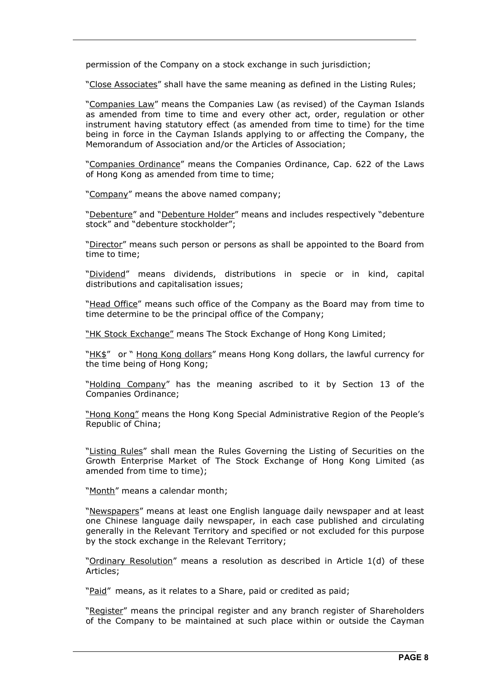permission of the Company on a stock exchange in such jurisdiction;

"Close Associates" shall have the same meaning as defined in the Listing Rules;

 "Companies Law" means the Companies Law (as revised) of the Cayman Islands as amended from time to time and every other act, order, regulation or other instrument having statutory effect (as amended from time to time) for the time being in force in the Cayman Islands applying to or affecting the Company, the Memorandum of Association and/or the Articles of Association;

"Companies Ordinance" means the Companies Ordinance, Cap. 622 of the Laws of Hong Kong as amended from time to time;

"Company" means the above named company;

 "Debenture" and "Debenture Holder" means and includes respectively "debenture stock" and "debenture stockholder";

 "Director" means such person or persons as shall be appointed to the Board from time to time;

 "Dividend" means dividends, distributions in specie or in kind, capital distributions and capitalisation issues;

 "Head Office" means such office of the Company as the Board may from time to time determine to be the principal office of the Company;

"HK Stock Exchange" means The Stock Exchange of Hong Kong Limited;

"HK\$" or " Hong Kong dollars" means Hong Kong dollars, the lawful currency for the time being of Hong Kong;

 "Holding Company" has the meaning ascribed to it by Section 13 of the Companies Ordinance;

 "Hong Kong" means the Hong Kong Special Administrative Region of the People's Republic of China;

"Listing Rules" shall mean the Rules Governing the Listing of Securities on the Growth Enterprise Market of The Stock Exchange of Hong Kong Limited (as amended from time to time);

"Month" means a calendar month;

 "Newspapers" means at least one English language daily newspaper and at least one Chinese language daily newspaper, in each case published and circulating generally in the Relevant Territory and specified or not excluded for this purpose by the stock exchange in the Relevant Territory;

 "Ordinary Resolution" means a resolution as described in Article 1(d) of these Articles;

"Paid" means, as it relates to a Share, paid or credited as paid;

 "Register" means the principal register and any branch register of Shareholders of the Company to be maintained at such place within or outside the Cayman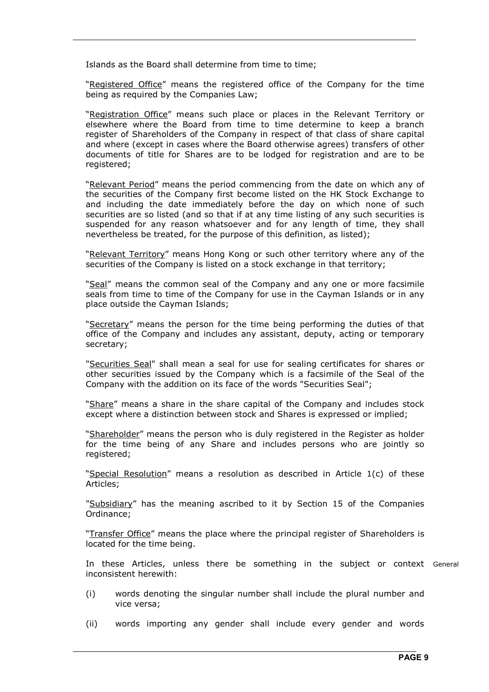Islands as the Board shall determine from time to time;

"Registered Office" means the registered office of the Company for the time being as required by the Companies Law;

 "Registration Office" means such place or places in the Relevant Territory or elsewhere where the Board from time to time determine to keep a branch register of Shareholders of the Company in respect of that class of share capital and where (except in cases where the Board otherwise agrees) transfers of other documents of title for Shares are to be lodged for registration and are to be registered;

 "Relevant Period" means the period commencing from the date on which any of the securities of the Company first become listed on the HK Stock Exchange to and including the date immediately before the day on which none of such securities are so listed (and so that if at any time listing of any such securities is suspended for any reason whatsoever and for any length of time, they shall nevertheless be treated, for the purpose of this definition, as listed);

"Relevant Territory" means Hong Kong or such other territory where any of the securities of the Company is listed on a stock exchange in that territory;

 "Seal" means the common seal of the Company and any one or more facsimile seals from time to time of the Company for use in the Cayman Islands or in any place outside the Cayman Islands;

"Secretary" means the person for the time being performing the duties of that office of the Company and includes any assistant, deputy, acting or temporary secretary;

"Securities Seal" shall mean a seal for use for sealing certificates for shares or other securities issued by the Company which is a facsimile of the Seal of the Company with the addition on its face of the words "Securities Seal";

 "Share" means a share in the share capital of the Company and includes stock except where a distinction between stock and Shares is expressed or implied;

"Shareholder" means the person who is duly registered in the Register as holder for the time being of any Share and includes persons who are jointly so registered;

 "Special Resolution" means a resolution as described in Article 1(c) of these Articles;

"Subsidiary" has the meaning ascribed to it by Section 15 of the Companies Ordinance;

 "Transfer Office" means the place where the principal register of Shareholders is located for the time being.

 In these Articles, unless there be something in the subject or context Generalinconsistent herewith:

- (i) words denoting the singular number shall include the plural number and vice versa;
- (ii) words importing any gender shall include every gender and words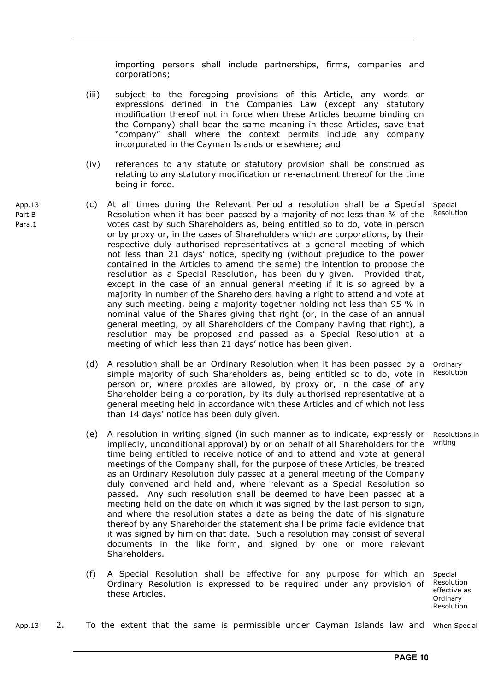importing persons shall include partnerships, firms, companies and corporations;

- (iii) subject to the foregoing provisions of this Article, any words or expressions defined in the Companies Law (except any statutory modification thereof not in force when these Articles become binding on the Company) shall bear the same meaning in these Articles, save that "company" shall where the context permits include any company incorporated in the Cayman Islands or elsewhere; and
- (iv) references to any statute or statutory provision shall be construed as relating to any statutory modification or re-enactment thereof for the time being in force.
- (c) At all times during the Relevant Period a resolution shall be a Special Resolution when it has been passed by a majority of not less than  $\frac{3}{4}$  of the votes cast by such Shareholders as, being entitled so to do, vote in person or by proxy or, in the cases of Shareholders which are corporations, by their respective duly authorised representatives at a general meeting of which not less than 21 days' notice, specifying (without prejudice to the power contained in the Articles to amend the same) the intention to propose the resolution as a Special Resolution, has been duly given. Provided that, except in the case of an annual general meeting if it is so agreed by a majority in number of the Shareholders having a right to attend and vote at any such meeting, being a majority together holding not less than 95 % in nominal value of the Shares giving that right (or, in the case of an annual general meeting, by all Shareholders of the Company having that right), a resolution may be proposed and passed as a Special Resolution at a meeting of which less than 21 days' notice has been given. Special Resolution
	- (d) A resolution shall be an Ordinary Resolution when it has been passed by a simple majority of such Shareholders as, being entitled so to do, vote in person or, where proxies are allowed, by proxy or, in the case of any Shareholder being a corporation, by its duly authorised representative at a general meeting held in accordance with these Articles and of which not less than 14 days' notice has been duly given. Ordinary Resolution
	- (e) A resolution in writing signed (in such manner as to indicate, expressly or impliedly, unconditional approval) by or on behalf of all Shareholders for the time being entitled to receive notice of and to attend and vote at general meetings of the Company shall, for the purpose of these Articles, be treated as an Ordinary Resolution duly passed at a general meeting of the Company duly convened and held and, where relevant as a Special Resolution so passed. Any such resolution shall be deemed to have been passed at a meeting held on the date on which it was signed by the last person to sign, and where the resolution states a date as being the date of his signature thereof by any Shareholder the statement shall be prima facie evidence that it was signed by him on that date. Such a resolution may consist of several documents in the like form, and signed by one or more relevant Shareholders. Resolutions in writing
	- (f) A Special Resolution shall be effective for any purpose for which an Ordinary Resolution is expressed to be required under any provision of these Articles.

Special Resolution effective as **Ordinary** Resolution

App.13 2. To the extent that the same is permissible under Cayman Islands law and When Special

App.13 Part B Para.1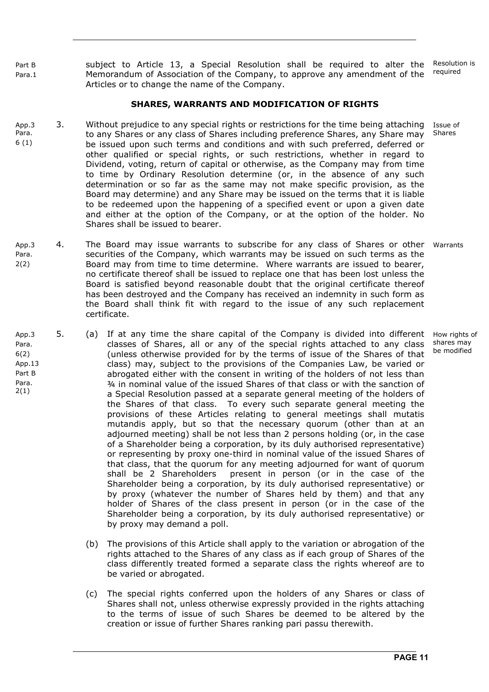Part B Para.1 subject to Article 13, a Special Resolution shall be required to alter the Memorandum of Association of the Company, to approve any amendment of the Articles or to change the name of the Company. Resolution is required

#### **SHARES, WARRANTS AND MODIFICATION OF RIGHTS**

- Ann<sub>3</sub> Para. 6 (1) 3. Without prejudice to any special rights or restrictions for the time being attaching to any Shares or any class of Shares including preference Shares, any Share may be issued upon such terms and conditions and with such preferred, deferred or other qualified or special rights, or such restrictions, whether in regard to Dividend, voting, return of capital or otherwise, as the Company may from time to time by Ordinary Resolution determine (or, in the absence of any such determination or so far as the same may not make specific provision, as the Board may determine) and any Share may be issued on the terms that it is liable to be redeemed upon the happening of a specified event or upon a given date and either at the option of the Company, or at the option of the holder. No Shares shall be issued to bearer. Issue of **Shares**
- App.3 Para. 2(2) 4. The Board may issue warrants to subscribe for any class of Shares or other securities of the Company, which warrants may be issued on such terms as the Board may from time to time determine. Where warrants are issued to bearer, no certificate thereof shall be issued to replace one that has been lost unless the Board is satisfied beyond reasonable doubt that the original certificate thereof has been destroyed and the Company has received an indemnity in such form as the Board shall think fit with regard to the issue of any such replacement certificate. Warrants
- App.3 Para. 6(2) App.13 Part B Para. 2(1) 5. (a) If at any time the share capital of the Company is divided into different classes of Shares, all or any of the special rights attached to any class (unless otherwise provided for by the terms of issue of the Shares of that class) may, subject to the provisions of the Companies Law, be varied or abrogated either with the consent in writing of the holders of not less than ¾ in nominal value of the issued Shares of that class or with the sanction of a Special Resolution passed at a separate general meeting of the holders of the Shares of that class. To every such separate general meeting the provisions of these Articles relating to general meetings shall mutatis mutandis apply, but so that the necessary quorum (other than at an adjourned meeting) shall be not less than 2 persons holding (or, in the case of a Shareholder being a corporation, by its duly authorised representative) or representing by proxy one-third in nominal value of the issued Shares of that class, that the quorum for any meeting adjourned for want of quorum shall be 2 Shareholders present in person (or in the case of the Shareholder being a corporation, by its duly authorised representative) or by proxy (whatever the number of Shares held by them) and that any holder of Shares of the class present in person (or in the case of the Shareholder being a corporation, by its duly authorised representative) or by proxy may demand a poll.
	- (b) The provisions of this Article shall apply to the variation or abrogation of the rights attached to the Shares of any class as if each group of Shares of the class differently treated formed a separate class the rights whereof are to be varied or abrogated.
	- (c) The special rights conferred upon the holders of any Shares or class of Shares shall not, unless otherwise expressly provided in the rights attaching to the terms of issue of such Shares be deemed to be altered by the creation or issue of further Shares ranking pari passu therewith.

How rights of shares may be modified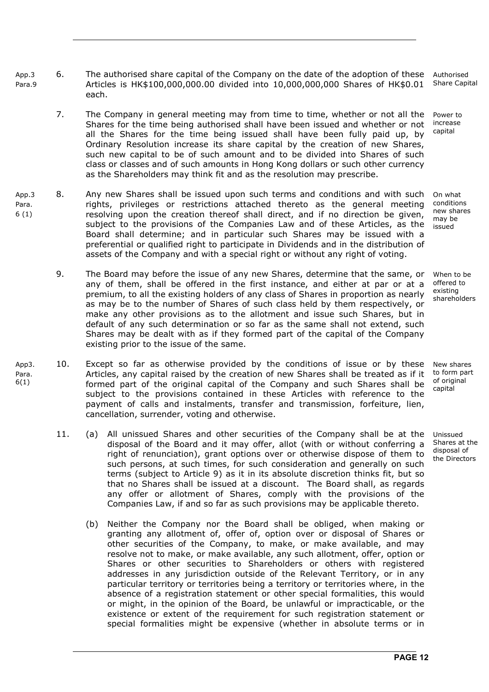- App.3 Para.9 6. The authorised share capital of the Company on the date of the adoption of these Articles is HK\$100,000,000.00 divided into 10,000,000,000 Shares of HK\$0.01 each. Authorised
	- 7. The Company in general meeting may from time to time, whether or not all the Shares for the time being authorised shall have been issued and whether or not all the Shares for the time being issued shall have been fully paid up, by Ordinary Resolution increase its share capital by the creation of new Shares, such new capital to be of such amount and to be divided into Shares of such class or classes and of such amounts in Hong Kong dollars or such other currency as the Shareholders may think fit and as the resolution may prescribe.
- App.3 Para. 6 (1) 8. Any new Shares shall be issued upon such terms and conditions and with such rights, privileges or restrictions attached thereto as the general meeting resolving upon the creation thereof shall direct, and if no direction be given, subject to the provisions of the Companies Law and of these Articles, as the Board shall determine; and in particular such Shares may be issued with a preferential or qualified right to participate in Dividends and in the distribution of assets of the Company and with a special right or without any right of voting.
	- 9. The Board may before the issue of any new Shares, determine that the same, or any of them, shall be offered in the first instance, and either at par or at a premium, to all the existing holders of any class of Shares in proportion as nearly as may be to the number of Shares of such class held by them respectively, or make any other provisions as to the allotment and issue such Shares, but in default of any such determination or so far as the same shall not extend, such Shares may be dealt with as if they formed part of the capital of the Company existing prior to the issue of the same.
- App3. Para. 6(1) 10. Except so far as otherwise provided by the conditions of issue or by these Articles, any capital raised by the creation of new Shares shall be treated as if it formed part of the original capital of the Company and such Shares shall be subject to the provisions contained in these Articles with reference to the payment of calls and instalments, transfer and transmission, forfeiture, lien, cancellation, surrender, voting and otherwise.
	- 11. (a) All unissued Shares and other securities of the Company shall be at the disposal of the Board and it may offer, allot (with or without conferring a right of renunciation), grant options over or otherwise dispose of them to such persons, at such times, for such consideration and generally on such terms (subject to Article 9) as it in its absolute discretion thinks fit, but so that no Shares shall be issued at a discount. The Board shall, as regards any offer or allotment of Shares, comply with the provisions of the Companies Law, if and so far as such provisions may be applicable thereto.
		- (b) Neither the Company nor the Board shall be obliged, when making or granting any allotment of, offer of, option over or disposal of Shares or other securities of the Company, to make, or make available, and may resolve not to make, or make available, any such allotment, offer, option or Shares or other securities to Shareholders or others with registered addresses in any jurisdiction outside of the Relevant Territory, or in any particular territory or territories being a territory or territories where, in the absence of a registration statement or other special formalities, this would or might, in the opinion of the Board, be unlawful or impracticable, or the existence or extent of the requirement for such registration statement or special formalities might be expensive (whether in absolute terms or in

Share Capital

Power to increase capital

On what conditions new shares may be issued

When to be offered to existing shareholders

New shares to form part of original capital

Unissued Shares at the disposal of the Directors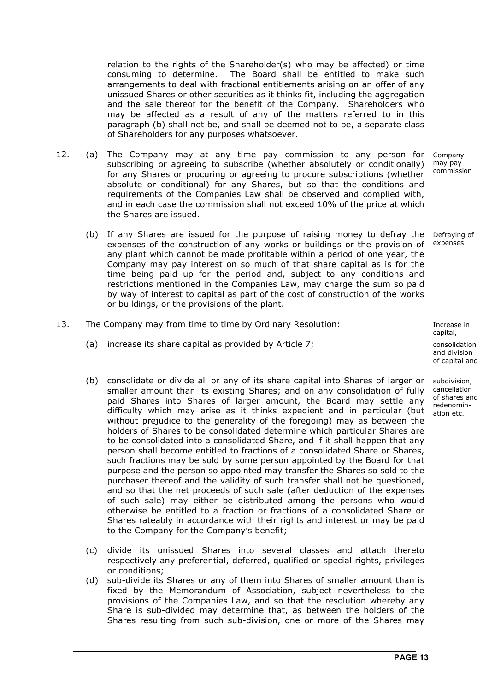relation to the rights of the Shareholder(s) who may be affected) or time consuming to determine. The Board shall be entitled to make such arrangements to deal with fractional entitlements arising on an offer of any unissued Shares or other securities as it thinks fit, including the aggregation and the sale thereof for the benefit of the Company. Shareholders who may be affected as a result of any of the matters referred to in this paragraph (b) shall not be, and shall be deemed not to be, a separate class of Shareholders for any purposes whatsoever.

- 12. (a) The Company may at any time pay commission to any person for subscribing or agreeing to subscribe (whether absolutely or conditionally) for any Shares or procuring or agreeing to procure subscriptions (whether absolute or conditional) for any Shares, but so that the conditions and requirements of the Companies Law shall be observed and complied with, and in each case the commission shall not exceed 10% of the price at which the Shares are issued. Company may pay
	- (b) If any Shares are issued for the purpose of raising money to defray the expenses of the construction of any works or buildings or the provision of any plant which cannot be made profitable within a period of one year, the Company may pay interest on so much of that share capital as is for the time being paid up for the period and, subject to any conditions and restrictions mentioned in the Companies Law, may charge the sum so paid by way of interest to capital as part of the cost of construction of the works or buildings, or the provisions of the plant. Defraying of expenses
- 13. The Company may from time to time by Ordinary Resolution: The Company may from time to time by Ordinary Resolution:
	- (a) increase its share capital as provided by Article 7; example 3 consolidation
	- (b) consolidate or divide all or any of its share capital into Shares of larger or smaller amount than its existing Shares; and on any consolidation of fully paid Shares into Shares of larger amount, the Board may settle any difficulty which may arise as it thinks expedient and in particular (but without prejudice to the generality of the foregoing) may as between the holders of Shares to be consolidated determine which particular Shares are to be consolidated into a consolidated Share, and if it shall happen that any person shall become entitled to fractions of a consolidated Share or Shares, such fractions may be sold by some person appointed by the Board for that purpose and the person so appointed may transfer the Shares so sold to the purchaser thereof and the validity of such transfer shall not be questioned, and so that the net proceeds of such sale (after deduction of the expenses of such sale) may either be distributed among the persons who would otherwise be entitled to a fraction or fractions of a consolidated Share or Shares rateably in accordance with their rights and interest or may be paid to the Company for the Company's benefit;
	- (c) divide its unissued Shares into several classes and attach thereto respectively any preferential, deferred, qualified or special rights, privileges or conditions;
	- (d) sub-divide its Shares or any of them into Shares of smaller amount than is fixed by the Memorandum of Association, subject nevertheless to the provisions of the Companies Law, and so that the resolution whereby any Share is sub-divided may determine that, as between the holders of the Shares resulting from such sub-division, one or more of the Shares may

capital,

and division of capital and

subdivision, cancellation of shares and redenomination etc.

commission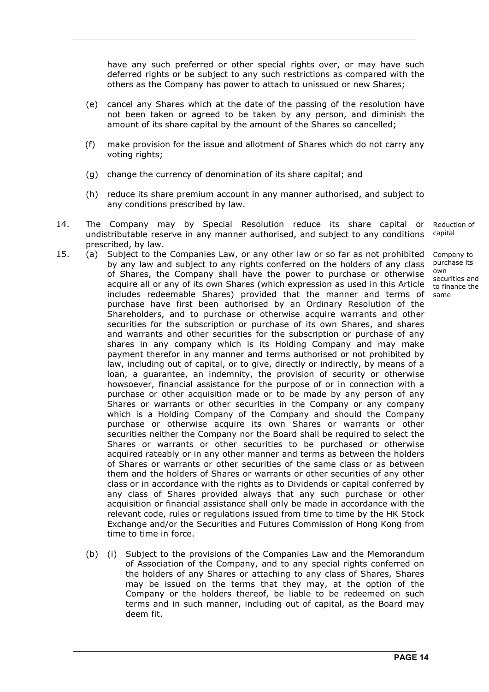have any such preferred or other special rights over, or may have such deferred rights or be subject to any such restrictions as compared with the others as the Company has power to attach to unissued or new Shares;

- (e) cancel any Shares which at the date of the passing of the resolution have not been taken or agreed to be taken by any person, and diminish the amount of its share capital by the amount of the Shares so cancelled;
- (f) make provision for the issue and allotment of Shares which do not carry any voting rights;
- (g) change the currency of denomination of its share capital; and
- (h) reduce its share premium account in any manner authorised, and subject to any conditions prescribed by law.
- 14. The Company may by Special Resolution reduce its share capital or undistributable reserve in any manner authorised, and subject to any conditions prescribed, by law. Reduction of capital
- 15. (a) Subject to the Companies Law, or any other law or so far as not prohibited by any law and subject to any rights conferred on the holders of any class of Shares, the Company shall have the power to purchase or otherwise acquire all or any of its own Shares (which expression as used in this Article includes redeemable Shares) provided that the manner and terms of purchase have first been authorised by an Ordinary Resolution of the Shareholders, and to purchase or otherwise acquire warrants and other securities for the subscription or purchase of its own Shares, and shares and warrants and other securities for the subscription or purchase of any shares in any company which is its Holding Company and may make payment therefor in any manner and terms authorised or not prohibited by law, including out of capital, or to give, directly or indirectly, by means of a loan, a guarantee, an indemnity, the provision of security or otherwise howsoever, financial assistance for the purpose of or in connection with a purchase or other acquisition made or to be made by any person of any Shares or warrants or other securities in the Company or any company which is a Holding Company of the Company and should the Company purchase or otherwise acquire its own Shares or warrants or other securities neither the Company nor the Board shall be required to select the Shares or warrants or other securities to be purchased or otherwise acquired rateably or in any other manner and terms as between the holders of Shares or warrants or other securities of the same class or as between them and the holders of Shares or warrants or other securities of any other class or in accordance with the rights as to Dividends or capital conferred by any class of Shares provided always that any such purchase or other acquisition or financial assistance shall only be made in accordance with the relevant code, rules or regulations issued from time to time by the HK Stock Exchange and/or the Securities and Futures Commission of Hong Kong from time to time in force.
	- (b) (i) Subject to the provisions of the Companies Law and the Memorandum of Association of the Company, and to any special rights conferred on the holders of any Shares or attaching to any class of Shares, Shares may be issued on the terms that they may, at the option of the Company or the holders thereof, be liable to be redeemed on such terms and in such manner, including out of capital, as the Board may deem fit.

Company to purchase its own securities and to finance the same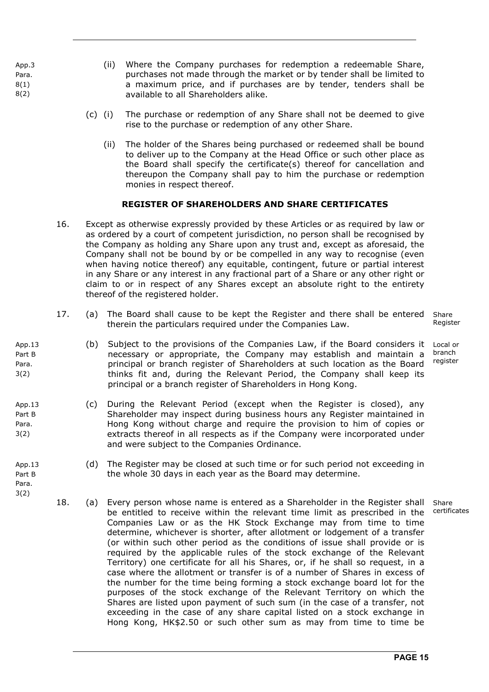App.3 Para. 8(1) 8(2)

App.13 Part B Para. 3(2)

App.13 Part B Para. 3(2)

App.13 Part B Para. 3(2)

- (ii) Where the Company purchases for redemption a redeemable Share, purchases not made through the market or by tender shall be limited to a maximum price, and if purchases are by tender, tenders shall be available to all Shareholders alike.
- (c) (i) The purchase or redemption of any Share shall not be deemed to give rise to the purchase or redemption of any other Share.
	- (ii) The holder of the Shares being purchased or redeemed shall be bound to deliver up to the Company at the Head Office or such other place as the Board shall specify the certificate(s) thereof for cancellation and thereupon the Company shall pay to him the purchase or redemption monies in respect thereof.

#### **REGISTER OF SHAREHOLDERS AND SHARE CERTIFICATES**

- 16. Except as otherwise expressly provided by these Articles or as required by law or as ordered by a court of competent jurisdiction, no person shall be recognised by the Company as holding any Share upon any trust and, except as aforesaid, the Company shall not be bound by or be compelled in any way to recognise (even when having notice thereof) any equitable, contingent, future or partial interest in any Share or any interest in any fractional part of a Share or any other right or claim to or in respect of any Shares except an absolute right to the entirety thereof of the registered holder.
- 17. (a) The Board shall cause to be kept the Register and there shall be entered therein the particulars required under the Companies Law. Share
- (b) Subject to the provisions of the Companies Law, if the Board considers it necessary or appropriate, the Company may establish and maintain a principal or branch register of Shareholders at such location as the Board thinks fit and, during the Relevant Period, the Company shall keep its principal or a branch register of Shareholders in Hong Kong.
- (c) During the Relevant Period (except when the Register is closed), any Shareholder may inspect during business hours any Register maintained in Hong Kong without charge and require the provision to him of copies or extracts thereof in all respects as if the Company were incorporated under and were subject to the Companies Ordinance.
	- (d) The Register may be closed at such time or for such period not exceeding in the whole 30 days in each year as the Board may determine.
	- 18. (a) Every person whose name is entered as a Shareholder in the Register shall be entitled to receive within the relevant time limit as prescribed in the Companies Law or as the HK Stock Exchange may from time to time determine, whichever is shorter, after allotment or lodgement of a transfer (or within such other period as the conditions of issue shall provide or is required by the applicable rules of the stock exchange of the Relevant Territory) one certificate for all his Shares, or, if he shall so request, in a case where the allotment or transfer is of a number of Shares in excess of the number for the time being forming a stock exchange board lot for the purposes of the stock exchange of the Relevant Territory on which the Shares are listed upon payment of such sum (in the case of a transfer, not exceeding in the case of any share capital listed on a stock exchange in Hong Kong, HK\$2.50 or such other sum as may from time to time be

Register

Local or branch register

Share certificates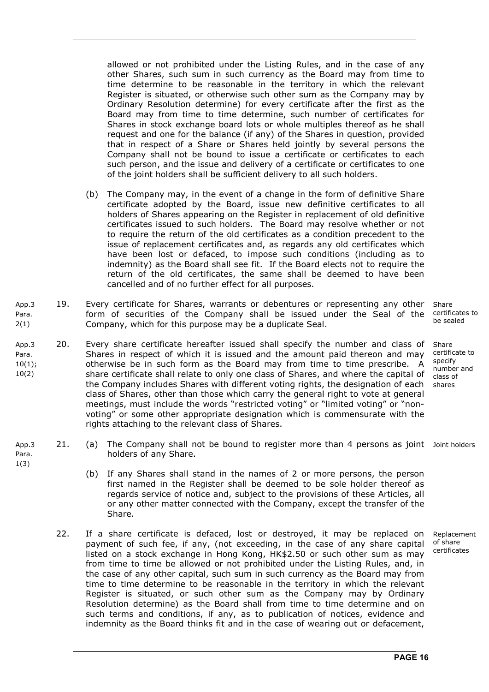allowed or not prohibited under the Listing Rules, and in the case of any other Shares, such sum in such currency as the Board may from time to time determine to be reasonable in the territory in which the relevant Register is situated, or otherwise such other sum as the Company may by Ordinary Resolution determine) for every certificate after the first as the Board may from time to time determine, such number of certificates for Shares in stock exchange board lots or whole multiples thereof as he shall request and one for the balance (if any) of the Shares in question, provided that in respect of a Share or Shares held jointly by several persons the Company shall not be bound to issue a certificate or certificates to each such person, and the issue and delivery of a certificate or certificates to one of the joint holders shall be sufficient delivery to all such holders.

- (b) The Company may, in the event of a change in the form of definitive Share certificate adopted by the Board, issue new definitive certificates to all holders of Shares appearing on the Register in replacement of old definitive certificates issued to such holders. The Board may resolve whether or not to require the return of the old certificates as a condition precedent to the issue of replacement certificates and, as regards any old certificates which have been lost or defaced, to impose such conditions (including as to indemnity) as the Board shall see fit. If the Board elects not to require the return of the old certificates, the same shall be deemed to have been cancelled and of no further effect for all purposes.
- App.3 Para. 2(1) 19. Every certificate for Shares, warrants or debentures or representing any other form of securities of the Company shall be issued under the Seal of the Company, which for this purpose may be a duplicate Seal.
- App.3 Para. 10(1); 10(2) 20. Every share certificate hereafter issued shall specify the number and class of Shares in respect of which it is issued and the amount paid thereon and may otherwise be in such form as the Board may from time to time prescribe. A share certificate shall relate to only one class of Shares, and where the capital of the Company includes Shares with different voting rights, the designation of each class of Shares, other than those which carry the general right to vote at general meetings, must include the words "restricted voting" or "limited voting" or "nonvoting" or some other appropriate designation which is commensurate with the rights attaching to the relevant class of Shares.

1(3)

- App.3 Para. 21. (a) The Company shall not be bound to register more than 4 persons as joint Joint holders holders of any Share.
	- (b) If any Shares shall stand in the names of 2 or more persons, the person first named in the Register shall be deemed to be sole holder thereof as regards service of notice and, subject to the provisions of these Articles, all or any other matter connected with the Company, except the transfer of the Share.
	- 22. If a share certificate is defaced, lost or destroyed, it may be replaced on payment of such fee, if any, (not exceeding, in the case of any share capital listed on a stock exchange in Hong Kong, HK\$2.50 or such other sum as may from time to time be allowed or not prohibited under the Listing Rules, and, in the case of any other capital, such sum in such currency as the Board may from time to time determine to be reasonable in the territory in which the relevant Register is situated, or such other sum as the Company may by Ordinary Resolution determine) as the Board shall from time to time determine and on such terms and conditions, if any, as to publication of notices, evidence and indemnity as the Board thinks fit and in the case of wearing out or defacement,

Share certificates to be sealed

Share certificate to specify number and class of shares

Replacement of share certificates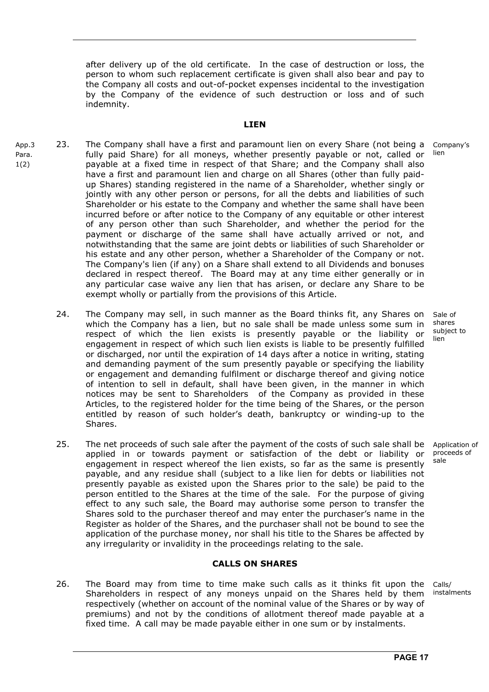after delivery up of the old certificate. In the case of destruction or loss, the person to whom such replacement certificate is given shall also bear and pay to the Company all costs and out-of-pocket expenses incidental to the investigation by the Company of the evidence of such destruction or loss and of such indemnity.

#### **LIEN**

- App.3 Para. 1(2) 23. The Company shall have a first and paramount lien on every Share (not being a fully paid Share) for all moneys, whether presently payable or not, called or payable at a fixed time in respect of that Share; and the Company shall also have a first and paramount lien and charge on all Shares (other than fully paidup Shares) standing registered in the name of a Shareholder, whether singly or jointly with any other person or persons, for all the debts and liabilities of such Shareholder or his estate to the Company and whether the same shall have been incurred before or after notice to the Company of any equitable or other interest of any person other than such Shareholder, and whether the period for the payment or discharge of the same shall have actually arrived or not, and notwithstanding that the same are joint debts or liabilities of such Shareholder or his estate and any other person, whether a Shareholder of the Company or not. The Company's lien (if any) on a Share shall extend to all Dividends and bonuses declared in respect thereof. The Board may at any time either generally or in any particular case waive any lien that has arisen, or declare any Share to be exempt wholly or partially from the provisions of this Article. Company's lien
	- 24. The Company may sell, in such manner as the Board thinks fit, any Shares on which the Company has a lien, but no sale shall be made unless some sum in respect of which the lien exists is presently payable or the liability or engagement in respect of which such lien exists is liable to be presently fulfilled or discharged, nor until the expiration of 14 days after a notice in writing, stating and demanding payment of the sum presently payable or specifying the liability or engagement and demanding fulfilment or discharge thereof and giving notice of intention to sell in default, shall have been given, in the manner in which notices may be sent to Shareholders of the Company as provided in these Articles, to the registered holder for the time being of the Shares, or the person entitled by reason of such holder's death, bankruptcy or winding-up to the Shares. lien
	- 25. The net proceeds of such sale after the payment of the costs of such sale shall be applied in or towards payment or satisfaction of the debt or liability or engagement in respect whereof the lien exists, so far as the same is presently payable, and any residue shall (subject to a like lien for debts or liabilities not presently payable as existed upon the Shares prior to the sale) be paid to the person entitled to the Shares at the time of the sale. For the purpose of giving effect to any such sale, the Board may authorise some person to transfer the Shares sold to the purchaser thereof and may enter the purchaser's name in the Register as holder of the Shares, and the purchaser shall not be bound to see the application of the purchase money, nor shall his title to the Shares be affected by any irregularity or invalidity in the proceedings relating to the sale.

#### **CALLS ON SHARES**

26. The Board may from time to time make such calls as it thinks fit upon the Shareholders in respect of any moneys unpaid on the Shares held by them respectively (whether on account of the nominal value of the Shares or by way of premiums) and not by the conditions of allotment thereof made payable at a fixed time. A call may be made payable either in one sum or by instalments. Calls/ instalments

Sale of shares subject to

Application of proceeds of sale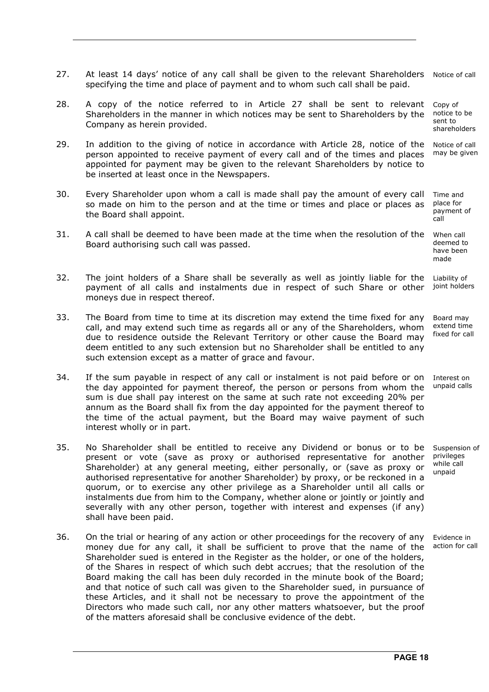- 27. At least 14 days' notice of any call shall be given to the relevant Shareholders specifying the time and place of payment and to whom such call shall be paid. Notice of call
- 28. A copy of the notice referred to in Article 27 shall be sent to relevant Shareholders in the manner in which notices may be sent to Shareholders by the Company as herein provided. Copy of notice to be sent to shareholders
- 29. In addition to the giving of notice in accordance with Article 28, notice of the person appointed to receive payment of every call and of the times and places appointed for payment may be given to the relevant Shareholders by notice to be inserted at least once in the Newspapers. Notice of call may be given
- 30. Every Shareholder upon whom a call is made shall pay the amount of every call so made on him to the person and at the time or times and place or places as the Board shall appoint.
- 31. A call shall be deemed to have been made at the time when the resolution of the Board authorising such call was passed.

32. The joint holders of a Share shall be severally as well as jointly liable for the payment of all calls and instalments due in respect of such Share or other moneys due in respect thereof. Liability of joint holders

- 33. The Board from time to time at its discretion may extend the time fixed for any call, and may extend such time as regards all or any of the Shareholders, whom due to residence outside the Relevant Territory or other cause the Board may deem entitled to any such extension but no Shareholder shall be entitled to any such extension except as a matter of grace and favour.
- 34. If the sum payable in respect of any call or instalment is not paid before or on the day appointed for payment thereof, the person or persons from whom the sum is due shall pay interest on the same at such rate not exceeding 20% per annum as the Board shall fix from the day appointed for the payment thereof to the time of the actual payment, but the Board may waive payment of such interest wholly or in part.
- 35. No Shareholder shall be entitled to receive any Dividend or bonus or to be present or vote (save as proxy or authorised representative for another Shareholder) at any general meeting, either personally, or (save as proxy or authorised representative for another Shareholder) by proxy, or be reckoned in a quorum, or to exercise any other privilege as a Shareholder until all calls or instalments due from him to the Company, whether alone or jointly or jointly and severally with any other person, together with interest and expenses (if any) shall have been paid. Suspension of privileges while call unpaid
- 36. On the trial or hearing of any action or other proceedings for the recovery of any money due for any call, it shall be sufficient to prove that the name of the Shareholder sued is entered in the Register as the holder, or one of the holders, of the Shares in respect of which such debt accrues; that the resolution of the Board making the call has been duly recorded in the minute book of the Board; and that notice of such call was given to the Shareholder sued, in pursuance of these Articles, and it shall not be necessary to prove the appointment of the Directors who made such call, nor any other matters whatsoever, but the proof of the matters aforesaid shall be conclusive evidence of the debt.

Evidence in action for call

Time and place for payment of call

When call deemed to have been made

Board may extend time fixed for call

Interest on unpaid calls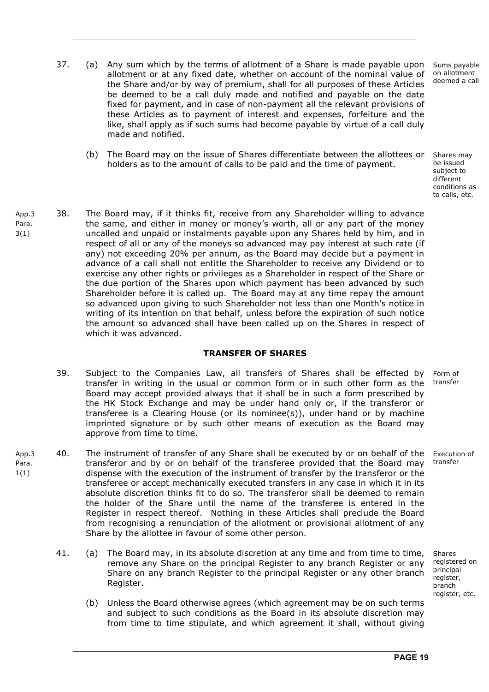- 37. (a) Any sum which by the terms of allotment of a Share is made payable upon allotment or at any fixed date, whether on account of the nominal value of the Share and/or by way of premium, shall for all purposes of these Articles be deemed to be a call duly made and notified and payable on the date fixed for payment, and in case of non-payment all the relevant provisions of these Articles as to payment of interest and expenses, forfeiture and the like, shall apply as if such sums had become payable by virtue of a call duly made and notified.
	- (b) The Board may on the issue of Shares differentiate between the allottees or holders as to the amount of calls to be paid and the time of payment.

Shares may be issued subject to different conditions as to calls, etc.

Sums payable on allotment deemed a call

App.3 Para. 3(1) 38. The Board may, if it thinks fit, receive from any Shareholder willing to advance the same, and either in money or money's worth, all or any part of the money uncalled and unpaid or instalments payable upon any Shares held by him, and in respect of all or any of the moneys so advanced may pay interest at such rate (if any) not exceeding 20% per annum, as the Board may decide but a payment in advance of a call shall not entitle the Shareholder to receive any Dividend or to exercise any other rights or privileges as a Shareholder in respect of the Share or the due portion of the Shares upon which payment has been advanced by such Shareholder before it is called up. The Board may at any time repay the amount so advanced upon giving to such Shareholder not less than one Month's notice in writing of its intention on that behalf, unless before the expiration of such notice the amount so advanced shall have been called up on the Shares in respect of which it was advanced.

#### **TRANSFER OF SHARES**

- 39. Subject to the Companies Law, all transfers of Shares shall be effected by transfer in writing in the usual or common form or in such other form as the Board may accept provided always that it shall be in such a form prescribed by the HK Stock Exchange and may be under hand only or, if the transferor or transferee is a Clearing House (or its nominee(s)), under hand or by machine imprinted signature or by such other means of execution as the Board may approve from time to time. Form of transfer
- App.3 Para.  $1(1)$ 40. The instrument of transfer of any Share shall be executed by or on behalf of the transferor and by or on behalf of the transferee provided that the Board may dispense with the execution of the instrument of transfer by the transferor or the transferee or accept mechanically executed transfers in any case in which it in its absolute discretion thinks fit to do so. The transferor shall be deemed to remain the holder of the Share until the name of the transferee is entered in the Register in respect thereof. Nothing in these Articles shall preclude the Board from recognising a renunciation of the allotment or provisional allotment of any Share by the allottee in favour of some other person. transfer
	- 41. (a) The Board may, in its absolute discretion at any time and from time to time, remove any Share on the principal Register to any branch Register or any Share on any branch Register to the principal Register or any other branch Register.
		- (b) Unless the Board otherwise agrees (which agreement may be on such terms and subject to such conditions as the Board in its absolute discretion may from time to time stipulate, and which agreement it shall, without giving

Execution of

Shares registered on principal register, branch register, etc.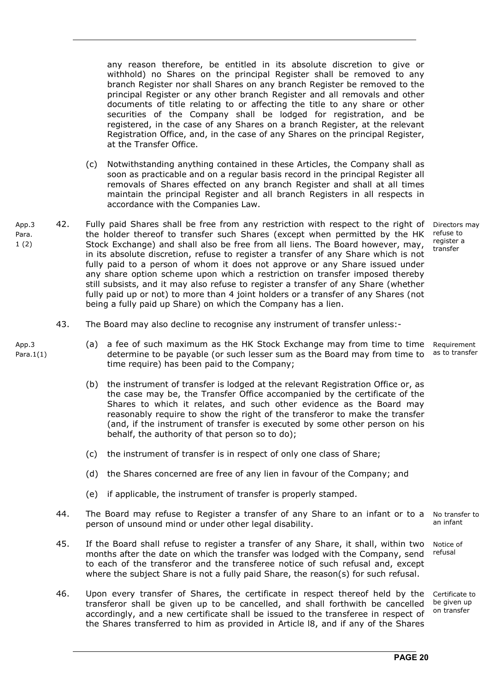any reason therefore, be entitled in its absolute discretion to give or withhold) no Shares on the principal Register shall be removed to any branch Register nor shall Shares on any branch Register be removed to the principal Register or any other branch Register and all removals and other documents of title relating to or affecting the title to any share or other securities of the Company shall be lodged for registration, and be registered, in the case of any Shares on a branch Register, at the relevant Registration Office, and, in the case of any Shares on the principal Register, at the Transfer Office.

- (c) Notwithstanding anything contained in these Articles, the Company shall as soon as practicable and on a regular basis record in the principal Register all removals of Shares effected on any branch Register and shall at all times maintain the principal Register and all branch Registers in all respects in accordance with the Companies Law.
- App.3 Para. 1 (2) 42. Fully paid Shares shall be free from any restriction with respect to the right of the holder thereof to transfer such Shares (except when permitted by the HK Stock Exchange) and shall also be free from all liens. The Board however, may, in its absolute discretion, refuse to register a transfer of any Share which is not fully paid to a person of whom it does not approve or any Share issued under any share option scheme upon which a restriction on transfer imposed thereby still subsists, and it may also refuse to register a transfer of any Share (whether fully paid up or not) to more than 4 joint holders or a transfer of any Shares (not being a fully paid up Share) on which the Company has a lien.

Directors may refuse to register a transfer

- 43. The Board may also decline to recognise any instrument of transfer unless:-
	- (a) a fee of such maximum as the HK Stock Exchange may from time to time determine to be payable (or such lesser sum as the Board may from time to time require) has been paid to the Company; Requirement as to transfer
		- (b) the instrument of transfer is lodged at the relevant Registration Office or, as the case may be, the Transfer Office accompanied by the certificate of the Shares to which it relates, and such other evidence as the Board may reasonably require to show the right of the transferor to make the transfer (and, if the instrument of transfer is executed by some other person on his behalf, the authority of that person so to do);
		- (c) the instrument of transfer is in respect of only one class of Share;
		- (d) the Shares concerned are free of any lien in favour of the Company; and
		- (e) if applicable, the instrument of transfer is properly stamped.
- 44. The Board may refuse to Register a transfer of any Share to an infant or to a person of unsound mind or under other legal disability. an infant
- 45. If the Board shall refuse to register a transfer of any Share, it shall, within two months after the date on which the transfer was lodged with the Company, send to each of the transferor and the transferee notice of such refusal and, except where the subject Share is not a fully paid Share, the reason(s) for such refusal.
- 46. Upon every transfer of Shares, the certificate in respect thereof held by the transferor shall be given up to be cancelled, and shall forthwith be cancelled accordingly, and a new certificate shall be issued to the transferee in respect of the Shares transferred to him as provided in Article l8, and if any of the Shares

No transfer to

Notice of refusal

Certificate to be given up on transfer

App<sub>3</sub> Para.1(1)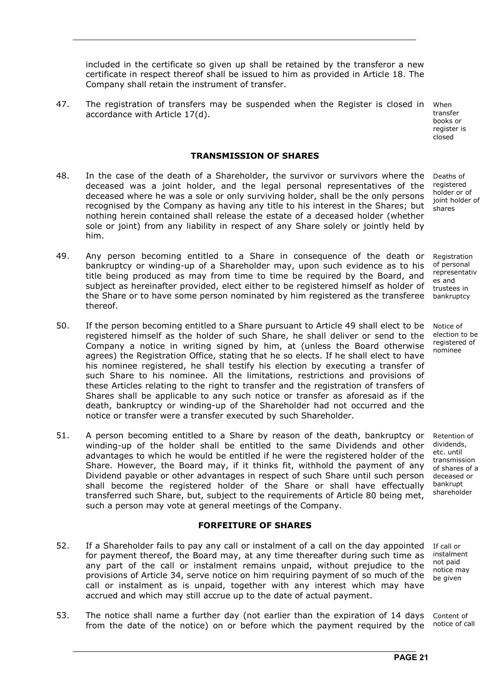included in the certificate so given up shall be retained by the transferor a new certificate in respect thereof shall be issued to him as provided in Article 18. The Company shall retain the instrument of transfer.

47. The registration of transfers may be suspended when the Register is closed in When accordance with Article 17(d).

#### **TRANSMISSION OF SHARES**

- 48. In the case of the death of a Shareholder, the survivor or survivors where the deceased was a joint holder, and the legal personal representatives of the deceased where he was a sole or only surviving holder, shall be the only persons recognised by the Company as having any title to his interest in the Shares; but nothing herein contained shall release the estate of a deceased holder (whether sole or joint) from any liability in respect of any Share solely or jointly held by him.
- 49. Any person becoming entitled to a Share in consequence of the death or bankruptcy or winding-up of a Shareholder may, upon such evidence as to his title being produced as may from time to time be required by the Board, and subject as hereinafter provided, elect either to be registered himself as holder of the Share or to have some person nominated by him registered as the transferee thereof.
- 50. If the person becoming entitled to a Share pursuant to Article 49 shall elect to be registered himself as the holder of such Share, he shall deliver or send to the Company a notice in writing signed by him, at (unless the Board otherwise agrees) the Registration Office, stating that he so elects. If he shall elect to have his nominee registered, he shall testify his election by executing a transfer of such Share to his nominee. All the limitations, restrictions and provisions of these Articles relating to the right to transfer and the registration of transfers of Shares shall be applicable to any such notice or transfer as aforesaid as if the death, bankruptcy or winding-up of the Shareholder had not occurred and the notice or transfer were a transfer executed by such Shareholder.
- 51. A person becoming entitled to a Share by reason of the death, bankruptcy or winding-up of the holder shall be entitled to the same Dividends and other advantages to which he would be entitled if he were the registered holder of the Share. However, the Board may, if it thinks fit, withhold the payment of any Dividend payable or other advantages in respect of such Share until such person shall become the registered holder of the Share or shall have effectually transferred such Share, but, subject to the requirements of Article 80 being met, such a person may vote at general meetings of the Company.

#### **FORFEITURE OF SHARES**

- 52. If a Shareholder fails to pay any call or instalment of a call on the day appointed for payment thereof, the Board may, at any time thereafter during such time as any part of the call or instalment remains unpaid, without prejudice to the provisions of Article 34, serve notice on him requiring payment of so much of the call or instalment as is unpaid, together with any interest which may have accrued and which may still accrue up to the date of actual payment. If call or instalment not paid notice may be given
- 53. The notice shall name a further day (not earlier than the expiration of 14 days from the date of the notice) on or before which the payment required by the notice of call

transfer books or register is closed

Deaths of registered holder or of joint holder of shares

Registration of personal representativ es and trustees in bankruptcy

Notice of election to be registered of nominee

Retention of dividends, etc. until transmission of shares of a deceased or bankrupt shareholder

Content of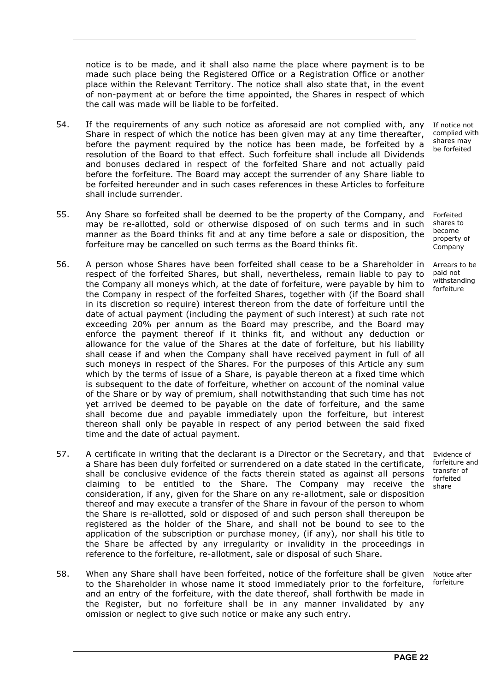notice is to be made, and it shall also name the place where payment is to be made such place being the Registered Office or a Registration Office or another place within the Relevant Territory. The notice shall also state that, in the event of non-payment at or before the time appointed, the Shares in respect of which the call was made will be liable to be forfeited.

- 54. If the requirements of any such notice as aforesaid are not complied with, any Share in respect of which the notice has been given may at any time thereafter, before the payment required by the notice has been made, be forfeited by a resolution of the Board to that effect. Such forfeiture shall include all Dividends and bonuses declared in respect of the forfeited Share and not actually paid before the forfeiture. The Board may accept the surrender of any Share liable to be forfeited hereunder and in such cases references in these Articles to forfeiture shall include surrender.
- 55. Any Share so forfeited shall be deemed to be the property of the Company, and may be re-allotted, sold or otherwise disposed of on such terms and in such manner as the Board thinks fit and at any time before a sale or disposition, the forfeiture may be cancelled on such terms as the Board thinks fit.
- 56. A person whose Shares have been forfeited shall cease to be a Shareholder in respect of the forfeited Shares, but shall, nevertheless, remain liable to pay to the Company all moneys which, at the date of forfeiture, were payable by him to the Company in respect of the forfeited Shares, together with (if the Board shall in its discretion so require) interest thereon from the date of forfeiture until the date of actual payment (including the payment of such interest) at such rate not exceeding 20% per annum as the Board may prescribe, and the Board may enforce the payment thereof if it thinks fit, and without any deduction or allowance for the value of the Shares at the date of forfeiture, but his liability shall cease if and when the Company shall have received payment in full of all such moneys in respect of the Shares. For the purposes of this Article any sum which by the terms of issue of a Share, is payable thereon at a fixed time which is subsequent to the date of forfeiture, whether on account of the nominal value of the Share or by way of premium, shall notwithstanding that such time has not yet arrived be deemed to be payable on the date of forfeiture, and the same shall become due and payable immediately upon the forfeiture, but interest thereon shall only be payable in respect of any period between the said fixed time and the date of actual payment.
- 57. A certificate in writing that the declarant is a Director or the Secretary, and that a Share has been duly forfeited or surrendered on a date stated in the certificate, shall be conclusive evidence of the facts therein stated as against all persons claiming to be entitled to the Share. The Company may receive the consideration, if any, given for the Share on any re-allotment, sale or disposition thereof and may execute a transfer of the Share in favour of the person to whom the Share is re-allotted, sold or disposed of and such person shall thereupon be registered as the holder of the Share, and shall not be bound to see to the application of the subscription or purchase money, (if any), nor shall his title to the Share be affected by any irregularity or invalidity in the proceedings in reference to the forfeiture, re-allotment, sale or disposal of such Share.
- 58. When any Share shall have been forfeited, notice of the forfeiture shall be given to the Shareholder in whose name it stood immediately prior to the forfeiture, and an entry of the forfeiture, with the date thereof, shall forthwith be made in the Register, but no forfeiture shall be in any manner invalidated by any omission or neglect to give such notice or make any such entry.

If notice not complied with shares may be forfeited

Forfeited shares to become property of Company

Arrears to be paid not withstanding forfeiture

Evidence of forfeiture and transfer of forfeited share

Notice after forfeiture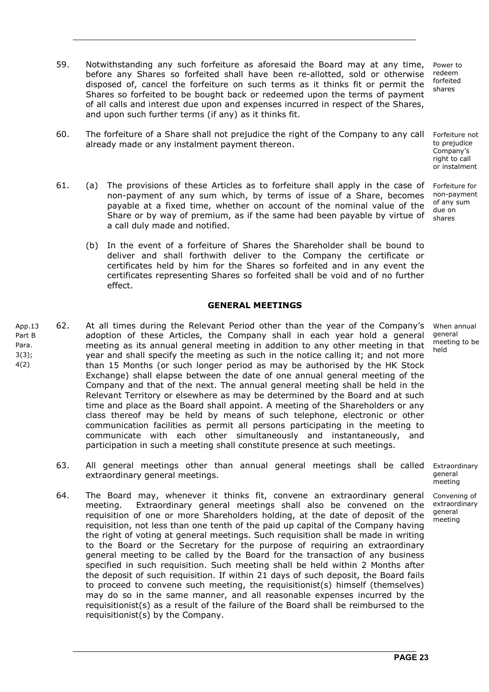- 59. Notwithstanding any such forfeiture as aforesaid the Board may at any time, before any Shares so forfeited shall have been re-allotted, sold or otherwise disposed of, cancel the forfeiture on such terms as it thinks fit or permit the Shares so forfeited to be bought back or redeemed upon the terms of payment of all calls and interest due upon and expenses incurred in respect of the Shares, and upon such further terms (if any) as it thinks fit. Power to redeem forfeited shares
- 60. The forfeiture of a Share shall not prejudice the right of the Company to any call already made or any instalment payment thereon.
- 61. (a) The provisions of these Articles as to forfeiture shall apply in the case of non-payment of any sum which, by terms of issue of a Share, becomes payable at a fixed time, whether on account of the nominal value of the Share or by way of premium, as if the same had been payable by virtue of a call duly made and notified.
	- (b) In the event of a forfeiture of Shares the Shareholder shall be bound to deliver and shall forthwith deliver to the Company the certificate or certificates held by him for the Shares so forfeited and in any event the certificates representing Shares so forfeited shall be void and of no further effect.

#### **GENERAL MEETINGS**

- App.13 Part B Para. 3(3); 4(2) 62. At all times during the Relevant Period other than the year of the Company's adoption of these Articles, the Company shall in each year hold a general meeting as its annual general meeting in addition to any other meeting in that year and shall specify the meeting as such in the notice calling it; and not more than 15 Months (or such longer period as may be authorised by the HK Stock Exchange) shall elapse between the date of one annual general meeting of the Company and that of the next. The annual general meeting shall be held in the Relevant Territory or elsewhere as may be determined by the Board and at such time and place as the Board shall appoint. A meeting of the Shareholders or any class thereof may be held by means of such telephone, electronic or other communication facilities as permit all persons participating in the meeting to communicate with each other simultaneously and instantaneously, and participation in such a meeting shall constitute presence at such meetings.
	- 63. All general meetings other than annual general meetings shall be called extraordinary general meetings. Extraordinary
	- 64. The Board may, whenever it thinks fit, convene an extraordinary general meeting. Extraordinary general meetings shall also be convened on the requisition of one or more Shareholders holding, at the date of deposit of the requisition, not less than one tenth of the paid up capital of the Company having the right of voting at general meetings. Such requisition shall be made in writing to the Board or the Secretary for the purpose of requiring an extraordinary general meeting to be called by the Board for the transaction of any business specified in such requisition. Such meeting shall be held within 2 Months after the deposit of such requisition. If within 21 days of such deposit, the Board fails to proceed to convene such meeting, the requisitionist(s) himself (themselves) may do so in the same manner, and all reasonable expenses incurred by the requisitionist(s) as a result of the failure of the Board shall be reimbursed to the requisitionist(s) by the Company.

When annual general meeting to be held

Forfeiture not

to prejudice Company's right to call or instalment

Forfeiture for non-payment of any sum due on shares

general meeting Convening of

extraordinary general meeting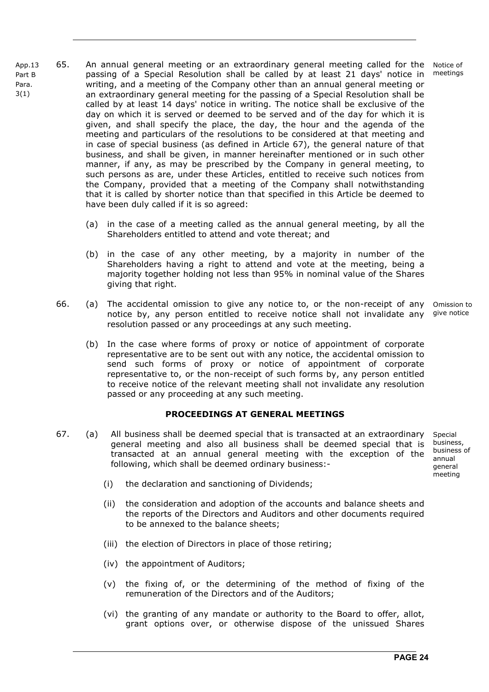- App.13 Part B Para. 3(1) 65. An annual general meeting or an extraordinary general meeting called for the passing of a Special Resolution shall be called by at least 21 days' notice in writing, and a meeting of the Company other than an annual general meeting or an extraordinary general meeting for the passing of a Special Resolution shall be called by at least 14 days' notice in writing. The notice shall be exclusive of the day on which it is served or deemed to be served and of the day for which it is given, and shall specify the place, the day, the hour and the agenda of the meeting and particulars of the resolutions to be considered at that meeting and in case of special business (as defined in Article 67), the general nature of that business, and shall be given, in manner hereinafter mentioned or in such other manner, if any, as may be prescribed by the Company in general meeting, to such persons as are, under these Articles, entitled to receive such notices from the Company, provided that a meeting of the Company shall notwithstanding that it is called by shorter notice than that specified in this Article be deemed to have been duly called if it is so agreed:
	- (a) in the case of a meeting called as the annual general meeting, by all the Shareholders entitled to attend and vote thereat; and
	- (b) in the case of any other meeting, by a majority in number of the Shareholders having a right to attend and vote at the meeting, being a majority together holding not less than 95% in nominal value of the Shares giving that right.
	- 66. (a) The accidental omission to give any notice to, or the non-receipt of any notice by, any person entitled to receive notice shall not invalidate any resolution passed or any proceedings at any such meeting. Omission to give notice
		- (b) In the case where forms of proxy or notice of appointment of corporate representative are to be sent out with any notice, the accidental omission to send such forms of proxy or notice of appointment of corporate representative to, or the non-receipt of such forms by, any person entitled to receive notice of the relevant meeting shall not invalidate any resolution passed or any proceeding at any such meeting.

#### **PROCEEDINGS AT GENERAL MEETINGS**

67. (a) All business shall be deemed special that is transacted at an extraordinary general meeting and also all business shall be deemed special that is transacted at an annual general meeting with the exception of the following, which shall be deemed ordinary business:-

**Special** business, business of annual general meeting

- (i) the declaration and sanctioning of Dividends;
- (ii) the consideration and adoption of the accounts and balance sheets and the reports of the Directors and Auditors and other documents required to be annexed to the balance sheets;
- (iii) the election of Directors in place of those retiring;
- (iv) the appointment of Auditors;
- (v) the fixing of, or the determining of the method of fixing of the remuneration of the Directors and of the Auditors;
- (vi) the granting of any mandate or authority to the Board to offer, allot, grant options over, or otherwise dispose of the unissued Shares

Notice of meetings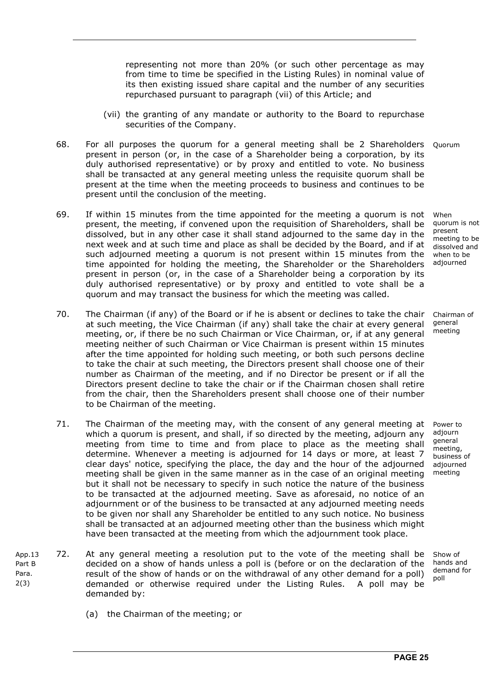representing not more than 20% (or such other percentage as may from time to time be specified in the Listing Rules) in nominal value of its then existing issued share capital and the number of any securities repurchased pursuant to paragraph (vii) of this Article; and

- (vii) the granting of any mandate or authority to the Board to repurchase securities of the Company.
- 68. For all purposes the quorum for a general meeting shall be 2 Shareholders Quorum present in person (or, in the case of a Shareholder being a corporation, by its duly authorised representative) or by proxy and entitled to vote. No business shall be transacted at any general meeting unless the requisite quorum shall be present at the time when the meeting proceeds to business and continues to be present until the conclusion of the meeting.
- 69. If within 15 minutes from the time appointed for the meeting a quorum is not present, the meeting, if convened upon the requisition of Shareholders, shall be dissolved, but in any other case it shall stand adjourned to the same day in the next week and at such time and place as shall be decided by the Board, and if at such adjourned meeting a quorum is not present within 15 minutes from the time appointed for holding the meeting, the Shareholder or the Shareholders present in person (or, in the case of a Shareholder being a corporation by its duly authorised representative) or by proxy and entitled to vote shall be a quorum and may transact the business for which the meeting was called.
- 70. The Chairman (if any) of the Board or if he is absent or declines to take the chair at such meeting, the Vice Chairman (if any) shall take the chair at every general meeting, or, if there be no such Chairman or Vice Chairman, or, if at any general meeting neither of such Chairman or Vice Chairman is present within 15 minutes after the time appointed for holding such meeting, or both such persons decline to take the chair at such meeting, the Directors present shall choose one of their number as Chairman of the meeting, and if no Director be present or if all the Directors present decline to take the chair or if the Chairman chosen shall retire from the chair, then the Shareholders present shall choose one of their number to be Chairman of the meeting.
- 71. The Chairman of the meeting may, with the consent of any general meeting at which a quorum is present, and shall, if so directed by the meeting, adjourn any meeting from time to time and from place to place as the meeting shall determine. Whenever a meeting is adjourned for 14 days or more, at least 7 clear days' notice, specifying the place, the day and the hour of the adjourned meeting shall be given in the same manner as in the case of an original meeting but it shall not be necessary to specify in such notice the nature of the business to be transacted at the adjourned meeting. Save as aforesaid, no notice of an adjournment or of the business to be transacted at any adjourned meeting needs to be given nor shall any Shareholder be entitled to any such notice. No business shall be transacted at an adjourned meeting other than the business which might have been transacted at the meeting from which the adjournment took place.
- App.13 Part B Para. 2(3) 72. At any general meeting a resolution put to the vote of the meeting shall be decided on a show of hands unless a poll is (before or on the declaration of the result of the show of hands or on the withdrawal of any other demand for a poll) demanded or otherwise required under the Listing Rules. A poll may be demanded by:

When quorum is not present meeting to be dissolved and when to be adjourned

Chairman of general meeting

Power to adjourn general meeting, business of adjourned meeting

Show of hands and demand for poll

(a) the Chairman of the meeting; or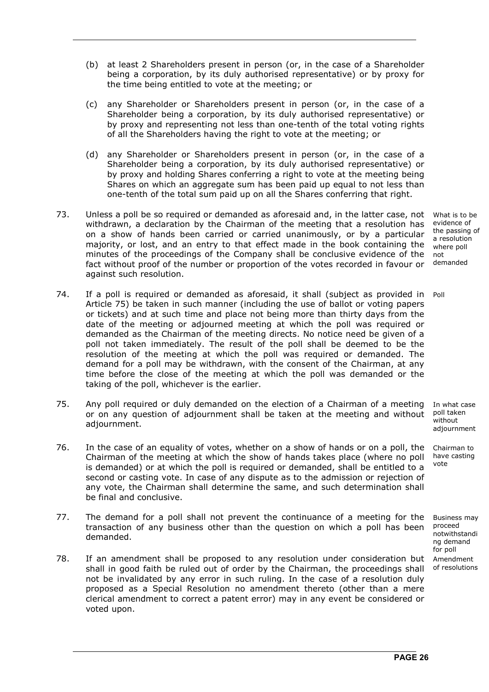- (b) at least 2 Shareholders present in person (or, in the case of a Shareholder being a corporation, by its duly authorised representative) or by proxy for the time being entitled to vote at the meeting; or
- (c) any Shareholder or Shareholders present in person (or, in the case of a Shareholder being a corporation, by its duly authorised representative) or by proxy and representing not less than one-tenth of the total voting rights of all the Shareholders having the right to vote at the meeting; or
- (d) any Shareholder or Shareholders present in person (or, in the case of a Shareholder being a corporation, by its duly authorised representative) or by proxy and holding Shares conferring a right to vote at the meeting being Shares on which an aggregate sum has been paid up equal to not less than one-tenth of the total sum paid up on all the Shares conferring that right.
- 73. Unless a poll be so required or demanded as aforesaid and, in the latter case, not withdrawn, a declaration by the Chairman of the meeting that a resolution has on a show of hands been carried or carried unanimously, or by a particular majority, or lost, and an entry to that effect made in the book containing the minutes of the proceedings of the Company shall be conclusive evidence of the fact without proof of the number or proportion of the votes recorded in favour or against such resolution. What is to be evidence of
- 74. If a poll is required or demanded as aforesaid, it shall (subject as provided in Poll Article 75) be taken in such manner (including the use of ballot or voting papers or tickets) and at such time and place not being more than thirty days from the date of the meeting or adjourned meeting at which the poll was required or demanded as the Chairman of the meeting directs. No notice need be given of a poll not taken immediately. The result of the poll shall be deemed to be the resolution of the meeting at which the poll was required or demanded. The demand for a poll may be withdrawn, with the consent of the Chairman, at any time before the close of the meeting at which the poll was demanded or the taking of the poll, whichever is the earlier.
- 75. Any poll required or duly demanded on the election of a Chairman of a meeting or on any question of adjournment shall be taken at the meeting and without adjournment.
- 76. In the case of an equality of votes, whether on a show of hands or on a poll, the Chairman of the meeting at which the show of hands takes place (where no poll is demanded) or at which the poll is required or demanded, shall be entitled to a second or casting vote. In case of any dispute as to the admission or rejection of any vote, the Chairman shall determine the same, and such determination shall be final and conclusive.
- 77. The demand for a poll shall not prevent the continuance of a meeting for the transaction of any business other than the question on which a poll has been demanded.
- 78. If an amendment shall be proposed to any resolution under consideration but shall in good faith be ruled out of order by the Chairman, the proceedings shall not be invalidated by any error in such ruling. In the case of a resolution duly proposed as a Special Resolution no amendment thereto (other than a mere clerical amendment to correct a patent error) may in any event be considered or voted upon.

In what case poll taken .<br>without adjournment

Chairman to have casting vote

Business may proceed notwithstandi ng demand for poll Amendment of resolutions

the passing of a resolution where poll not demanded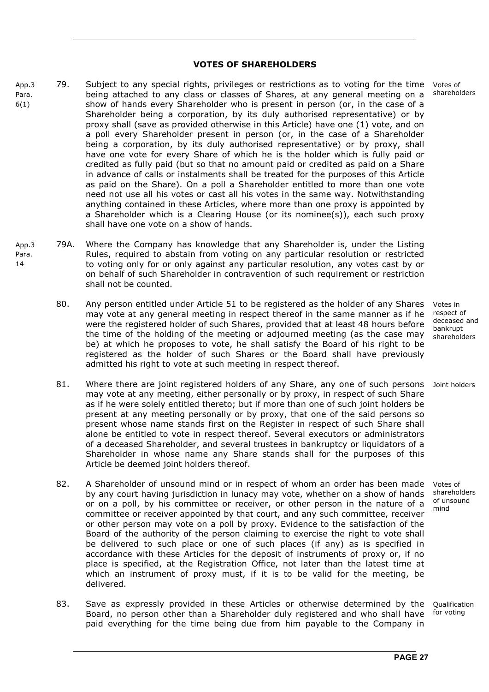#### **VOTES OF SHAREHOLDERS**

- App.3 Para. 6(1) 79. Subject to any special rights, privileges or restrictions as to voting for the time being attached to any class or classes of Shares, at any general meeting on a show of hands every Shareholder who is present in person (or, in the case of a Shareholder being a corporation, by its duly authorised representative) or by proxy shall (save as provided otherwise in this Article) have one (1) vote, and on a poll every Shareholder present in person (or, in the case of a Shareholder being a corporation, by its duly authorised representative) or by proxy, shall have one vote for every Share of which he is the holder which is fully paid or credited as fully paid (but so that no amount paid or credited as paid on a Share in advance of calls or instalments shall be treated for the purposes of this Article as paid on the Share). On a poll a Shareholder entitled to more than one vote need not use all his votes or cast all his votes in the same way. Notwithstanding anything contained in these Articles, where more than one proxy is appointed by a Shareholder which is a Clearing House (or its nominee(s)), each such proxy shall have one vote on a show of hands.
- App.3 Para. 14 79A. Where the Company has knowledge that any Shareholder is, under the Listing Rules, required to abstain from voting on any particular resolution or restricted to voting only for or only against any particular resolution, any votes cast by or on behalf of such Shareholder in contravention of such requirement or restriction shall not be counted.
	- 80. Any person entitled under Article 51 to be registered as the holder of any Shares may vote at any general meeting in respect thereof in the same manner as if he were the registered holder of such Shares, provided that at least 48 hours before the time of the holding of the meeting or adjourned meeting (as the case may be) at which he proposes to vote, he shall satisfy the Board of his right to be registered as the holder of such Shares or the Board shall have previously admitted his right to vote at such meeting in respect thereof.
	- 81. Where there are joint registered holders of any Share, any one of such persons Joint holders may vote at any meeting, either personally or by proxy, in respect of such Share as if he were solely entitled thereto; but if more than one of such joint holders be present at any meeting personally or by proxy, that one of the said persons so present whose name stands first on the Register in respect of such Share shall alone be entitled to vote in respect thereof. Several executors or administrators of a deceased Shareholder, and several trustees in bankruptcy or liquidators of a Shareholder in whose name any Share stands shall for the purposes of this Article be deemed joint holders thereof.
	- 82. A Shareholder of unsound mind or in respect of whom an order has been made by any court having jurisdiction in lunacy may vote, whether on a show of hands or on a poll, by his committee or receiver, or other person in the nature of a committee or receiver appointed by that court, and any such committee, receiver or other person may vote on a poll by proxy. Evidence to the satisfaction of the Board of the authority of the person claiming to exercise the right to vote shall be delivered to such place or one of such places (if any) as is specified in accordance with these Articles for the deposit of instruments of proxy or, if no place is specified, at the Registration Office, not later than the latest time at which an instrument of proxy must, if it is to be valid for the meeting, be delivered.
	- 83. Save as expressly provided in these Articles or otherwise determined by the Board, no person other than a Shareholder duly registered and who shall have paid everything for the time being due from him payable to the Company in Qualification for voting

Votes of shareholders

Votes in respect of deceased and bankrupt shareholders

Votes of shareholders of unsound mind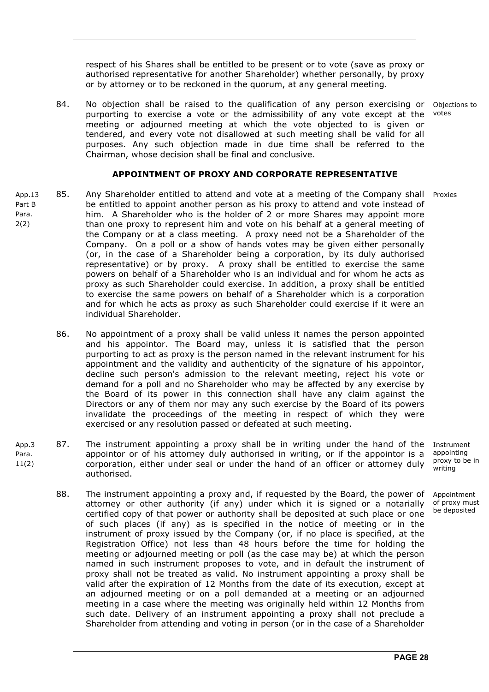respect of his Shares shall be entitled to be present or to vote (save as proxy or authorised representative for another Shareholder) whether personally, by proxy or by attorney or to be reckoned in the quorum, at any general meeting.

84. No objection shall be raised to the qualification of any person exercising or purporting to exercise a vote or the admissibility of any vote except at the meeting or adjourned meeting at which the vote objected to is given or tendered, and every vote not disallowed at such meeting shall be valid for all purposes. Any such objection made in due time shall be referred to the Chairman, whose decision shall be final and conclusive. Objections to votes

#### **APPOINTMENT OF PROXY AND CORPORATE REPRESENTATIVE**

- App.13 Part B Para. 2(2) 85. Any Shareholder entitled to attend and vote at a meeting of the Company shall Proxies be entitled to appoint another person as his proxy to attend and vote instead of him. A Shareholder who is the holder of 2 or more Shares may appoint more than one proxy to represent him and vote on his behalf at a general meeting of the Company or at a class meeting. A proxy need not be a Shareholder of the Company. On a poll or a show of hands votes may be given either personally (or, in the case of a Shareholder being a corporation, by its duly authorised representative) or by proxy. A proxy shall be entitled to exercise the same powers on behalf of a Shareholder who is an individual and for whom he acts as proxy as such Shareholder could exercise. In addition, a proxy shall be entitled to exercise the same powers on behalf of a Shareholder which is a corporation and for which he acts as proxy as such Shareholder could exercise if it were an individual Shareholder.
	- 86. No appointment of a proxy shall be valid unless it names the person appointed and his appointor. The Board may, unless it is satisfied that the person purporting to act as proxy is the person named in the relevant instrument for his appointment and the validity and authenticity of the signature of his appointor, decline such person's admission to the relevant meeting, reject his vote or demand for a poll and no Shareholder who may be affected by any exercise by the Board of its power in this connection shall have any claim against the Directors or any of them nor may any such exercise by the Board of its powers invalidate the proceedings of the meeting in respect of which they were exercised or any resolution passed or defeated at such meeting.
- App.3 Para. 11(2) 87. The instrument appointing a proxy shall be in writing under the hand of the appointor or of his attorney duly authorised in writing, or if the appointor is a corporation, either under seal or under the hand of an officer or attorney duly authorised.
	- 88. The instrument appointing a proxy and, if requested by the Board, the power of attorney or other authority (if any) under which it is signed or a notarially certified copy of that power or authority shall be deposited at such place or one of such places (if any) as is specified in the notice of meeting or in the instrument of proxy issued by the Company (or, if no place is specified, at the Registration Office) not less than 48 hours before the time for holding the meeting or adjourned meeting or poll (as the case may be) at which the person named in such instrument proposes to vote, and in default the instrument of proxy shall not be treated as valid. No instrument appointing a proxy shall be valid after the expiration of 12 Months from the date of its execution, except at an adjourned meeting or on a poll demanded at a meeting or an adjourned meeting in a case where the meeting was originally held within 12 Months from such date. Delivery of an instrument appointing a proxy shall not preclude a Shareholder from attending and voting in person (or in the case of a Shareholder

Instrument appointing proxy to be in writing

**Annointment** of proxy must be deposited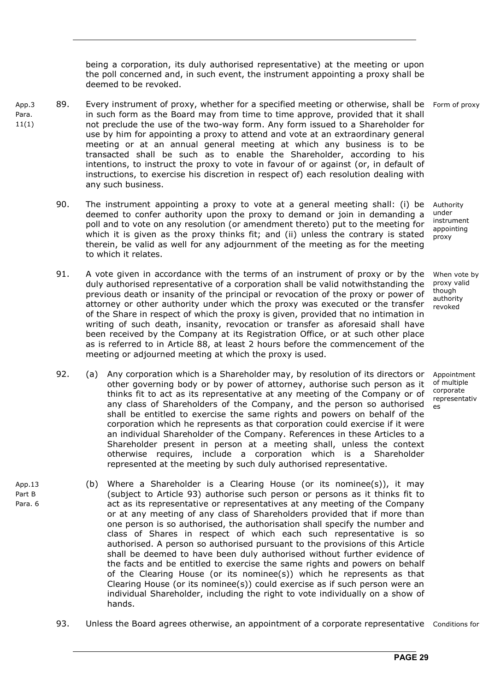being a corporation, its duly authorised representative) at the meeting or upon the poll concerned and, in such event, the instrument appointing a proxy shall be deemed to be revoked.

- App.3 Para. 11(1) 89. Every instrument of proxy, whether for a specified meeting or otherwise, shall be Form of proxy in such form as the Board may from time to time approve, provided that it shall not preclude the use of the two-way form. Any form issued to a Shareholder for use by him for appointing a proxy to attend and vote at an extraordinary general meeting or at an annual general meeting at which any business is to be transacted shall be such as to enable the Shareholder, according to his intentions, to instruct the proxy to vote in favour of or against (or, in default of instructions, to exercise his discretion in respect of) each resolution dealing with any such business.
	- 90. The instrument appointing a proxy to vote at a general meeting shall: (i) be deemed to confer authority upon the proxy to demand or join in demanding a poll and to vote on any resolution (or amendment thereto) put to the meeting for which it is given as the proxy thinks fit; and (ii) unless the contrary is stated therein, be valid as well for any adjournment of the meeting as for the meeting to which it relates. Authority under instrument appointing proxy
	- 91. A vote given in accordance with the terms of an instrument of proxy or by the duly authorised representative of a corporation shall be valid notwithstanding the previous death or insanity of the principal or revocation of the proxy or power of attorney or other authority under which the proxy was executed or the transfer of the Share in respect of which the proxy is given, provided that no intimation in writing of such death, insanity, revocation or transfer as aforesaid shall have been received by the Company at its Registration Office, or at such other place as is referred to in Article 88, at least 2 hours before the commencement of the meeting or adjourned meeting at which the proxy is used. When vote by proxy valid though authority revoked
	- 92. (a) Any corporation which is a Shareholder may, by resolution of its directors or other governing body or by power of attorney, authorise such person as it thinks fit to act as its representative at any meeting of the Company or of any class of Shareholders of the Company, and the person so authorised shall be entitled to exercise the same rights and powers on behalf of the corporation which he represents as that corporation could exercise if it were an individual Shareholder of the Company. References in these Articles to a Shareholder present in person at a meeting shall, unless the context otherwise requires, include a corporation which is a Shareholder represented at the meeting by such duly authorised representative.
	- (b) Where a Shareholder is a Clearing House (or its nominee(s)), it may (subject to Article 93) authorise such person or persons as it thinks fit to act as its representative or representatives at any meeting of the Company or at any meeting of any class of Shareholders provided that if more than one person is so authorised, the authorisation shall specify the number and class of Shares in respect of which each such representative is so authorised. A person so authorised pursuant to the provisions of this Article shall be deemed to have been duly authorised without further evidence of the facts and be entitled to exercise the same rights and powers on behalf of the Clearing House (or its nominee(s)) which he represents as that Clearing House (or its nominee(s)) could exercise as if such person were an individual Shareholder, including the right to vote individually on a show of hands.
		- 93. Unless the Board agrees otherwise, an appointment of a corporate representative Conditions for

Appointment of multiple corporate representativ es

App.13 Part B Para. 6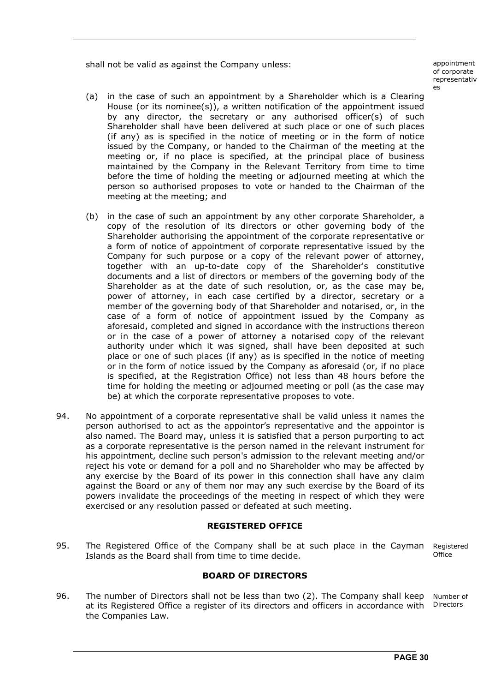shall not be valid as against the Company unless: appointment

of corporate representativ es

- (a) in the case of such an appointment by a Shareholder which is a Clearing House (or its nominee(s)), a written notification of the appointment issued by any director, the secretary or any authorised officer(s) of such Shareholder shall have been delivered at such place or one of such places (if any) as is specified in the notice of meeting or in the form of notice issued by the Company, or handed to the Chairman of the meeting at the meeting or, if no place is specified, at the principal place of business maintained by the Company in the Relevant Territory from time to time before the time of holding the meeting or adjourned meeting at which the person so authorised proposes to vote or handed to the Chairman of the meeting at the meeting; and
- (b) in the case of such an appointment by any other corporate Shareholder, a copy of the resolution of its directors or other governing body of the Shareholder authorising the appointment of the corporate representative or a form of notice of appointment of corporate representative issued by the Company for such purpose or a copy of the relevant power of attorney, together with an up-to-date copy of the Shareholder's constitutive documents and a list of directors or members of the governing body of the Shareholder as at the date of such resolution, or, as the case may be, power of attorney, in each case certified by a director, secretary or a member of the governing body of that Shareholder and notarised, or, in the case of a form of notice of appointment issued by the Company as aforesaid, completed and signed in accordance with the instructions thereon or in the case of a power of attorney a notarised copy of the relevant authority under which it was signed, shall have been deposited at such place or one of such places (if any) as is specified in the notice of meeting or in the form of notice issued by the Company as aforesaid (or, if no place is specified, at the Registration Office) not less than 48 hours before the time for holding the meeting or adjourned meeting or poll (as the case may be) at which the corporate representative proposes to vote.
- 94. No appointment of a corporate representative shall be valid unless it names the person authorised to act as the appointor's representative and the appointor is also named. The Board may, unless it is satisfied that a person purporting to act as a corporate representative is the person named in the relevant instrument for his appointment, decline such person's admission to the relevant meeting and/or reject his vote or demand for a poll and no Shareholder who may be affected by any exercise by the Board of its power in this connection shall have any claim against the Board or any of them nor may any such exercise by the Board of its powers invalidate the proceedings of the meeting in respect of which they were exercised or any resolution passed or defeated at such meeting.

#### **REGISTERED OFFICE**

95. The Registered Office of the Company shall be at such place in the Cayman Islands as the Board shall from time to time decide. Registered **Office** 

#### **BOARD OF DIRECTORS**

96. The number of Directors shall not be less than two (2). The Company shall keep at its Registered Office a register of its directors and officers in accordance with the Companies Law. Number of Directors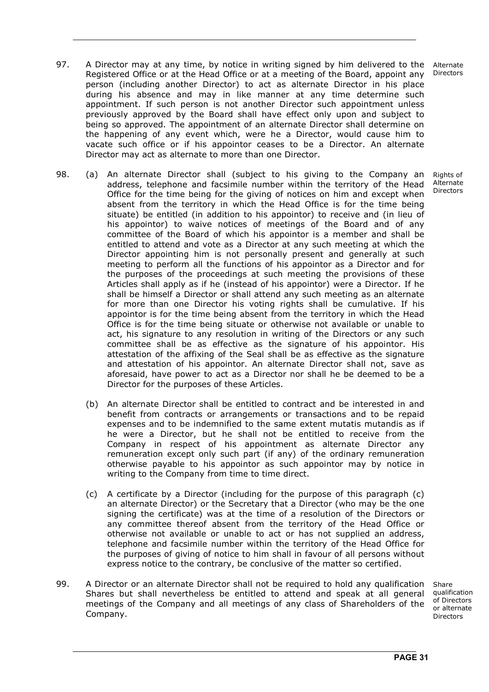- 97. A Director may at any time, by notice in writing signed by him delivered to the Registered Office or at the Head Office or at a meeting of the Board, appoint any person (including another Director) to act as alternate Director in his place during his absence and may in like manner at any time determine such appointment. If such person is not another Director such appointment unless previously approved by the Board shall have effect only upon and subject to being so approved. The appointment of an alternate Director shall determine on the happening of any event which, were he a Director, would cause him to vacate such office or if his appointor ceases to be a Director. An alternate Director may act as alternate to more than one Director.
- 98. (a) An alternate Director shall (subject to his giving to the Company an address, telephone and facsimile number within the territory of the Head Office for the time being for the giving of notices on him and except when absent from the territory in which the Head Office is for the time being situate) be entitled (in addition to his appointor) to receive and (in lieu of his appointor) to waive notices of meetings of the Board and of any committee of the Board of which his appointor is a member and shall be entitled to attend and vote as a Director at any such meeting at which the Director appointing him is not personally present and generally at such meeting to perform all the functions of his appointor as a Director and for the purposes of the proceedings at such meeting the provisions of these Articles shall apply as if he (instead of his appointor) were a Director. If he shall be himself a Director or shall attend any such meeting as an alternate for more than one Director his voting rights shall be cumulative. If his appointor is for the time being absent from the territory in which the Head Office is for the time being situate or otherwise not available or unable to act, his signature to any resolution in writing of the Directors or any such committee shall be as effective as the signature of his appointor. His attestation of the affixing of the Seal shall be as effective as the signature and attestation of his appointor. An alternate Director shall not, save as aforesaid, have power to act as a Director nor shall he be deemed to be a Director for the purposes of these Articles. Rights of Alternate Directors
	- (b) An alternate Director shall be entitled to contract and be interested in and benefit from contracts or arrangements or transactions and to be repaid expenses and to be indemnified to the same extent mutatis mutandis as if he were a Director, but he shall not be entitled to receive from the Company in respect of his appointment as alternate Director any remuneration except only such part (if any) of the ordinary remuneration otherwise payable to his appointor as such appointor may by notice in writing to the Company from time to time direct.
	- (c) A certificate by a Director (including for the purpose of this paragraph (c) an alternate Director) or the Secretary that a Director (who may be the one signing the certificate) was at the time of a resolution of the Directors or any committee thereof absent from the territory of the Head Office or otherwise not available or unable to act or has not supplied an address, telephone and facsimile number within the territory of the Head Office for the purposes of giving of notice to him shall in favour of all persons without express notice to the contrary, be conclusive of the matter so certified.
- 99. A Director or an alternate Director shall not be required to hold any qualification Shares but shall nevertheless be entitled to attend and speak at all general meetings of the Company and all meetings of any class of Shareholders of the Company.

Share qualification of Directors or alternate **Directors**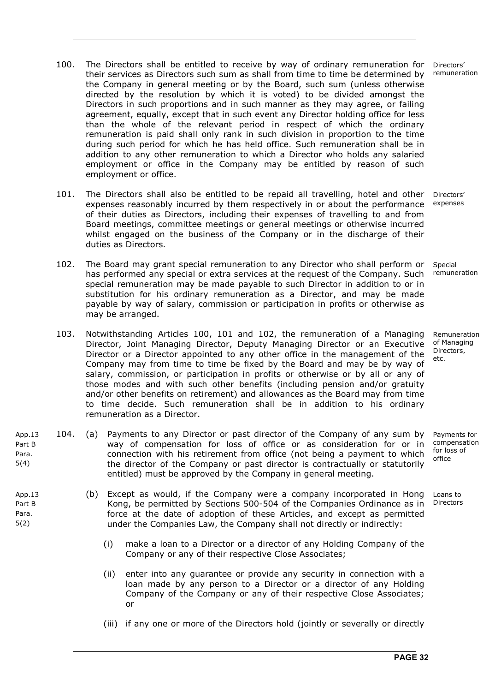- 100. The Directors shall be entitled to receive by way of ordinary remuneration for their services as Directors such sum as shall from time to time be determined by the Company in general meeting or by the Board, such sum (unless otherwise directed by the resolution by which it is voted) to be divided amongst the Directors in such proportions and in such manner as they may agree, or failing agreement, equally, except that in such event any Director holding office for less than the whole of the relevant period in respect of which the ordinary remuneration is paid shall only rank in such division in proportion to the time during such period for which he has held office. Such remuneration shall be in addition to any other remuneration to which a Director who holds any salaried employment or office in the Company may be entitled by reason of such employment or office.
- 101. The Directors shall also be entitled to be repaid all travelling, hotel and other expenses reasonably incurred by them respectively in or about the performance of their duties as Directors, including their expenses of travelling to and from Board meetings, committee meetings or general meetings or otherwise incurred whilst engaged on the business of the Company or in the discharge of their duties as Directors.
- 102. The Board may grant special remuneration to any Director who shall perform or has performed any special or extra services at the request of the Company. Such special remuneration may be made payable to such Director in addition to or in substitution for his ordinary remuneration as a Director, and may be made payable by way of salary, commission or participation in profits or otherwise as may be arranged.
- 103. Notwithstanding Articles 100, 101 and 102, the remuneration of a Managing Director, Joint Managing Director, Deputy Managing Director or an Executive Director or a Director appointed to any other office in the management of the Company may from time to time be fixed by the Board and may be by way of salary, commission, or participation in profits or otherwise or by all or any of those modes and with such other benefits (including pension and/or gratuity and/or other benefits on retirement) and allowances as the Board may from time to time decide. Such remuneration shall be in addition to his ordinary remuneration as a Director.
- App.13 Part B Para. 5(4) 104. (a) Payments to any Director or past director of the Company of any sum by way of compensation for loss of office or as consideration for or in connection with his retirement from office (not being a payment to which the director of the Company or past director is contractually or statutorily entitled) must be approved by the Company in general meeting.

App.13 Part B Para. 5(2)

- (b) Except as would, if the Company were a company incorporated in Hong Kong, be permitted by Sections 500-504 of the Companies Ordinance as in force at the date of adoption of these Articles, and except as permitted under the Companies Law, the Company shall not directly or indirectly:
	- (i) make a loan to a Director or a director of any Holding Company of the Company or any of their respective Close Associates;
	- (ii) enter into any guarantee or provide any security in connection with a loan made by any person to a Director or a director of any Holding Company of the Company or any of their respective Close Associates; or
	- (iii) if any one or more of the Directors hold (jointly or severally or directly

Directors' remuneration

Directors' expenses

Special remuneration

Remuneration of Managing Directors, etc.

Payments for compensation for loss of office

Loans to **Directors**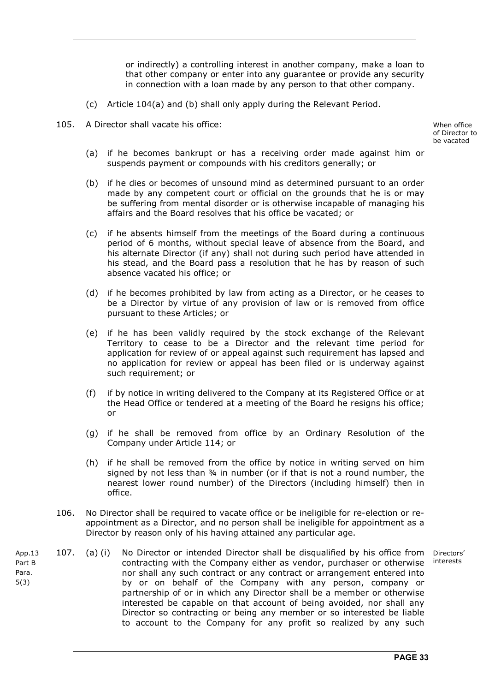or indirectly) a controlling interest in another company, make a loan to that other company or enter into any guarantee or provide any security in connection with a loan made by any person to that other company.

- (c) Article 104(a) and (b) shall only apply during the Relevant Period.
- 105. A Director shall vacate his office: When office

of Director to be vacated

- (a) if he becomes bankrupt or has a receiving order made against him or suspends payment or compounds with his creditors generally; or
- (b) if he dies or becomes of unsound mind as determined pursuant to an order made by any competent court or official on the grounds that he is or may be suffering from mental disorder or is otherwise incapable of managing his affairs and the Board resolves that his office be vacated; or
- (c) if he absents himself from the meetings of the Board during a continuous period of 6 months, without special leave of absence from the Board, and his alternate Director (if any) shall not during such period have attended in his stead, and the Board pass a resolution that he has by reason of such absence vacated his office; or
- (d) if he becomes prohibited by law from acting as a Director, or he ceases to be a Director by virtue of any provision of law or is removed from office pursuant to these Articles; or
- (e) if he has been validly required by the stock exchange of the Relevant Territory to cease to be a Director and the relevant time period for application for review of or appeal against such requirement has lapsed and no application for review or appeal has been filed or is underway against such requirement; or
- (f) if by notice in writing delivered to the Company at its Registered Office or at the Head Office or tendered at a meeting of the Board he resigns his office; or
- (g) if he shall be removed from office by an Ordinary Resolution of the Company under Article 114; or
- (h) if he shall be removed from the office by notice in writing served on him signed by not less than ¾ in number (or if that is not a round number, the nearest lower round number) of the Directors (including himself) then in office.
- 106. No Director shall be required to vacate office or be ineligible for re-election or reappointment as a Director, and no person shall be ineligible for appointment as a Director by reason only of his having attained any particular age.
- App.13 Part B Para. 5(3) 107. (a) (i) No Director or intended Director shall be disqualified by his office from contracting with the Company either as vendor, purchaser or otherwise nor shall any such contract or any contract or arrangement entered into by or on behalf of the Company with any person, company or partnership of or in which any Director shall be a member or otherwise interested be capable on that account of being avoided, nor shall any Director so contracting or being any member or so interested be liable to account to the Company for any profit so realized by any such Directors' interests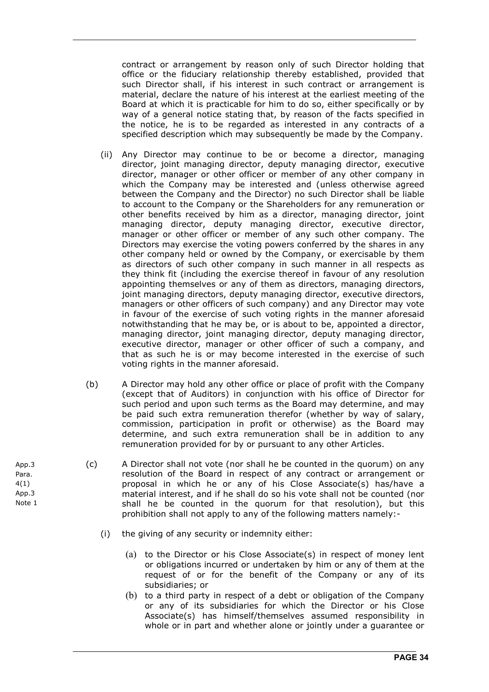contract or arrangement by reason only of such Director holding that office or the fiduciary relationship thereby established, provided that such Director shall, if his interest in such contract or arrangement is material, declare the nature of his interest at the earliest meeting of the Board at which it is practicable for him to do so, either specifically or by way of a general notice stating that, by reason of the facts specified in the notice, he is to be regarded as interested in any contracts of a specified description which may subsequently be made by the Company.

- (ii) Any Director may continue to be or become a director, managing director, joint managing director, deputy managing director, executive director, manager or other officer or member of any other company in which the Company may be interested and (unless otherwise agreed between the Company and the Director) no such Director shall be liable to account to the Company or the Shareholders for any remuneration or other benefits received by him as a director, managing director, joint managing director, deputy managing director, executive director, manager or other officer or member of any such other company. The Directors may exercise the voting powers conferred by the shares in any other company held or owned by the Company, or exercisable by them as directors of such other company in such manner in all respects as they think fit (including the exercise thereof in favour of any resolution appointing themselves or any of them as directors, managing directors, joint managing directors, deputy managing director, executive directors, managers or other officers of such company) and any Director may vote in favour of the exercise of such voting rights in the manner aforesaid notwithstanding that he may be, or is about to be, appointed a director, managing director, joint managing director, deputy managing director, executive director, manager or other officer of such a company, and that as such he is or may become interested in the exercise of such voting rights in the manner aforesaid.
- (b) A Director may hold any other office or place of profit with the Company (except that of Auditors) in conjunction with his office of Director for such period and upon such terms as the Board may determine, and may be paid such extra remuneration therefor (whether by way of salary, commission, participation in profit or otherwise) as the Board may determine, and such extra remuneration shall be in addition to any remuneration provided for by or pursuant to any other Articles.
- (c) A Director shall not vote (nor shall he be counted in the quorum) on any resolution of the Board in respect of any contract or arrangement or proposal in which he or any of his Close Associate(s) has/have a material interest, and if he shall do so his vote shall not be counted (nor shall he be counted in the quorum for that resolution), but this prohibition shall not apply to any of the following matters namely:-
	- (i) the giving of any security or indemnity either:
		- (a) to the Director or his Close Associate(s) in respect of money lent or obligations incurred or undertaken by him or any of them at the request of or for the benefit of the Company or any of its subsidiaries; or
		- (b) to a third party in respect of a debt or obligation of the Company or any of its subsidiaries for which the Director or his Close Associate(s) has himself/themselves assumed responsibility in whole or in part and whether alone or jointly under a guarantee or

App.3 Para. 4(1) App.3 Note 1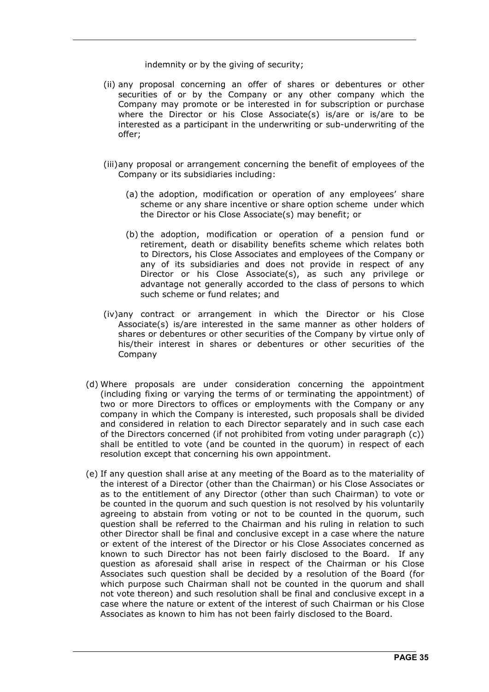indemnity or by the giving of security;

- (ii) any proposal concerning an offer of shares or debentures or other securities of or by the Company or any other company which the Company may promote or be interested in for subscription or purchase where the Director or his Close Associate(s) is/are or is/are to be interested as a participant in the underwriting or sub-underwriting of the offer;
- (iii) any proposal or arrangement concerning the benefit of employees of the Company or its subsidiaries including:
	- (a) the adoption, modification or operation of any employees' share scheme or any share incentive or share option scheme under which the Director or his Close Associate(s) may benefit; or
	- (b) the adoption, modification or operation of a pension fund or retirement, death or disability benefits scheme which relates both to Directors, his Close Associates and employees of the Company or any of its subsidiaries and does not provide in respect of any Director or his Close Associate(s), as such any privilege or advantage not generally accorded to the class of persons to which such scheme or fund relates; and
- (iv) any contract or arrangement in which the Director or his Close Associate(s) is/are interested in the same manner as other holders of shares or debentures or other securities of the Company by virtue only of his/their interest in shares or debentures or other securities of the Company
- (d) Where proposals are under consideration concerning the appointment (including fixing or varying the terms of or terminating the appointment) of two or more Directors to offices or employments with the Company or any company in which the Company is interested, such proposals shall be divided and considered in relation to each Director separately and in such case each of the Directors concerned (if not prohibited from voting under paragraph (c)) shall be entitled to vote (and be counted in the quorum) in respect of each resolution except that concerning his own appointment.
- (e) If any question shall arise at any meeting of the Board as to the materiality of the interest of a Director (other than the Chairman) or his Close Associates or as to the entitlement of any Director (other than such Chairman) to vote or be counted in the quorum and such question is not resolved by his voluntarily agreeing to abstain from voting or not to be counted in the quorum, such question shall be referred to the Chairman and his ruling in relation to such other Director shall be final and conclusive except in a case where the nature or extent of the interest of the Director or his Close Associates concerned as known to such Director has not been fairly disclosed to the Board. If any question as aforesaid shall arise in respect of the Chairman or his Close Associates such question shall be decided by a resolution of the Board (for which purpose such Chairman shall not be counted in the quorum and shall not vote thereon) and such resolution shall be final and conclusive except in a case where the nature or extent of the interest of such Chairman or his Close Associates as known to him has not been fairly disclosed to the Board.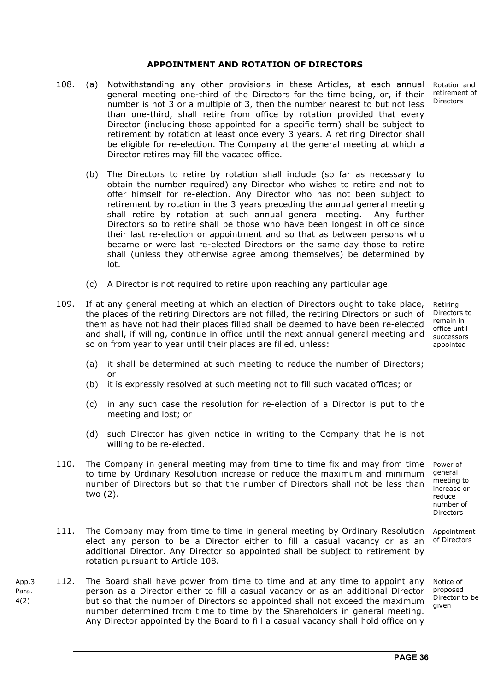#### **APPOINTMENT AND ROTATION OF DIRECTORS**

- 108. (a) Notwithstanding any other provisions in these Articles, at each annual general meeting one-third of the Directors for the time being, or, if their number is not 3 or a multiple of 3, then the number nearest to but not less than one-third, shall retire from office by rotation provided that every Director (including those appointed for a specific term) shall be subject to retirement by rotation at least once every 3 years. A retiring Director shall be eligible for re-election. The Company at the general meeting at which a Director retires may fill the vacated office.
	- (b) The Directors to retire by rotation shall include (so far as necessary to obtain the number required) any Director who wishes to retire and not to offer himself for re-election. Any Director who has not been subject to retirement by rotation in the 3 years preceding the annual general meeting shall retire by rotation at such annual general meeting. Any further Directors so to retire shall be those who have been longest in office since their last re-election or appointment and so that as between persons who became or were last re-elected Directors on the same day those to retire shall (unless they otherwise agree among themselves) be determined by lot.
	- (c) A Director is not required to retire upon reaching any particular age.
- 109. If at any general meeting at which an election of Directors ought to take place, the places of the retiring Directors are not filled, the retiring Directors or such of them as have not had their places filled shall be deemed to have been re-elected and shall, if willing, continue in office until the next annual general meeting and so on from year to year until their places are filled, unless:

Retiring Directors to remain in office until successors appointed

- (a) it shall be determined at such meeting to reduce the number of Directors; or
- (b) it is expressly resolved at such meeting not to fill such vacated offices; or
- (c) in any such case the resolution for re-election of a Director is put to the meeting and lost; or
- (d) such Director has given notice in writing to the Company that he is not willing to be re-elected.
- 110. The Company in general meeting may from time to time fix and may from time to time by Ordinary Resolution increase or reduce the maximum and minimum number of Directors but so that the number of Directors shall not be less than two (2). Power of

general meeting to increase or reduce number of Directors

- 111. The Company may from time to time in general meeting by Ordinary Resolution elect any person to be a Director either to fill a casual vacancy or as an additional Director. Any Director so appointed shall be subject to retirement by rotation pursuant to Article 108. Appointment of Directors
- App.3 Para. 4(2) 112. The Board shall have power from time to time and at any time to appoint any person as a Director either to fill a casual vacancy or as an additional Director but so that the number of Directors so appointed shall not exceed the maximum number determined from time to time by the Shareholders in general meeting. Any Director appointed by the Board to fill a casual vacancy shall hold office only

Notice of proposed Director to be given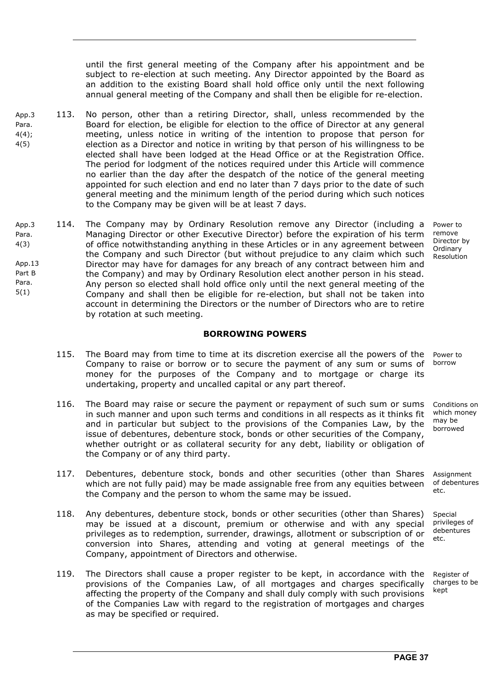until the first general meeting of the Company after his appointment and be subject to re-election at such meeting. Any Director appointed by the Board as an addition to the existing Board shall hold office only until the next following annual general meeting of the Company and shall then be eligible for re-election.

- App.3 Para. 4(4); 4(5) 113. No person, other than a retiring Director, shall, unless recommended by the Board for election, be eligible for election to the office of Director at any general meeting, unless notice in writing of the intention to propose that person for election as a Director and notice in writing by that person of his willingness to be elected shall have been lodged at the Head Office or at the Registration Office. The period for lodgment of the notices required under this Article will commence no earlier than the day after the despatch of the notice of the general meeting appointed for such election and end no later than 7 days prior to the date of such general meeting and the minimum length of the period during which such notices to the Company may be given will be at least 7 days.
- App.3 Para. 4(3) App.13 Part B Para. 5(1) 114. The Company may by Ordinary Resolution remove any Director (including a Managing Director or other Executive Director) before the expiration of his term of office notwithstanding anything in these Articles or in any agreement between the Company and such Director (but without prejudice to any claim which such Director may have for damages for any breach of any contract between him and the Company) and may by Ordinary Resolution elect another person in his stead. Any person so elected shall hold office only until the next general meeting of the Company and shall then be eligible for re-election, but shall not be taken into account in determining the Directors or the number of Directors who are to retire by rotation at such meeting. Power to remove Director by **Ordinary** Resolution

#### **BORROWING POWERS**

- 115. The Board may from time to time at its discretion exercise all the powers of the Company to raise or borrow or to secure the payment of any sum or sums of money for the purposes of the Company and to mortgage or charge its undertaking, property and uncalled capital or any part thereof. Power to
- 116. The Board may raise or secure the payment or repayment of such sum or sums in such manner and upon such terms and conditions in all respects as it thinks fit and in particular but subject to the provisions of the Companies Law, by the issue of debentures, debenture stock, bonds or other securities of the Company, whether outright or as collateral security for any debt, liability or obligation of the Company or of any third party.
- 117. Debentures, debenture stock, bonds and other securities (other than Shares which are not fully paid) may be made assignable free from any equities between the Company and the person to whom the same may be issued.
- 118. Any debentures, debenture stock, bonds or other securities (other than Shares) may be issued at a discount, premium or otherwise and with any special privileges as to redemption, surrender, drawings, allotment or subscription of or conversion into Shares, attending and voting at general meetings of the Company, appointment of Directors and otherwise.
- 119. The Directors shall cause a proper register to be kept, in accordance with the provisions of the Companies Law, of all mortgages and charges specifically affecting the property of the Company and shall duly comply with such provisions of the Companies Law with regard to the registration of mortgages and charges as may be specified or required.

borrow

Conditions on which money may be borrowed

Assignment of debentures etc.

Special privileges of debentures etc.

Register of charges to be kept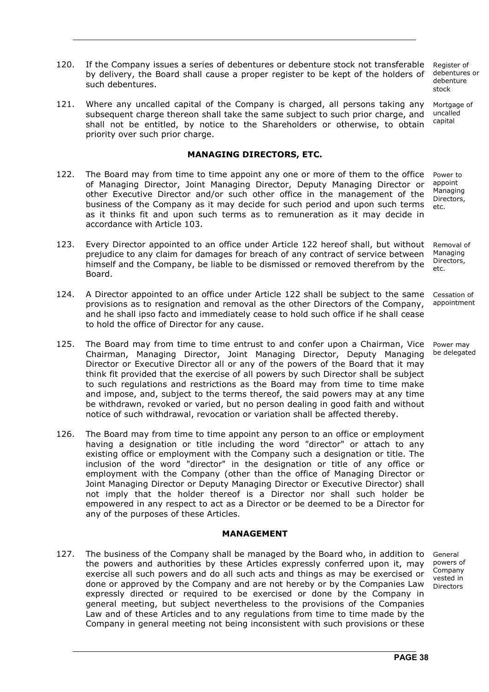120. If the Company issues a series of debentures or debenture stock not transferable by delivery, the Board shall cause a proper register to be kept of the holders of such debentures.

121. Where any uncalled capital of the Company is charged, all persons taking any subsequent charge thereon shall take the same subject to such prior charge, and shall not be entitled, by notice to the Shareholders or otherwise, to obtain priority over such prior charge.

#### **MANAGING DIRECTORS, ETC.**

- 122. The Board may from time to time appoint any one or more of them to the office of Managing Director, Joint Managing Director, Deputy Managing Director or other Executive Director and/or such other office in the management of the business of the Company as it may decide for such period and upon such terms as it thinks fit and upon such terms as to remuneration as it may decide in accordance with Article 103.
- 123. Every Director appointed to an office under Article 122 hereof shall, but without prejudice to any claim for damages for breach of any contract of service between himself and the Company, be liable to be dismissed or removed therefrom by the Board. etc.
- 124. A Director appointed to an office under Article 122 shall be subject to the same provisions as to resignation and removal as the other Directors of the Company, and he shall ipso facto and immediately cease to hold such office if he shall cease to hold the office of Director for any cause.
- 125. The Board may from time to time entrust to and confer upon a Chairman, Vice Chairman, Managing Director, Joint Managing Director, Deputy Managing Director or Executive Director all or any of the powers of the Board that it may think fit provided that the exercise of all powers by such Director shall be subject to such regulations and restrictions as the Board may from time to time make and impose, and, subject to the terms thereof, the said powers may at any time be withdrawn, revoked or varied, but no person dealing in good faith and without notice of such withdrawal, revocation or variation shall be affected thereby.
- 126. The Board may from time to time appoint any person to an office or employment having a designation or title including the word "director" or attach to any existing office or employment with the Company such a designation or title. The inclusion of the word "director" in the designation or title of any office or employment with the Company (other than the office of Managing Director or Joint Managing Director or Deputy Managing Director or Executive Director) shall not imply that the holder thereof is a Director nor shall such holder be empowered in any respect to act as a Director or be deemed to be a Director for any of the purposes of these Articles.

#### **MANAGEMENT**

127. The business of the Company shall be managed by the Board who, in addition to the powers and authorities by these Articles expressly conferred upon it, may exercise all such powers and do all such acts and things as may be exercised or done or approved by the Company and are not hereby or by the Companies Law expressly directed or required to be exercised or done by the Company in general meeting, but subject nevertheless to the provisions of the Companies Law and of these Articles and to any regulations from time to time made by the Company in general meeting not being inconsistent with such provisions or these

Register of debentures or debenture stock

Mortgage of uncalled capital

Power to appoint Managing Directors, etc.

Removal of **Managing** Directors,

Cessation of appointment

Power may be delegated

General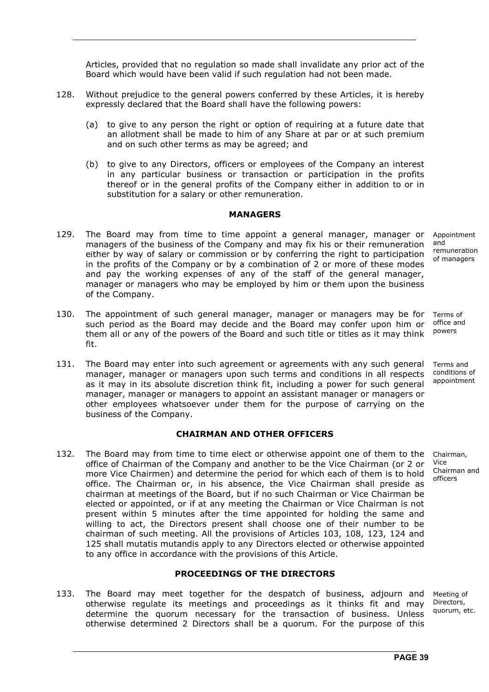Articles, provided that no regulation so made shall invalidate any prior act of the Board which would have been valid if such regulation had not been made.

- 128. Without prejudice to the general powers conferred by these Articles, it is hereby expressly declared that the Board shall have the following powers:
	- (a) to give to any person the right or option of requiring at a future date that an allotment shall be made to him of any Share at par or at such premium and on such other terms as may be agreed; and
	- (b) to give to any Directors, officers or employees of the Company an interest in any particular business or transaction or participation in the profits thereof or in the general profits of the Company either in addition to or in substitution for a salary or other remuneration.

#### **MANAGERS**

- 129. The Board may from time to time appoint a general manager, manager or managers of the business of the Company and may fix his or their remuneration either by way of salary or commission or by conferring the right to participation in the profits of the Company or by a combination of 2 or more of these modes and pay the working expenses of any of the staff of the general manager, manager or managers who may be employed by him or them upon the business of the Company.
- 130. The appointment of such general manager, manager or managers may be for such period as the Board may decide and the Board may confer upon him or them all or any of the powers of the Board and such title or titles as it may think fit. Terms of
- 131. The Board may enter into such agreement or agreements with any such general manager, manager or managers upon such terms and conditions in all respects as it may in its absolute discretion think fit, including a power for such general manager, manager or managers to appoint an assistant manager or managers or other employees whatsoever under them for the purpose of carrying on the business of the Company. Terms and

#### **CHAIRMAN AND OTHER OFFICERS**

132. The Board may from time to time elect or otherwise appoint one of them to the office of Chairman of the Company and another to be the Vice Chairman (or 2 or more Vice Chairmen) and determine the period for which each of them is to hold office. The Chairman or, in his absence, the Vice Chairman shall preside as chairman at meetings of the Board, but if no such Chairman or Vice Chairman be elected or appointed, or if at any meeting the Chairman or Vice Chairman is not present within 5 minutes after the time appointed for holding the same and willing to act, the Directors present shall choose one of their number to be chairman of such meeting. All the provisions of Articles 103, 108, 123, 124 and 125 shall mutatis mutandis apply to any Directors elected or otherwise appointed to any office in accordance with the provisions of this Article. Chairman, Vice Chairman and officers

#### **PROCEEDINGS OF THE DIRECTORS**

133. The Board may meet together for the despatch of business, adjourn and otherwise regulate its meetings and proceedings as it thinks fit and may determine the quorum necessary for the transaction of business. Unless otherwise determined 2 Directors shall be a quorum. For the purpose of this

Meeting of Directors, quorum, etc.

Appointment and remuneration of managers

office and powers

conditions of appointment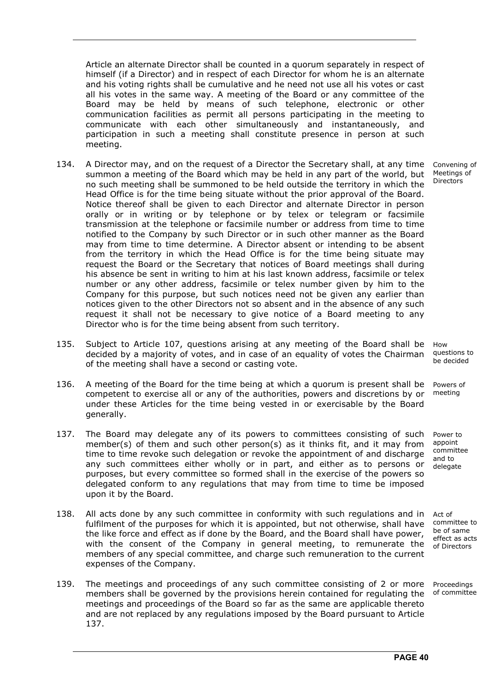Article an alternate Director shall be counted in a quorum separately in respect of himself (if a Director) and in respect of each Director for whom he is an alternate and his voting rights shall be cumulative and he need not use all his votes or cast all his votes in the same way. A meeting of the Board or any committee of the Board may be held by means of such telephone, electronic or other communication facilities as permit all persons participating in the meeting to communicate with each other simultaneously and instantaneously, and participation in such a meeting shall constitute presence in person at such meeting.

- 134. A Director may, and on the request of a Director the Secretary shall, at any time summon a meeting of the Board which may be held in any part of the world, but no such meeting shall be summoned to be held outside the territory in which the Head Office is for the time being situate without the prior approval of the Board. Notice thereof shall be given to each Director and alternate Director in person orally or in writing or by telephone or by telex or telegram or facsimile transmission at the telephone or facsimile number or address from time to time notified to the Company by such Director or in such other manner as the Board may from time to time determine. A Director absent or intending to be absent from the territory in which the Head Office is for the time being situate may request the Board or the Secretary that notices of Board meetings shall during his absence be sent in writing to him at his last known address, facsimile or telex number or any other address, facsimile or telex number given by him to the Company for this purpose, but such notices need not be given any earlier than notices given to the other Directors not so absent and in the absence of any such request it shall not be necessary to give notice of a Board meeting to any Director who is for the time being absent from such territory.
- 135. Subject to Article 107, questions arising at any meeting of the Board shall be decided by a majority of votes, and in case of an equality of votes the Chairman of the meeting shall have a second or casting vote.
- 136. A meeting of the Board for the time being at which a quorum is present shall be competent to exercise all or any of the authorities, powers and discretions by or under these Articles for the time being vested in or exercisable by the Board generally.
- 137. The Board may delegate any of its powers to committees consisting of such member(s) of them and such other person(s) as it thinks fit, and it may from time to time revoke such delegation or revoke the appointment of and discharge any such committees either wholly or in part, and either as to persons or purposes, but every committee so formed shall in the exercise of the powers so delegated conform to any regulations that may from time to time be imposed upon it by the Board.
- 138. All acts done by any such committee in conformity with such regulations and in fulfilment of the purposes for which it is appointed, but not otherwise, shall have the like force and effect as if done by the Board, and the Board shall have power, with the consent of the Company in general meeting, to remunerate the members of any special committee, and charge such remuneration to the current expenses of the Company.
- 139. The meetings and proceedings of any such committee consisting of 2 or more members shall be governed by the provisions herein contained for regulating the meetings and proceedings of the Board so far as the same are applicable thereto and are not replaced by any regulations imposed by the Board pursuant to Article 137.

Convening of Meetings of **Directors** 

**How** questions to be decided

Powers of meeting

Power to appoint committee and to delegate

Act of committee to be of same effect as acts of Directors

Proceedings of committee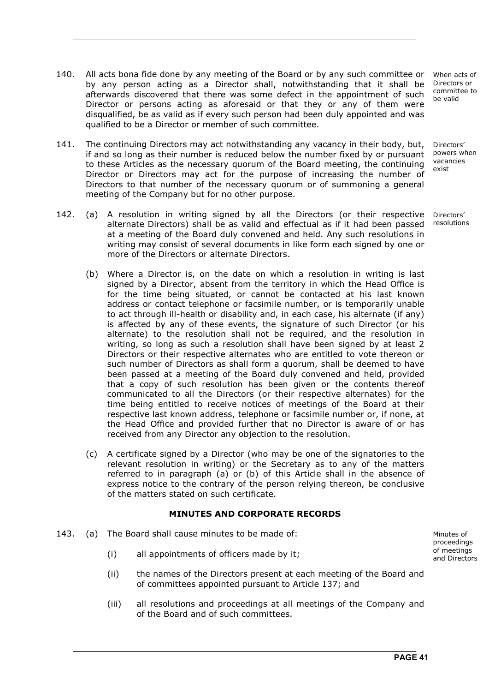- 140. All acts bona fide done by any meeting of the Board or by any such committee or by any person acting as a Director shall, notwithstanding that it shall be afterwards discovered that there was some defect in the appointment of such Director or persons acting as aforesaid or that they or any of them were disqualified, be as valid as if every such person had been duly appointed and was qualified to be a Director or member of such committee.
- 141. The continuing Directors may act notwithstanding any vacancy in their body, but, if and so long as their number is reduced below the number fixed by or pursuant to these Articles as the necessary quorum of the Board meeting, the continuing Director or Directors may act for the purpose of increasing the number of Directors to that number of the necessary quorum or of summoning a general meeting of the Company but for no other purpose.
- 142. (a) A resolution in writing signed by all the Directors (or their respective alternate Directors) shall be as valid and effectual as if it had been passed at a meeting of the Board duly convened and held. Any such resolutions in writing may consist of several documents in like form each signed by one or more of the Directors or alternate Directors.
	- (b) Where a Director is, on the date on which a resolution in writing is last signed by a Director, absent from the territory in which the Head Office is for the time being situated, or cannot be contacted at his last known address or contact telephone or facsimile number, or is temporarily unable to act through ill-health or disability and, in each case, his alternate (if any) is affected by any of these events, the signature of such Director (or his alternate) to the resolution shall not be required, and the resolution in writing, so long as such a resolution shall have been signed by at least 2 Directors or their respective alternates who are entitled to vote thereon or such number of Directors as shall form a quorum, shall be deemed to have been passed at a meeting of the Board duly convened and held, provided that a copy of such resolution has been given or the contents thereof communicated to all the Directors (or their respective alternates) for the time being entitled to receive notices of meetings of the Board at their respective last known address, telephone or facsimile number or, if none, at the Head Office and provided further that no Director is aware of or has received from any Director any objection to the resolution.
	- (c) A certificate signed by a Director (who may be one of the signatories to the relevant resolution in writing) or the Secretary as to any of the matters referred to in paragraph (a) or (b) of this Article shall in the absence of express notice to the contrary of the person relying thereon, be conclusive of the matters stated on such certificate.

#### **MINUTES AND CORPORATE RECORDS**

- 143. (a) The Board shall cause minutes to be made of:
	- (i) all appointments of officers made by it;
	- (ii) the names of the Directors present at each meeting of the Board and of committees appointed pursuant to Article 137; and
	- (iii) all resolutions and proceedings at all meetings of the Company and of the Board and of such committees.

When acts of Directors or committee to be valid

Directors' powers when vacancies exist

Directors' resolutions

Minutes of proceedings of meetings and Directors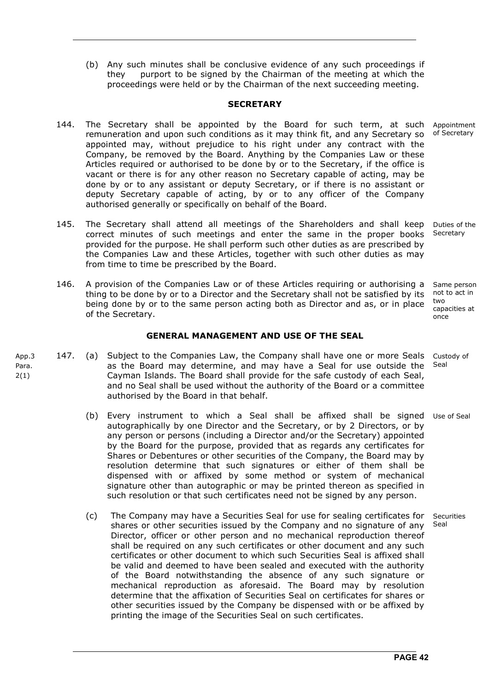(b) Any such minutes shall be conclusive evidence of any such proceedings if they purport to be signed by the Chairman of the meeting at which the proceedings were held or by the Chairman of the next succeeding meeting.

#### **SECRETARY**

- 144. The Secretary shall be appointed by the Board for such term, at such remuneration and upon such conditions as it may think fit, and any Secretary so appointed may, without prejudice to his right under any contract with the Company, be removed by the Board. Anything by the Companies Law or these Articles required or authorised to be done by or to the Secretary, if the office is vacant or there is for any other reason no Secretary capable of acting, may be done by or to any assistant or deputy Secretary, or if there is no assistant or deputy Secretary capable of acting, by or to any officer of the Company authorised generally or specifically on behalf of the Board. Appointment of Secretary
- 145. The Secretary shall attend all meetings of the Shareholders and shall keep correct minutes of such meetings and enter the same in the proper books provided for the purpose. He shall perform such other duties as are prescribed by the Companies Law and these Articles, together with such other duties as may from time to time be prescribed by the Board. Secretary
- 146. A provision of the Companies Law or of these Articles requiring or authorising a thing to be done by or to a Director and the Secretary shall not be satisfied by its being done by or to the same person acting both as Director and as, or in place of the Secretary. Same person not to act in two capacities at once

#### **GENERAL MANAGEMENT AND USE OF THE SEAL**

- App.3 2(1) 147. (a) Subject to the Companies Law, the Company shall have one or more Seals as the Board may determine, and may have a Seal for use outside the Cayman Islands. The Board shall provide for the safe custody of each Seal, and no Seal shall be used without the authority of the Board or a committee authorised by the Board in that behalf. Custody of Seal
	- (b) Every instrument to which a Seal shall be affixed shall be signed Use of Seal autographically by one Director and the Secretary, or by 2 Directors, or by any person or persons (including a Director and/or the Secretary) appointed by the Board for the purpose, provided that as regards any certificates for Shares or Debentures or other securities of the Company, the Board may by resolution determine that such signatures or either of them shall be dispensed with or affixed by some method or system of mechanical signature other than autographic or may be printed thereon as specified in such resolution or that such certificates need not be signed by any person.
		- (c) The Company may have a Securities Seal for use for sealing certificates for shares or other securities issued by the Company and no signature of any Director, officer or other person and no mechanical reproduction thereof shall be required on any such certificates or other document and any such certificates or other document to which such Securities Seal is affixed shall be valid and deemed to have been sealed and executed with the authority of the Board notwithstanding the absence of any such signature or mechanical reproduction as aforesaid. The Board may by resolution determine that the affixation of Securities Seal on certificates for shares or other securities issued by the Company be dispensed with or be affixed by printing the image of the Securities Seal on such certificates.

Para.

Duties of the

Securities Seal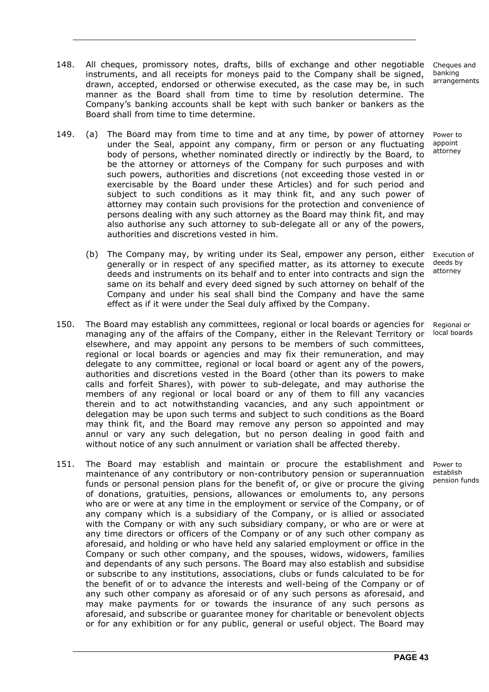- 148. All cheques, promissory notes, drafts, bills of exchange and other negotiable instruments, and all receipts for moneys paid to the Company shall be signed, drawn, accepted, endorsed or otherwise executed, as the case may be, in such manner as the Board shall from time to time by resolution determine. The Company's banking accounts shall be kept with such banker or bankers as the Board shall from time to time determine.
- 149. (a) The Board may from time to time and at any time, by power of attorney under the Seal, appoint any company, firm or person or any fluctuating body of persons, whether nominated directly or indirectly by the Board, to be the attorney or attorneys of the Company for such purposes and with such powers, authorities and discretions (not exceeding those vested in or exercisable by the Board under these Articles) and for such period and subject to such conditions as it may think fit, and any such power of attorney may contain such provisions for the protection and convenience of persons dealing with any such attorney as the Board may think fit, and may also authorise any such attorney to sub-delegate all or any of the powers, authorities and discretions vested in him.
	- (b) The Company may, by writing under its Seal, empower any person, either generally or in respect of any specified matter, as its attorney to execute deeds and instruments on its behalf and to enter into contracts and sign the same on its behalf and every deed signed by such attorney on behalf of the Company and under his seal shall bind the Company and have the same effect as if it were under the Seal duly affixed by the Company. Execution of deeds by attorney
- 150. The Board may establish any committees, regional or local boards or agencies for managing any of the affairs of the Company, either in the Relevant Territory or elsewhere, and may appoint any persons to be members of such committees, regional or local boards or agencies and may fix their remuneration, and may delegate to any committee, regional or local board or agent any of the powers, authorities and discretions vested in the Board (other than its powers to make calls and forfeit Shares), with power to sub-delegate, and may authorise the members of any regional or local board or any of them to fill any vacancies therein and to act notwithstanding vacancies, and any such appointment or delegation may be upon such terms and subject to such conditions as the Board may think fit, and the Board may remove any person so appointed and may annul or vary any such delegation, but no person dealing in good faith and without notice of any such annulment or variation shall be affected thereby. Regional or local boards
- 151. The Board may establish and maintain or procure the establishment and maintenance of any contributory or non-contributory pension or superannuation funds or personal pension plans for the benefit of, or give or procure the giving of donations, gratuities, pensions, allowances or emoluments to, any persons who are or were at any time in the employment or service of the Company, or of any company which is a subsidiary of the Company, or is allied or associated with the Company or with any such subsidiary company, or who are or were at any time directors or officers of the Company or of any such other company as aforesaid, and holding or who have held any salaried employment or office in the Company or such other company, and the spouses, widows, widowers, families and dependants of any such persons. The Board may also establish and subsidise or subscribe to any institutions, associations, clubs or funds calculated to be for the benefit of or to advance the interests and well-being of the Company or of any such other company as aforesaid or of any such persons as aforesaid, and may make payments for or towards the insurance of any such persons as aforesaid, and subscribe or guarantee money for charitable or benevolent objects or for any exhibition or for any public, general or useful object. The Board may

Cheques and banking arrangements

Power to appoint attorney

Power to establish pension funds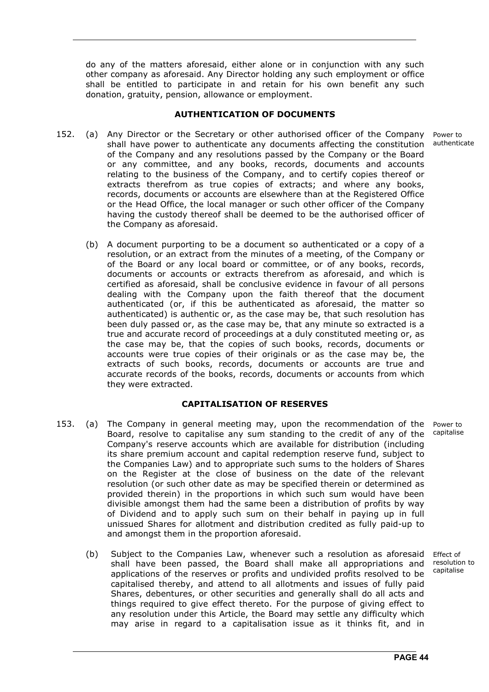do any of the matters aforesaid, either alone or in conjunction with any such other company as aforesaid. Any Director holding any such employment or office shall be entitled to participate in and retain for his own benefit any such donation, gratuity, pension, allowance or employment.

#### **AUTHENTICATION OF DOCUMENTS**

- 152. (a) Any Director or the Secretary or other authorised officer of the Company shall have power to authenticate any documents affecting the constitution of the Company and any resolutions passed by the Company or the Board or any committee, and any books, records, documents and accounts relating to the business of the Company, and to certify copies thereof or extracts therefrom as true copies of extracts; and where any books, records, documents or accounts are elsewhere than at the Registered Office or the Head Office, the local manager or such other officer of the Company having the custody thereof shall be deemed to be the authorised officer of the Company as aforesaid.
	- (b) A document purporting to be a document so authenticated or a copy of a resolution, or an extract from the minutes of a meeting, of the Company or of the Board or any local board or committee, or of any books, records, documents or accounts or extracts therefrom as aforesaid, and which is certified as aforesaid, shall be conclusive evidence in favour of all persons dealing with the Company upon the faith thereof that the document authenticated (or, if this be authenticated as aforesaid, the matter so authenticated) is authentic or, as the case may be, that such resolution has been duly passed or, as the case may be, that any minute so extracted is a true and accurate record of proceedings at a duly constituted meeting or, as the case may be, that the copies of such books, records, documents or accounts were true copies of their originals or as the case may be, the extracts of such books, records, documents or accounts are true and accurate records of the books, records, documents or accounts from which they were extracted.

#### **CAPITALISATION OF RESERVES**

- 153. (a) The Company in general meeting may, upon the recommendation of the Board, resolve to capitalise any sum standing to the credit of any of the Company's reserve accounts which are available for distribution (including its share premium account and capital redemption reserve fund, subject to the Companies Law) and to appropriate such sums to the holders of Shares on the Register at the close of business on the date of the relevant resolution (or such other date as may be specified therein or determined as provided therein) in the proportions in which such sum would have been divisible amongst them had the same been a distribution of profits by way of Dividend and to apply such sum on their behalf in paying up in full unissued Shares for allotment and distribution credited as fully paid-up to and amongst them in the proportion aforesaid.
	- (b) Subject to the Companies Law, whenever such a resolution as aforesaid shall have been passed, the Board shall make all appropriations and applications of the reserves or profits and undivided profits resolved to be capitalised thereby, and attend to all allotments and issues of fully paid Shares, debentures, or other securities and generally shall do all acts and things required to give effect thereto. For the purpose of giving effect to any resolution under this Article, the Board may settle any difficulty which may arise in regard to a capitalisation issue as it thinks fit, and in Effect of resolution to capitalise

Power to capitalise

Power to authenticate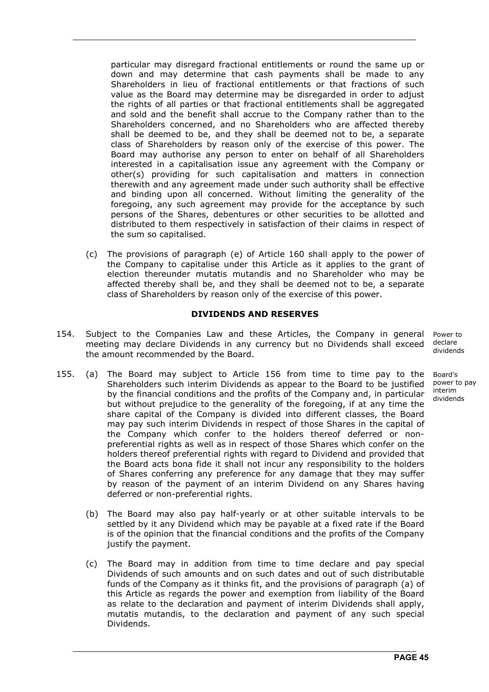particular may disregard fractional entitlements or round the same up or down and may determine that cash payments shall be made to any Shareholders in lieu of fractional entitlements or that fractions of such value as the Board may determine may be disregarded in order to adjust the rights of all parties or that fractional entitlements shall be aggregated and sold and the benefit shall accrue to the Company rather than to the Shareholders concerned, and no Shareholders who are affected thereby shall be deemed to be, and they shall be deemed not to be, a separate class of Shareholders by reason only of the exercise of this power. The Board may authorise any person to enter on behalf of all Shareholders interested in a capitalisation issue any agreement with the Company or other(s) providing for such capitalisation and matters in connection therewith and any agreement made under such authority shall be effective and binding upon all concerned. Without limiting the generality of the foregoing, any such agreement may provide for the acceptance by such persons of the Shares, debentures or other securities to be allotted and distributed to them respectively in satisfaction of their claims in respect of the sum so capitalised.

 (c) The provisions of paragraph (e) of Article 160 shall apply to the power of the Company to capitalise under this Article as it applies to the grant of election thereunder mutatis mutandis and no Shareholder who may be affected thereby shall be, and they shall be deemed not to be, a separate class of Shareholders by reason only of the exercise of this power.

#### **DIVIDENDS AND RESERVES**

- 154. Subject to the Companies Law and these Articles, the Company in general meeting may declare Dividends in any currency but no Dividends shall exceed the amount recommended by the Board. Power to
- 155. (a) The Board may subject to Article 156 from time to time pay to the Shareholders such interim Dividends as appear to the Board to be justified by the financial conditions and the profits of the Company and, in particular but without prejudice to the generality of the foregoing, if at any time the share capital of the Company is divided into different classes, the Board may pay such interim Dividends in respect of those Shares in the capital of the Company which confer to the holders thereof deferred or nonpreferential rights as well as in respect of those Shares which confer on the holders thereof preferential rights with regard to Dividend and provided that the Board acts bona fide it shall not incur any responsibility to the holders of Shares conferring any preference for any damage that they may suffer by reason of the payment of an interim Dividend on any Shares having deferred or non-preferential rights.
	- (b) The Board may also pay half-yearly or at other suitable intervals to be settled by it any Dividend which may be payable at a fixed rate if the Board is of the opinion that the financial conditions and the profits of the Company justify the payment.
	- (c) The Board may in addition from time to time declare and pay special Dividends of such amounts and on such dates and out of such distributable funds of the Company as it thinks fit, and the provisions of paragraph (a) of this Article as regards the power and exemption from liability of the Board as relate to the declaration and payment of interim Dividends shall apply, mutatis mutandis, to the declaration and payment of any such special Dividends.

declare dividends

Board's power to pay interim dividends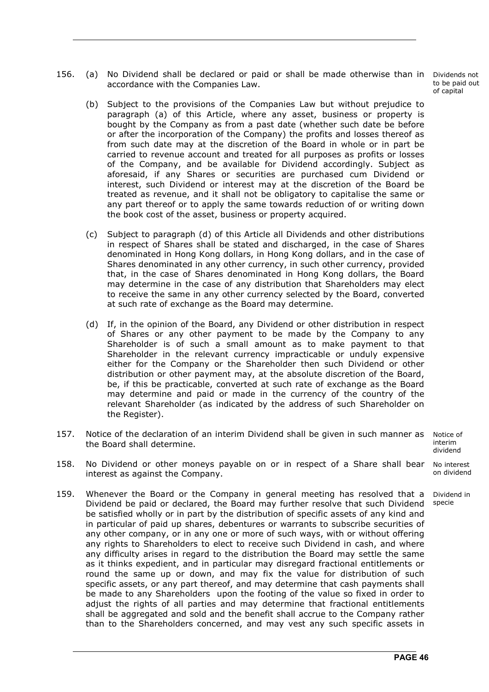156. (a) No Dividend shall be declared or paid or shall be made otherwise than in accordance with the Companies Law.

 (b) Subject to the provisions of the Companies Law but without prejudice to paragraph (a) of this Article, where any asset, business or property is bought by the Company as from a past date (whether such date be before or after the incorporation of the Company) the profits and losses thereof as from such date may at the discretion of the Board in whole or in part be carried to revenue account and treated for all purposes as profits or losses of the Company, and be available for Dividend accordingly. Subject as aforesaid, if any Shares or securities are purchased cum Dividend or interest, such Dividend or interest may at the discretion of the Board be treated as revenue, and it shall not be obligatory to capitalise the same or any part thereof or to apply the same towards reduction of or writing down the book cost of the asset, business or property acquired.

- (c) Subject to paragraph (d) of this Article all Dividends and other distributions in respect of Shares shall be stated and discharged, in the case of Shares denominated in Hong Kong dollars, in Hong Kong dollars, and in the case of Shares denominated in any other currency, in such other currency, provided that, in the case of Shares denominated in Hong Kong dollars, the Board may determine in the case of any distribution that Shareholders may elect to receive the same in any other currency selected by the Board, converted at such rate of exchange as the Board may determine.
- (d) If, in the opinion of the Board, any Dividend or other distribution in respect of Shares or any other payment to be made by the Company to any Shareholder is of such a small amount as to make payment to that Shareholder in the relevant currency impracticable or unduly expensive either for the Company or the Shareholder then such Dividend or other distribution or other payment may, at the absolute discretion of the Board, be, if this be practicable, converted at such rate of exchange as the Board may determine and paid or made in the currency of the country of the relevant Shareholder (as indicated by the address of such Shareholder on the Register).
- 157. Notice of the declaration of an interim Dividend shall be given in such manner as the Board shall determine. Notice of
- 158. No Dividend or other moneys payable on or in respect of a Share shall bear interest as against the Company. No interest on dividend
- 159. Whenever the Board or the Company in general meeting has resolved that a Dividend be paid or declared, the Board may further resolve that such Dividend be satisfied wholly or in part by the distribution of specific assets of any kind and in particular of paid up shares, debentures or warrants to subscribe securities of any other company, or in any one or more of such ways, with or without offering any rights to Shareholders to elect to receive such Dividend in cash, and where any difficulty arises in regard to the distribution the Board may settle the same as it thinks expedient, and in particular may disregard fractional entitlements or round the same up or down, and may fix the value for distribution of such specific assets, or any part thereof, and may determine that cash payments shall be made to any Shareholders upon the footing of the value so fixed in order to adjust the rights of all parties and may determine that fractional entitlements shall be aggregated and sold and the benefit shall accrue to the Company rather than to the Shareholders concerned, and may vest any such specific assets in specie

Dividends not to be paid out of capital

interim dividend

Dividend in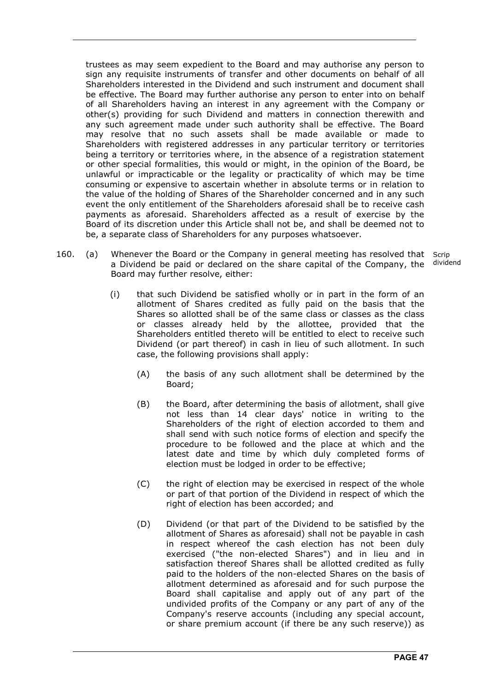trustees as may seem expedient to the Board and may authorise any person to sign any requisite instruments of transfer and other documents on behalf of all Shareholders interested in the Dividend and such instrument and document shall be effective. The Board may further authorise any person to enter into on behalf of all Shareholders having an interest in any agreement with the Company or other(s) providing for such Dividend and matters in connection therewith and any such agreement made under such authority shall be effective. The Board may resolve that no such assets shall be made available or made to Shareholders with registered addresses in any particular territory or territories being a territory or territories where, in the absence of a registration statement or other special formalities, this would or might, in the opinion of the Board, be unlawful or impracticable or the legality or practicality of which may be time consuming or expensive to ascertain whether in absolute terms or in relation to the value of the holding of Shares of the Shareholder concerned and in any such event the only entitlement of the Shareholders aforesaid shall be to receive cash payments as aforesaid. Shareholders affected as a result of exercise by the Board of its discretion under this Article shall not be, and shall be deemed not to be, a separate class of Shareholders for any purposes whatsoever.

- 160. (a) Whenever the Board or the Company in general meeting has resolved that Scrip a Dividend be paid or declared on the share capital of the Company, the Board may further resolve, either:
	- dividend
	- (i) that such Dividend be satisfied wholly or in part in the form of an allotment of Shares credited as fully paid on the basis that the Shares so allotted shall be of the same class or classes as the class or classes already held by the allottee, provided that the Shareholders entitled thereto will be entitled to elect to receive such Dividend (or part thereof) in cash in lieu of such allotment. In such case, the following provisions shall apply:
		- (A) the basis of any such allotment shall be determined by the Board;
		- (B) the Board, after determining the basis of allotment, shall give not less than 14 clear days' notice in writing to the Shareholders of the right of election accorded to them and shall send with such notice forms of election and specify the procedure to be followed and the place at which and the latest date and time by which duly completed forms of election must be lodged in order to be effective;
		- (C) the right of election may be exercised in respect of the whole or part of that portion of the Dividend in respect of which the right of election has been accorded; and
		- (D) Dividend (or that part of the Dividend to be satisfied by the allotment of Shares as aforesaid) shall not be payable in cash in respect whereof the cash election has not been duly exercised ("the non-elected Shares") and in lieu and in satisfaction thereof Shares shall be allotted credited as fully paid to the holders of the non-elected Shares on the basis of allotment determined as aforesaid and for such purpose the Board shall capitalise and apply out of any part of the undivided profits of the Company or any part of any of the Company's reserve accounts (including any special account, or share premium account (if there be any such reserve)) as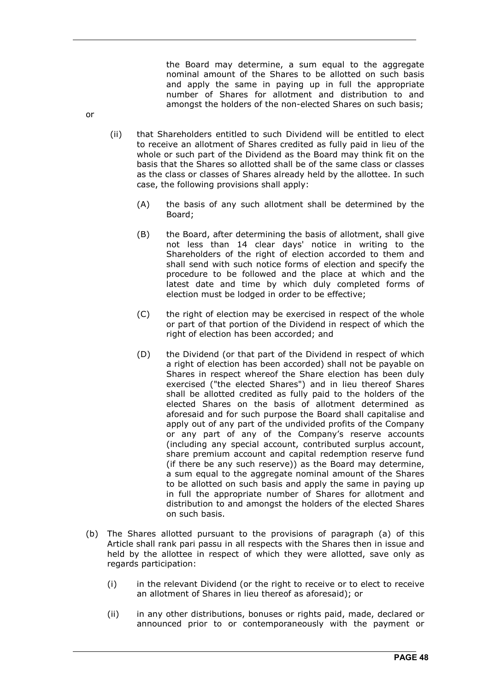the Board may determine, a sum equal to the aggregate nominal amount of the Shares to be allotted on such basis and apply the same in paying up in full the appropriate number of Shares for allotment and distribution to and amongst the holders of the non-elected Shares on such basis;

- (ii) that Shareholders entitled to such Dividend will be entitled to elect to receive an allotment of Shares credited as fully paid in lieu of the whole or such part of the Dividend as the Board may think fit on the basis that the Shares so allotted shall be of the same class or classes as the class or classes of Shares already held by the allottee. In such case, the following provisions shall apply:
	- (A) the basis of any such allotment shall be determined by the Board;
	- (B) the Board, after determining the basis of allotment, shall give not less than 14 clear days' notice in writing to the Shareholders of the right of election accorded to them and shall send with such notice forms of election and specify the procedure to be followed and the place at which and the latest date and time by which duly completed forms of election must be lodged in order to be effective;
	- (C) the right of election may be exercised in respect of the whole or part of that portion of the Dividend in respect of which the right of election has been accorded; and
	- (D) the Dividend (or that part of the Dividend in respect of which a right of election has been accorded) shall not be payable on Shares in respect whereof the Share election has been duly exercised ("the elected Shares") and in lieu thereof Shares shall be allotted credited as fully paid to the holders of the elected Shares on the basis of allotment determined as aforesaid and for such purpose the Board shall capitalise and apply out of any part of the undivided profits of the Company or any part of any of the Company's reserve accounts (including any special account, contributed surplus account, share premium account and capital redemption reserve fund (if there be any such reserve)) as the Board may determine, a sum equal to the aggregate nominal amount of the Shares to be allotted on such basis and apply the same in paying up in full the appropriate number of Shares for allotment and distribution to and amongst the holders of the elected Shares on such basis.
- (b) The Shares allotted pursuant to the provisions of paragraph (a) of this Article shall rank pari passu in all respects with the Shares then in issue and held by the allottee in respect of which they were allotted, save only as regards participation:
	- (i) in the relevant Dividend (or the right to receive or to elect to receive an allotment of Shares in lieu thereof as aforesaid); or
	- (ii) in any other distributions, bonuses or rights paid, made, declared or announced prior to or contemporaneously with the payment or

or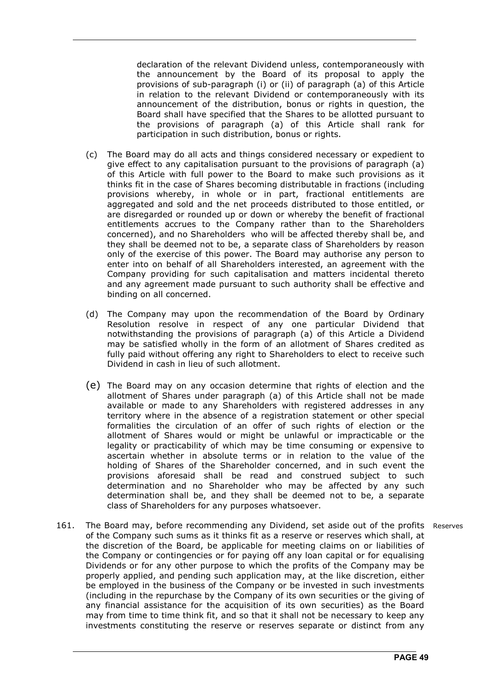declaration of the relevant Dividend unless, contemporaneously with the announcement by the Board of its proposal to apply the provisions of sub-paragraph (i) or (ii) of paragraph (a) of this Article in relation to the relevant Dividend or contemporaneously with its announcement of the distribution, bonus or rights in question, the Board shall have specified that the Shares to be allotted pursuant to the provisions of paragraph (a) of this Article shall rank for participation in such distribution, bonus or rights.

- (c) The Board may do all acts and things considered necessary or expedient to give effect to any capitalisation pursuant to the provisions of paragraph (a) of this Article with full power to the Board to make such provisions as it thinks fit in the case of Shares becoming distributable in fractions (including provisions whereby, in whole or in part, fractional entitlements are aggregated and sold and the net proceeds distributed to those entitled, or are disregarded or rounded up or down or whereby the benefit of fractional entitlements accrues to the Company rather than to the Shareholders concerned), and no Shareholders who will be affected thereby shall be, and they shall be deemed not to be, a separate class of Shareholders by reason only of the exercise of this power. The Board may authorise any person to enter into on behalf of all Shareholders interested, an agreement with the Company providing for such capitalisation and matters incidental thereto and any agreement made pursuant to such authority shall be effective and binding on all concerned.
- (d) The Company may upon the recommendation of the Board by Ordinary Resolution resolve in respect of any one particular Dividend that notwithstanding the provisions of paragraph (a) of this Article a Dividend may be satisfied wholly in the form of an allotment of Shares credited as fully paid without offering any right to Shareholders to elect to receive such Dividend in cash in lieu of such allotment.
- (e) The Board may on any occasion determine that rights of election and the allotment of Shares under paragraph (a) of this Article shall not be made available or made to any Shareholders with registered addresses in any territory where in the absence of a registration statement or other special formalities the circulation of an offer of such rights of election or the allotment of Shares would or might be unlawful or impracticable or the legality or practicability of which may be time consuming or expensive to ascertain whether in absolute terms or in relation to the value of the holding of Shares of the Shareholder concerned, and in such event the provisions aforesaid shall be read and construed subject to such determination and no Shareholder who may be affected by any such determination shall be, and they shall be deemed not to be, a separate class of Shareholders for any purposes whatsoever.
- 161. The Board may, before recommending any Dividend, set aside out of the profits Reserves of the Company such sums as it thinks fit as a reserve or reserves which shall, at the discretion of the Board, be applicable for meeting claims on or liabilities of the Company or contingencies or for paying off any loan capital or for equalising Dividends or for any other purpose to which the profits of the Company may be properly applied, and pending such application may, at the like discretion, either be employed in the business of the Company or be invested in such investments (including in the repurchase by the Company of its own securities or the giving of any financial assistance for the acquisition of its own securities) as the Board may from time to time think fit, and so that it shall not be necessary to keep any investments constituting the reserve or reserves separate or distinct from any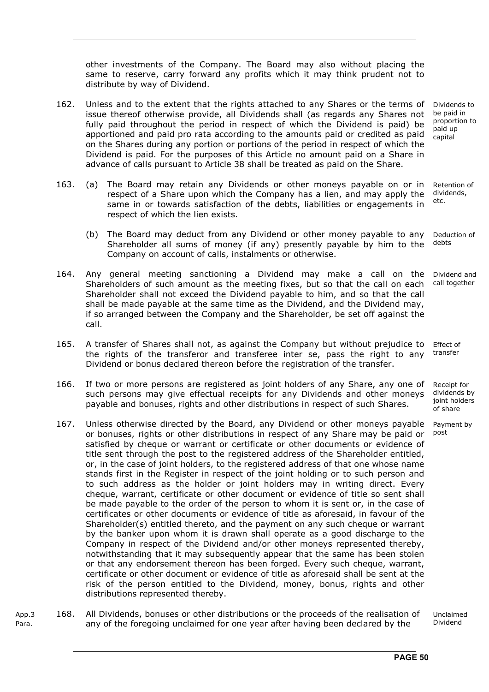other investments of the Company. The Board may also without placing the same to reserve, carry forward any profits which it may think prudent not to distribute by way of Dividend.

- 162. Unless and to the extent that the rights attached to any Shares or the terms of issue thereof otherwise provide, all Dividends shall (as regards any Shares not fully paid throughout the period in respect of which the Dividend is paid) be apportioned and paid pro rata according to the amounts paid or credited as paid on the Shares during any portion or portions of the period in respect of which the Dividend is paid. For the purposes of this Article no amount paid on a Share in advance of calls pursuant to Article 38 shall be treated as paid on the Share. Dividends to be paid in proportion to paid up capital
- 163. (a) The Board may retain any Dividends or other moneys payable on or in respect of a Share upon which the Company has a lien, and may apply the same in or towards satisfaction of the debts, liabilities or engagements in respect of which the lien exists. Retention of dividends, etc.
	- (b) The Board may deduct from any Dividend or other money payable to any Shareholder all sums of money (if any) presently payable by him to the Company on account of calls, instalments or otherwise. Deduction of debts
- 164. Any general meeting sanctioning a Dividend may make a call on the Shareholders of such amount as the meeting fixes, but so that the call on each Shareholder shall not exceed the Dividend payable to him, and so that the call shall be made payable at the same time as the Dividend, and the Dividend may, if so arranged between the Company and the Shareholder, be set off against the call.
- 165. A transfer of Shares shall not, as against the Company but without prejudice to the rights of the transferor and transferee inter se, pass the right to any Dividend or bonus declared thereon before the registration of the transfer. Effect of
- 166. If two or more persons are registered as joint holders of any Share, any one of such persons may give effectual receipts for any Dividends and other moneys payable and bonuses, rights and other distributions in respect of such Shares.
- 167. Unless otherwise directed by the Board, any Dividend or other moneys payable or bonuses, rights or other distributions in respect of any Share may be paid or satisfied by cheque or warrant or certificate or other documents or evidence of title sent through the post to the registered address of the Shareholder entitled, or, in the case of joint holders, to the registered address of that one whose name stands first in the Register in respect of the joint holding or to such person and to such address as the holder or joint holders may in writing direct. Every cheque, warrant, certificate or other document or evidence of title so sent shall be made payable to the order of the person to whom it is sent or, in the case of certificates or other documents or evidence of title as aforesaid, in favour of the Shareholder(s) entitled thereto, and the payment on any such cheque or warrant by the banker upon whom it is drawn shall operate as a good discharge to the Company in respect of the Dividend and/or other moneys represented thereby, notwithstanding that it may subsequently appear that the same has been stolen or that any endorsement thereon has been forged. Every such cheque, warrant, certificate or other document or evidence of title as aforesaid shall be sent at the risk of the person entitled to the Dividend, money, bonus, rights and other distributions represented thereby.
- App.3 Para. 168. All Dividends, bonuses or other distributions or the proceeds of the realisation of any of the foregoing unclaimed for one year after having been declared by the Unclaimed Dividend

Dividend and call together

transfer

Receipt for dividends by joint holders of share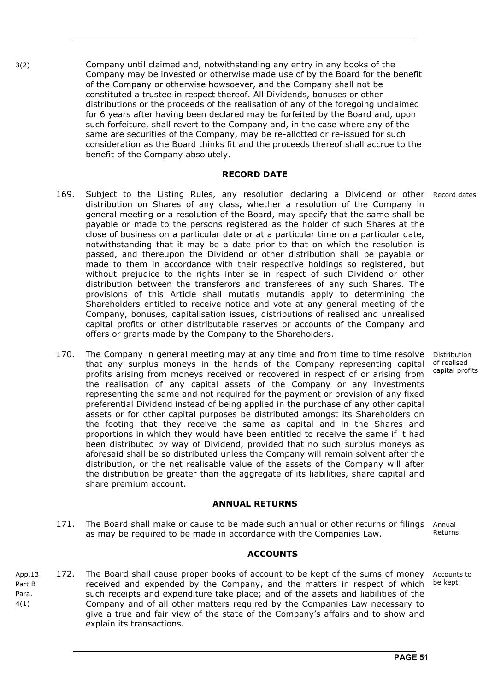3(2) Company until claimed and, notwithstanding any entry in any books of the Company may be invested or otherwise made use of by the Board for the benefit of the Company or otherwise howsoever, and the Company shall not be constituted a trustee in respect thereof. All Dividends, bonuses or other distributions or the proceeds of the realisation of any of the foregoing unclaimed for 6 years after having been declared may be forfeited by the Board and, upon such forfeiture, shall revert to the Company and, in the case where any of the same are securities of the Company, may be re-allotted or re-issued for such consideration as the Board thinks fit and the proceeds thereof shall accrue to the benefit of the Company absolutely.

#### **RECORD DATE**

- 169. Subject to the Listing Rules, any resolution declaring a Dividend or other Record dates distribution on Shares of any class, whether a resolution of the Company in general meeting or a resolution of the Board, may specify that the same shall be payable or made to the persons registered as the holder of such Shares at the close of business on a particular date or at a particular time on a particular date, notwithstanding that it may be a date prior to that on which the resolution is passed, and thereupon the Dividend or other distribution shall be payable or made to them in accordance with their respective holdings so registered, but without prejudice to the rights inter se in respect of such Dividend or other distribution between the transferors and transferees of any such Shares. The provisions of this Article shall mutatis mutandis apply to determining the Shareholders entitled to receive notice and vote at any general meeting of the Company, bonuses, capitalisation issues, distributions of realised and unrealised capital profits or other distributable reserves or accounts of the Company and offers or grants made by the Company to the Shareholders.
- 170. The Company in general meeting may at any time and from time to time resolve that any surplus moneys in the hands of the Company representing capital profits arising from moneys received or recovered in respect of or arising from the realisation of any capital assets of the Company or any investments representing the same and not required for the payment or provision of any fixed preferential Dividend instead of being applied in the purchase of any other capital assets or for other capital purposes be distributed amongst its Shareholders on the footing that they receive the same as capital and in the Shares and proportions in which they would have been entitled to receive the same if it had been distributed by way of Dividend, provided that no such surplus moneys as aforesaid shall be so distributed unless the Company will remain solvent after the distribution, or the net realisable value of the assets of the Company will after the distribution be greater than the aggregate of its liabilities, share capital and share premium account.

#### **ANNUAL RETURNS**

171. The Board shall make or cause to be made such annual or other returns or filings Annual as may be required to be made in accordance with the Companies Law. Returns

#### **ACCOUNTS**

App.13 Part B Para. 4(1) 172. The Board shall cause proper books of account to be kept of the sums of money received and expended by the Company, and the matters in respect of which be kept such receipts and expenditure take place; and of the assets and liabilities of the Company and of all other matters required by the Companies Law necessary to give a true and fair view of the state of the Company's affairs and to show and explain its transactions. Accounts to

Distribution of realised capital profits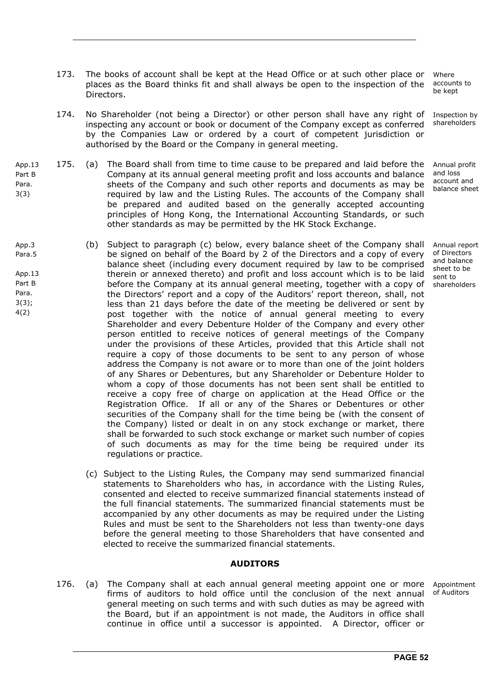- 173. The books of account shall be kept at the Head Office or at such other place or places as the Board thinks fit and shall always be open to the inspection of the Directors.
- 174. No Shareholder (not being a Director) or other person shall have any right of inspecting any account or book or document of the Company except as conferred by the Companies Law or ordered by a court of competent jurisdiction or authorised by the Board or the Company in general meeting.
- App.13 Part B Para. 175. (a)The Board shall from time to time cause to be prepared and laid before the Company at its annual general meeting profit and loss accounts and balance sheets of the Company and such other reports and documents as may be required by law and the Listing Rules. The accounts of the Company shall be prepared and audited based on the generally accepted accounting principles of Hong Kong, the International Accounting Standards, or such other standards as may be permitted by the HK Stock Exchange.

3(3)

- App.3 Para.5 App.13 Part B Para. 3(3); 4(2) (b) Subject to paragraph (c) below, every balance sheet of the Company shall be signed on behalf of the Board by 2 of the Directors and a copy of every balance sheet (including every document required by law to be comprised therein or annexed thereto) and profit and loss account which is to be laid before the Company at its annual general meeting, together with a copy of the Directors' report and a copy of the Auditors' report thereon, shall, not less than 21 days before the date of the meeting be delivered or sent by post together with the notice of annual general meeting to every Shareholder and every Debenture Holder of the Company and every other person entitled to receive notices of general meetings of the Company under the provisions of these Articles, provided that this Article shall not require a copy of those documents to be sent to any person of whose address the Company is not aware or to more than one of the joint holders of any Shares or Debentures, but any Shareholder or Debenture Holder to whom a copy of those documents has not been sent shall be entitled to receive a copy free of charge on application at the Head Office or the Registration Office. If all or any of the Shares or Debentures or other securities of the Company shall for the time being be (with the consent of the Company) listed or dealt in on any stock exchange or market, there shall be forwarded to such stock exchange or market such number of copies of such documents as may for the time being be required under its regulations or practice.
	- (c) Subject to the Listing Rules, the Company may send summarized financial statements to Shareholders who has, in accordance with the Listing Rules, consented and elected to receive summarized financial statements instead of the full financial statements. The summarized financial statements must be accompanied by any other documents as may be required under the Listing Rules and must be sent to the Shareholders not less than twenty-one days before the general meeting to those Shareholders that have consented and elected to receive the summarized financial statements.

#### **AUDITORS**

176. (a) The Company shall at each annual general meeting appoint one or more firms of auditors to hold office until the conclusion of the next annual general meeting on such terms and with such duties as may be agreed with the Board, but if an appointment is not made, the Auditors in office shall continue in office until a successor is appointed. A Director, officer or Appointment of Auditors

Where accounts to be kept

Inspection by shareholders

Annual profit and loss account and balance sheet

Annual report of Directors and balance sheet to be sent to shareholders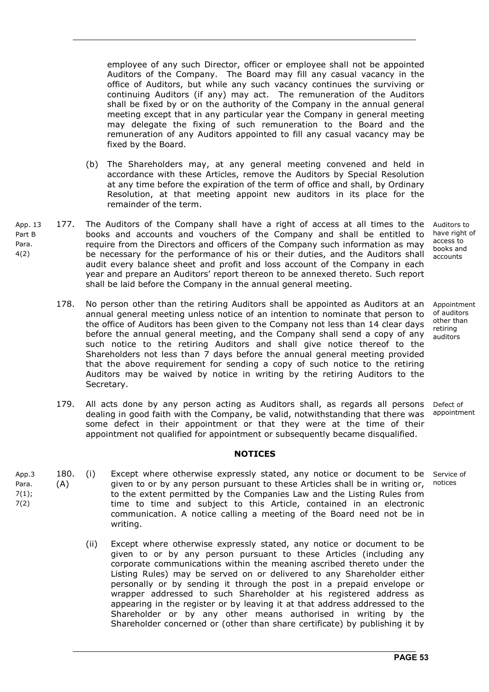employee of any such Director, officer or employee shall not be appointed Auditors of the Company. The Board may fill any casual vacancy in the office of Auditors, but while any such vacancy continues the surviving or continuing Auditors (if any) may act. The remuneration of the Auditors shall be fixed by or on the authority of the Company in the annual general meeting except that in any particular year the Company in general meeting may delegate the fixing of such remuneration to the Board and the remuneration of any Auditors appointed to fill any casual vacancy may be fixed by the Board.

- (b) The Shareholders may, at any general meeting convened and held in accordance with these Articles, remove the Auditors by Special Resolution at any time before the expiration of the term of office and shall, by Ordinary Resolution, at that meeting appoint new auditors in its place for the remainder of the term.
- App. 13 Part B Para. 4(2) 177. The Auditors of the Company shall have a right of access at all times to the books and accounts and vouchers of the Company and shall be entitled to require from the Directors and officers of the Company such information as may be necessary for the performance of his or their duties, and the Auditors shall audit every balance sheet and profit and loss account of the Company in each year and prepare an Auditors' report thereon to be annexed thereto. Such report shall be laid before the Company in the annual general meeting.
	- 178. No person other than the retiring Auditors shall be appointed as Auditors at an annual general meeting unless notice of an intention to nominate that person to the office of Auditors has been given to the Company not less than 14 clear days before the annual general meeting, and the Company shall send a copy of any such notice to the retiring Auditors and shall give notice thereof to the Shareholders not less than 7 days before the annual general meeting provided that the above requirement for sending a copy of such notice to the retiring Auditors may be waived by notice in writing by the retiring Auditors to the Secretary.
	- 179. All acts done by any person acting as Auditors shall, as regards all persons dealing in good faith with the Company, be valid, notwithstanding that there was some defect in their appointment or that they were at the time of their appointment not qualified for appointment or subsequently became disqualified. Defect of appointment

#### **NOTICES**

- App.3 Para. 7(1); 7(2) 180. (A) (i) Except where otherwise expressly stated, any notice or document to be given to or by any person pursuant to these Articles shall be in writing or, to the extent permitted by the Companies Law and the Listing Rules from time to time and subject to this Article, contained in an electronic communication. A notice calling a meeting of the Board need not be in writing. notices
	- (ii) Except where otherwise expressly stated, any notice or document to be given to or by any person pursuant to these Articles (including any corporate communications within the meaning ascribed thereto under the Listing Rules) may be served on or delivered to any Shareholder either personally or by sending it through the post in a prepaid envelope or wrapper addressed to such Shareholder at his registered address as appearing in the register or by leaving it at that address addressed to the Shareholder or by any other means authorised in writing by the Shareholder concerned or (other than share certificate) by publishing it by

Auditors to have right of access to books and accounts

Appointment of auditors other than retiring auditors

Service of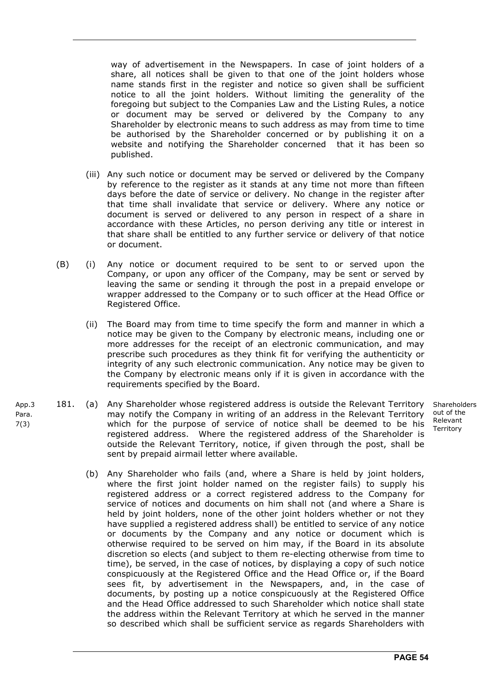way of advertisement in the Newspapers. In case of joint holders of a share, all notices shall be given to that one of the joint holders whose name stands first in the register and notice so given shall be sufficient notice to all the joint holders. Without limiting the generality of the foregoing but subject to the Companies Law and the Listing Rules, a notice or document may be served or delivered by the Company to any Shareholder by electronic means to such address as may from time to time be authorised by the Shareholder concerned or by publishing it on a website and notifying the Shareholder concerned that it has been so published.

- (iii) Any such notice or document may be served or delivered by the Company by reference to the register as it stands at any time not more than fifteen days before the date of service or delivery. No change in the register after that time shall invalidate that service or delivery. Where any notice or document is served or delivered to any person in respect of a share in accordance with these Articles, no person deriving any title or interest in that share shall be entitled to any further service or delivery of that notice or document.
- (B) (i) Any notice or document required to be sent to or served upon the Company, or upon any officer of the Company, may be sent or served by leaving the same or sending it through the post in a prepaid envelope or wrapper addressed to the Company or to such officer at the Head Office or Registered Office.
	- (ii) The Board may from time to time specify the form and manner in which a notice may be given to the Company by electronic means, including one or more addresses for the receipt of an electronic communication, and may prescribe such procedures as they think fit for verifying the authenticity or integrity of any such electronic communication. Any notice may be given to the Company by electronic means only if it is given in accordance with the requirements specified by the Board.
- 181. (a) Any Shareholder whose registered address is outside the Relevant Territory may notify the Company in writing of an address in the Relevant Territory which for the purpose of service of notice shall be deemed to be his registered address. Where the registered address of the Shareholder is outside the Relevant Territory, notice, if given through the post, shall be sent by prepaid airmail letter where available.
	- Shareholders out of the Relevant Territory
	- (b) Any Shareholder who fails (and, where a Share is held by joint holders, where the first joint holder named on the register fails) to supply his registered address or a correct registered address to the Company for service of notices and documents on him shall not (and where a Share is held by joint holders, none of the other joint holders whether or not they have supplied a registered address shall) be entitled to service of any notice or documents by the Company and any notice or document which is otherwise required to be served on him may, if the Board in its absolute discretion so elects (and subject to them re-electing otherwise from time to time), be served, in the case of notices, by displaying a copy of such notice conspicuously at the Registered Office and the Head Office or, if the Board sees fit, by advertisement in the Newspapers, and, in the case of documents, by posting up a notice conspicuously at the Registered Office and the Head Office addressed to such Shareholder which notice shall state the address within the Relevant Territory at which he served in the manner so described which shall be sufficient service as regards Shareholders with

App.3 Para. 7(3)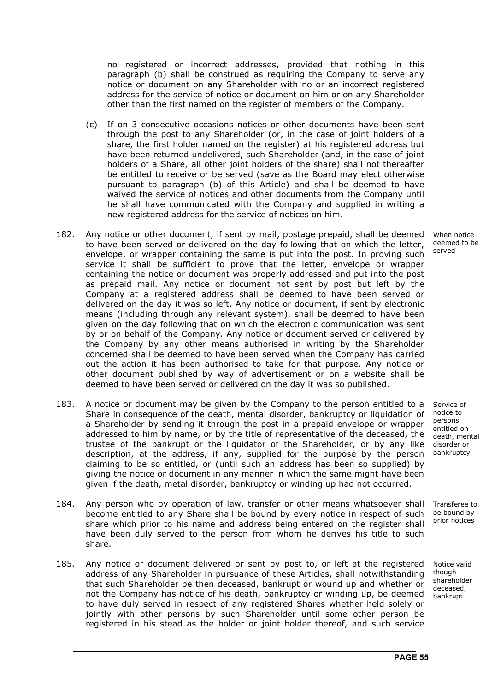no registered or incorrect addresses, provided that nothing in this paragraph (b) shall be construed as requiring the Company to serve any notice or document on any Shareholder with no or an incorrect registered address for the service of notice or document on him or on any Shareholder other than the first named on the register of members of the Company.

- (c) If on 3 consecutive occasions notices or other documents have been sent through the post to any Shareholder (or, in the case of joint holders of a share, the first holder named on the register) at his registered address but have been returned undelivered, such Shareholder (and, in the case of joint holders of a Share, all other joint holders of the share) shall not thereafter be entitled to receive or be served (save as the Board may elect otherwise pursuant to paragraph (b) of this Article) and shall be deemed to have waived the service of notices and other documents from the Company until he shall have communicated with the Company and supplied in writing a new registered address for the service of notices on him.
- 182. Any notice or other document, if sent by mail, postage prepaid, shall be deemed to have been served or delivered on the day following that on which the letter, envelope, or wrapper containing the same is put into the post. In proving such service it shall be sufficient to prove that the letter, envelope or wrapper containing the notice or document was properly addressed and put into the post as prepaid mail. Any notice or document not sent by post but left by the Company at a registered address shall be deemed to have been served or delivered on the day it was so left. Any notice or document, if sent by electronic means (including through any relevant system), shall be deemed to have been given on the day following that on which the electronic communication was sent by or on behalf of the Company. Any notice or document served or delivered by the Company by any other means authorised in writing by the Shareholder concerned shall be deemed to have been served when the Company has carried out the action it has been authorised to take for that purpose. Any notice or other document published by way of advertisement or on a website shall be deemed to have been served or delivered on the day it was so published.
- 183. A notice or document may be given by the Company to the person entitled to a Share in consequence of the death, mental disorder, bankruptcy or liquidation of a Shareholder by sending it through the post in a prepaid envelope or wrapper addressed to him by name, or by the title of representative of the deceased, the trustee of the bankrupt or the liquidator of the Shareholder, or by any like description, at the address, if any, supplied for the purpose by the person claiming to be so entitled, or (until such an address has been so supplied) by giving the notice or document in any manner in which the same might have been given if the death, metal disorder, bankruptcy or winding up had not occurred.
- 184. Any person who by operation of law, transfer or other means whatsoever shall become entitled to any Share shall be bound by every notice in respect of such share which prior to his name and address being entered on the register shall have been duly served to the person from whom he derives his title to such share.
- 185. Any notice or document delivered or sent by post to, or left at the registered address of any Shareholder in pursuance of these Articles, shall notwithstanding that such Shareholder be then deceased, bankrupt or wound up and whether or not the Company has notice of his death, bankruptcy or winding up, be deemed to have duly served in respect of any registered Shares whether held solely or jointly with other persons by such Shareholder until some other person be registered in his stead as the holder or joint holder thereof, and such service

When notice deemed to be served

Service of notice to persons entitled on death, mental disorder or bankruptcy

Transferee to be bound by prior notices

Notice valid though shareholder deceased, bankrupt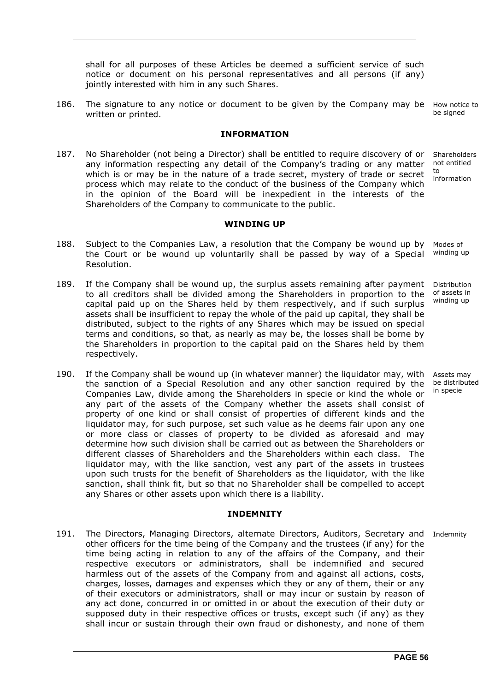shall for all purposes of these Articles be deemed a sufficient service of such notice or document on his personal representatives and all persons (if any) jointly interested with him in any such Shares.

186. The signature to any notice or document to be given by the Company may be How notice to written or printed. be signed

#### **INFORMATION**

187. No Shareholder (not being a Director) shall be entitled to require discovery of or any information respecting any detail of the Company's trading or any matter which is or may be in the nature of a trade secret, mystery of trade or secret process which may relate to the conduct of the business of the Company which in the opinion of the Board will be inexpedient in the interests of the Shareholders of the Company to communicate to the public. **Shareholders** not entitled to

**WINDING UP** 

- 188. Subject to the Companies Law, a resolution that the Company be wound up by the Court or be wound up voluntarily shall be passed by way of a Special Resolution. Modes of winding up
- 189. If the Company shall be wound up, the surplus assets remaining after payment to all creditors shall be divided among the Shareholders in proportion to the capital paid up on the Shares held by them respectively, and if such surplus assets shall be insufficient to repay the whole of the paid up capital, they shall be distributed, subject to the rights of any Shares which may be issued on special terms and conditions, so that, as nearly as may be, the losses shall be borne by the Shareholders in proportion to the capital paid on the Shares held by them respectively. Distribution of assets in winding up
- 190. If the Company shall be wound up (in whatever manner) the liquidator may, with the sanction of a Special Resolution and any other sanction required by the Companies Law, divide among the Shareholders in specie or kind the whole or any part of the assets of the Company whether the assets shall consist of property of one kind or shall consist of properties of different kinds and the liquidator may, for such purpose, set such value as he deems fair upon any one or more class or classes of property to be divided as aforesaid and may determine how such division shall be carried out as between the Shareholders or different classes of Shareholders and the Shareholders within each class. The liquidator may, with the like sanction, vest any part of the assets in trustees upon such trusts for the benefit of Shareholders as the liquidator, with the like sanction, shall think fit, but so that no Shareholder shall be compelled to accept any Shares or other assets upon which there is a liability.

#### **INDEMNITY**

191. The Directors, Managing Directors, alternate Directors, Auditors, Secretary and Indemnity other officers for the time being of the Company and the trustees (if any) for the time being acting in relation to any of the affairs of the Company, and their respective executors or administrators, shall be indemnified and secured harmless out of the assets of the Company from and against all actions, costs, charges, losses, damages and expenses which they or any of them, their or any of their executors or administrators, shall or may incur or sustain by reason of any act done, concurred in or omitted in or about the execution of their duty or supposed duty in their respective offices or trusts, except such (if any) as they shall incur or sustain through their own fraud or dishonesty, and none of them

Assets may be distributed in specie

information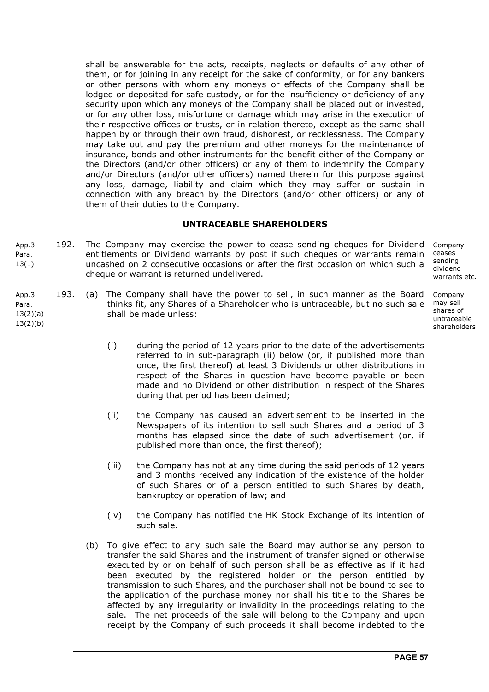shall be answerable for the acts, receipts, neglects or defaults of any other of them, or for joining in any receipt for the sake of conformity, or for any bankers or other persons with whom any moneys or effects of the Company shall be lodged or deposited for safe custody, or for the insufficiency or deficiency of any security upon which any moneys of the Company shall be placed out or invested, or for any other loss, misfortune or damage which may arise in the execution of their respective offices or trusts, or in relation thereto, except as the same shall happen by or through their own fraud, dishonest, or recklessness. The Company may take out and pay the premium and other moneys for the maintenance of insurance, bonds and other instruments for the benefit either of the Company or the Directors (and/or other officers) or any of them to indemnify the Company and/or Directors (and/or other officers) named therein for this purpose against any loss, damage, liability and claim which they may suffer or sustain in connection with any breach by the Directors (and/or other officers) or any of them of their duties to the Company.

#### **UNTRACEABLE SHAREHOLDERS**

- App.3 Para. 13(1) 192. The Company may exercise the power to cease sending cheques for Dividend entitlements or Dividend warrants by post if such cheques or warrants remain uncashed on 2 consecutive occasions or after the first occasion on which such a cheque or warrant is returned undelivered. Company ceases sending dividend warrants etc.
- App.3 193. (a) The Company shall have the power to sell, in such manner as the Board thinks fit, any Shares of a Shareholder who is untraceable, but no such sale shall be made unless: Company may sell shares of untraceable
	- (i) during the period of 12 years prior to the date of the advertisements referred to in sub-paragraph (ii) below (or, if published more than once, the first thereof) at least 3 Dividends or other distributions in respect of the Shares in question have become payable or been made and no Dividend or other distribution in respect of the Shares during that period has been claimed;
	- (ii) the Company has caused an advertisement to be inserted in the Newspapers of its intention to sell such Shares and a period of 3 months has elapsed since the date of such advertisement (or, if published more than once, the first thereof);
	- (iii) the Company has not at any time during the said periods of 12 years and 3 months received any indication of the existence of the holder of such Shares or of a person entitled to such Shares by death, bankruptcy or operation of law; and
	- (iv) the Company has notified the HK Stock Exchange of its intention of such sale.
	- (b) To give effect to any such sale the Board may authorise any person to transfer the said Shares and the instrument of transfer signed or otherwise executed by or on behalf of such person shall be as effective as if it had been executed by the registered holder or the person entitled by transmission to such Shares, and the purchaser shall not be bound to see to the application of the purchase money nor shall his title to the Shares be affected by any irregularity or invalidity in the proceedings relating to the sale. The net proceeds of the sale will belong to the Company and upon receipt by the Company of such proceeds it shall become indebted to the

**PAGE 57** 

shareholders

Para. 13(2)(a) 13(2)(b)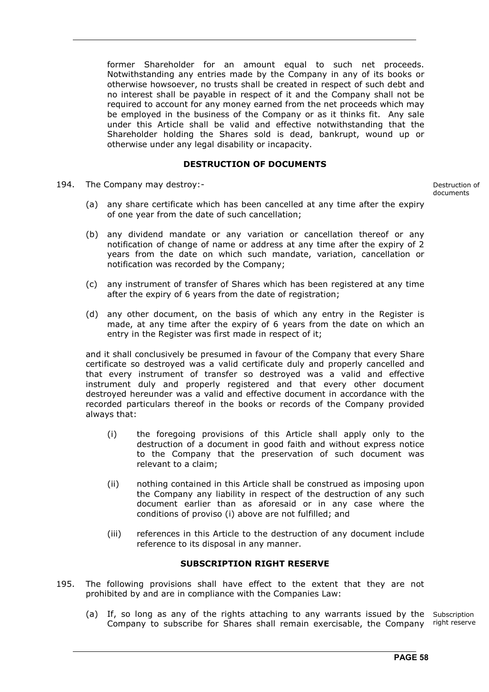former Shareholder for an amount equal to such net proceeds. Notwithstanding any entries made by the Company in any of its books or otherwise howsoever, no trusts shall be created in respect of such debt and no interest shall be payable in respect of it and the Company shall not be required to account for any money earned from the net proceeds which may be employed in the business of the Company or as it thinks fit. Any sale under this Article shall be valid and effective notwithstanding that the Shareholder holding the Shares sold is dead, bankrupt, wound up or otherwise under any legal disability or incapacity.

#### **DESTRUCTION OF DOCUMENTS**

194. The Company may destroy:- Destruction of

documents

- (a) any share certificate which has been cancelled at any time after the expiry of one year from the date of such cancellation;
- (b) any dividend mandate or any variation or cancellation thereof or any notification of change of name or address at any time after the expiry of 2 years from the date on which such mandate, variation, cancellation or notification was recorded by the Company;
- (c) any instrument of transfer of Shares which has been registered at any time after the expiry of 6 years from the date of registration;
- (d) any other document, on the basis of which any entry in the Register is made, at any time after the expiry of 6 years from the date on which an entry in the Register was first made in respect of it;

 and it shall conclusively be presumed in favour of the Company that every Share certificate so destroyed was a valid certificate duly and properly cancelled and that every instrument of transfer so destroyed was a valid and effective instrument duly and properly registered and that every other document destroyed hereunder was a valid and effective document in accordance with the recorded particulars thereof in the books or records of the Company provided always that:

- (i) the foregoing provisions of this Article shall apply only to the destruction of a document in good faith and without express notice to the Company that the preservation of such document was relevant to a claim;
- (ii) nothing contained in this Article shall be construed as imposing upon the Company any liability in respect of the destruction of any such document earlier than as aforesaid or in any case where the conditions of proviso (i) above are not fulfilled; and
- (iii) references in this Article to the destruction of any document include reference to its disposal in any manner.

#### **SUBSCRIPTION RIGHT RESERVE**

- 195. The following provisions shall have effect to the extent that they are not prohibited by and are in compliance with the Companies Law:
- (a) If, so long as any of the rights attaching to any warrants issued by the Subscription Company to subscribe for Shares shall remain exercisable, the Company right reserve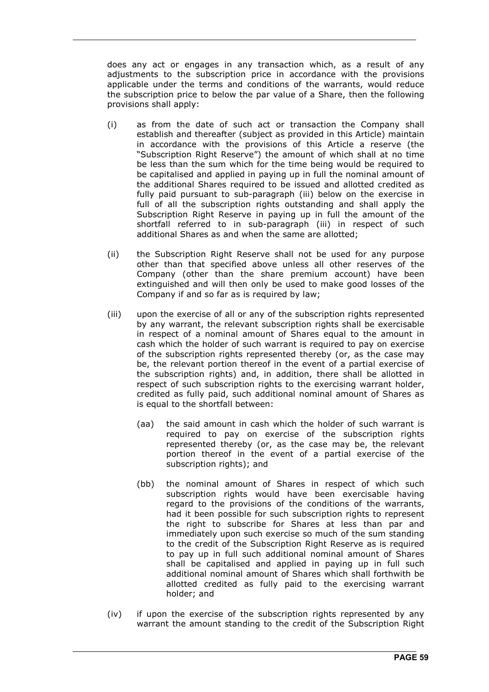does any act or engages in any transaction which, as a result of any adjustments to the subscription price in accordance with the provisions applicable under the terms and conditions of the warrants, would reduce the subscription price to below the par value of a Share, then the following provisions shall apply:

- (i) as from the date of such act or transaction the Company shall establish and thereafter (subject as provided in this Article) maintain in accordance with the provisions of this Article a reserve (the "Subscription Right Reserve") the amount of which shall at no time be less than the sum which for the time being would be required to be capitalised and applied in paying up in full the nominal amount of the additional Shares required to be issued and allotted credited as fully paid pursuant to sub-paragraph (iii) below on the exercise in full of all the subscription rights outstanding and shall apply the Subscription Right Reserve in paying up in full the amount of the shortfall referred to in sub-paragraph (iii) in respect of such additional Shares as and when the same are allotted;
- (ii) the Subscription Right Reserve shall not be used for any purpose other than that specified above unless all other reserves of the Company (other than the share premium account) have been extinguished and will then only be used to make good losses of the Company if and so far as is required by law;
- (iii) upon the exercise of all or any of the subscription rights represented by any warrant, the relevant subscription rights shall be exercisable in respect of a nominal amount of Shares equal to the amount in cash which the holder of such warrant is required to pay on exercise of the subscription rights represented thereby (or, as the case may be, the relevant portion thereof in the event of a partial exercise of the subscription rights) and, in addition, there shall be allotted in respect of such subscription rights to the exercising warrant holder, credited as fully paid, such additional nominal amount of Shares as is equal to the shortfall between:
	- (aa) the said amount in cash which the holder of such warrant is required to pay on exercise of the subscription rights represented thereby (or, as the case may be, the relevant portion thereof in the event of a partial exercise of the subscription rights); and
	- (bb) the nominal amount of Shares in respect of which such subscription rights would have been exercisable having regard to the provisions of the conditions of the warrants, had it been possible for such subscription rights to represent the right to subscribe for Shares at less than par and immediately upon such exercise so much of the sum standing to the credit of the Subscription Right Reserve as is required to pay up in full such additional nominal amount of Shares shall be capitalised and applied in paying up in full such additional nominal amount of Shares which shall forthwith be allotted credited as fully paid to the exercising warrant holder; and
- (iv) if upon the exercise of the subscription rights represented by any warrant the amount standing to the credit of the Subscription Right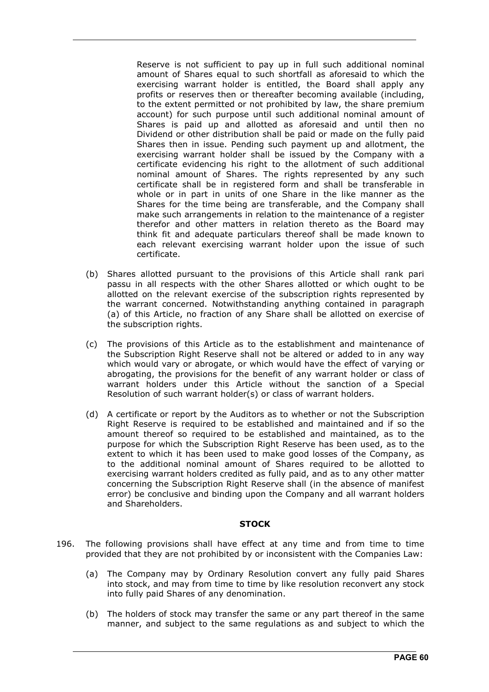Reserve is not sufficient to pay up in full such additional nominal amount of Shares equal to such shortfall as aforesaid to which the exercising warrant holder is entitled, the Board shall apply any profits or reserves then or thereafter becoming available (including, to the extent permitted or not prohibited by law, the share premium account) for such purpose until such additional nominal amount of Shares is paid up and allotted as aforesaid and until then no Dividend or other distribution shall be paid or made on the fully paid Shares then in issue. Pending such payment up and allotment, the exercising warrant holder shall be issued by the Company with a certificate evidencing his right to the allotment of such additional nominal amount of Shares. The rights represented by any such certificate shall be in registered form and shall be transferable in whole or in part in units of one Share in the like manner as the Shares for the time being are transferable, and the Company shall make such arrangements in relation to the maintenance of a register therefor and other matters in relation thereto as the Board may think fit and adequate particulars thereof shall be made known to each relevant exercising warrant holder upon the issue of such certificate.

- (b) Shares allotted pursuant to the provisions of this Article shall rank pari passu in all respects with the other Shares allotted or which ought to be allotted on the relevant exercise of the subscription rights represented by the warrant concerned. Notwithstanding anything contained in paragraph (a) of this Article, no fraction of any Share shall be allotted on exercise of the subscription rights.
- (c) The provisions of this Article as to the establishment and maintenance of the Subscription Right Reserve shall not be altered or added to in any way which would vary or abrogate, or which would have the effect of varying or abrogating, the provisions for the benefit of any warrant holder or class of warrant holders under this Article without the sanction of a Special Resolution of such warrant holder(s) or class of warrant holders.
- (d) A certificate or report by the Auditors as to whether or not the Subscription Right Reserve is required to be established and maintained and if so the amount thereof so required to be established and maintained, as to the purpose for which the Subscription Right Reserve has been used, as to the extent to which it has been used to make good losses of the Company, as to the additional nominal amount of Shares required to be allotted to exercising warrant holders credited as fully paid, and as to any other matter concerning the Subscription Right Reserve shall (in the absence of manifest error) be conclusive and binding upon the Company and all warrant holders and Shareholders.

#### **STOCK**

- 196. The following provisions shall have effect at any time and from time to time provided that they are not prohibited by or inconsistent with the Companies Law:
	- (a) The Company may by Ordinary Resolution convert any fully paid Shares into stock, and may from time to time by like resolution reconvert any stock into fully paid Shares of any denomination.
	- (b) The holders of stock may transfer the same or any part thereof in the same manner, and subject to the same regulations as and subject to which the